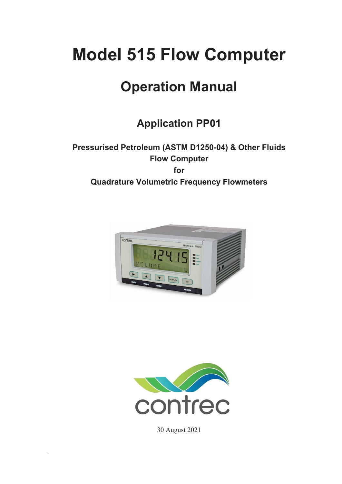# **Model 515 Flow Computer**

# **Operation Manual**

# **Application PP01**

**Pressurised Petroleum (ASTM D1250-04) & Other Fluids Flow Computer for Quadrature Volumetric Frequency Flowmeters** 





30 August 2021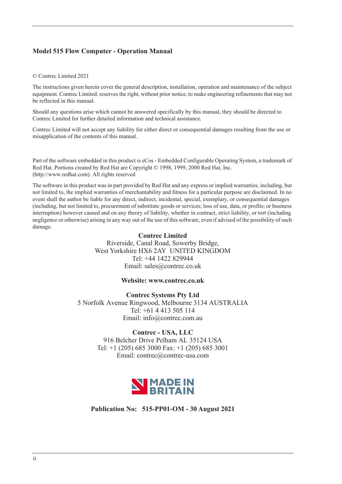#### **Model 515 Flow Computer - Operation Manual**

#### © Contrec Limited 2021

The instructions given herein cover the general description, installation, operation and maintenance of the subject equipment. Contrec Limited. reserves the right, without prior notice, to make engineering refinements that may not be reflected in this manual.

Should any questions arise which cannot be answered specifically by this manual, they should be directed to Contrec Limited for further detailed information and technical assistance.

Contrec Limited will not accept any liability for either direct or consequential damages resulting from the use or misapplication of the contents of this manual.

Part of the software embedded in this product is eCos - Embedded Configurable Operating System, a trademark of Red Hat. Portions created by Red Hat are Copyright © 1998, 1999, 2000 Red Hat, Inc. (http://www.redhat.com). All rights reserved

The software in this product was in part provided by Red Hat and any express or implied warranties, including, but not limited to, the implied warranties of merchantability and fitness for a particular purpose are disclaimed. In no event shall the author be liable for any direct, indirect, incidental, special, exemplary, or consequential damages (including, but not limited to, procurement of substitute goods or services; loss of use, data, or profits; or business interruption) however caused and on any theory of liability, whether in contract, strict liability, or tort (including negligence or otherwise) arising in any way out of the use of this software, even if advised of the possibility of such damage.

#### **Contrec Limited**

Riverside, Canal Road, Sowerby Bridge, West Yorkshire HX6 2AY UNITED KINGDOM Tel: +44 1422 829944 Email: sales@contrec.co.uk

#### **Website: www.contrec.co.uk**

**Contrec Systems Pty Ltd** 5 Norfolk Avenue Ringwood, Melbourne 3134 AUSTRALIA Tel: +61 4 413 505 114 Email: info@contrec.com.au

#### **Contrec - USA, LLC**

916 Belcher Drive Pelham AL 35124 USA Tel: +1 (205) 685 3000 Fax: +1 (205) 685 3001 Email: contrec@contrec-usa.com



**Publication No: 515-PP01-OM - 30 August 2021**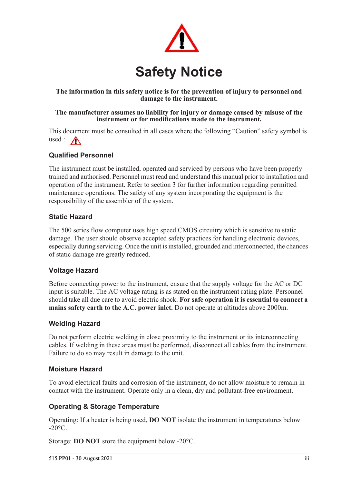

#### **The information in this safety notice is for the prevention of injury to personnel and damage to the instrument.**

#### **The manufacturer assumes no liability for injury or damage caused by misuse of the instrument or for modifications made to the instrument.**

This document must be consulted in all cases where the following "Caution" safety symbol is used :  $\bigwedge$ 

### **Qualified Personnel**

The instrument must be installed, operated and serviced by persons who have been properly trained and authorised. Personnel must read and understand this manual prior to installation and operation of the instrument. Refer to section 3 for further information regarding permitted maintenance operations. The safety of any system incorporating the equipment is the responsibility of the assembler of the system.

#### **Static Hazard**

The 500 series flow computer uses high speed CMOS circuitry which is sensitive to static damage. The user should observe accepted safety practices for handling electronic devices, especially during servicing. Once the unit is installed, grounded and interconnected, the chances of static damage are greatly reduced.

#### **Voltage Hazard**

Before connecting power to the instrument, ensure that the supply voltage for the AC or DC input is suitable. The AC voltage rating is as stated on the instrument rating plate. Personnel should take all due care to avoid electric shock. **For safe operation it is essential to connect a mains safety earth to the A.C. power inlet.** Do not operate at altitudes above 2000m.

#### **Welding Hazard**

Do not perform electric welding in close proximity to the instrument or its interconnecting cables. If welding in these areas must be performed, disconnect all cables from the instrument. Failure to do so may result in damage to the unit.

#### **Moisture Hazard**

To avoid electrical faults and corrosion of the instrument, do not allow moisture to remain in contact with the instrument. Operate only in a clean, dry and pollutant-free environment.

#### **Operating & Storage Temperature**

Operating: If a heater is being used, **DO NOT** isolate the instrument in temperatures below  $-20^{\circ}$ C.

Storage: **DO NOT** store the equipment below -20°C.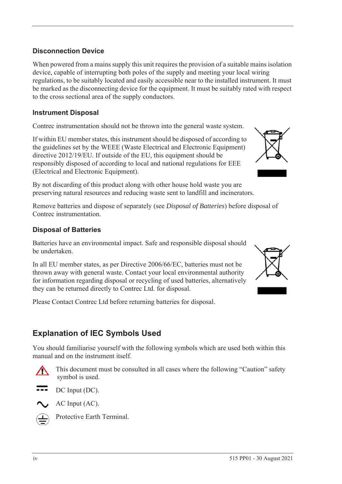#### **Disconnection Device**

When powered from a mains supply this unit requires the provision of a suitable mains isolation device, capable of interrupting both poles of the supply and meeting your local wiring regulations, to be suitably located and easily accessible near to the installed instrument. It must be marked as the disconnecting device for the equipment. It must be suitably rated with respect to the cross sectional area of the supply conductors.

### **Instrument Disposal**

Contrec instrumentation should not be thrown into the general waste system.

If within EU member states, this instrument should be disposed of according to the guidelines set by the WEEE (Waste Electrical and Electronic Equipment) directive 2012/19/EU. If outside of the EU, this equipment should be responsibly disposed of according to local and national regulations for EEE (Electrical and Electronic Equipment).

By not discarding of this product along with other house hold waste you are preserving natural resources and reducing waste sent to landfill and incinerators.

Remove batteries and dispose of separately (see *Disposal of Batteries*) before disposal of Contrec instrumentation.

### **Disposal of Batteries**

Batteries have an environmental impact. Safe and responsible disposal should be undertaken.

In all EU member states, as per Directive 2006/66/EC, batteries must not be thrown away with general waste. Contact your local environmental authority for information regarding disposal or recycling of used batteries, alternatively they can be returned directly to Contrec Ltd. for disposal.

Please Contact Contrec Ltd before returning batteries for disposal.

## **Explanation of IEC Symbols Used**

You should familiarise yourself with the following symbols which are used both within this manual and on the instrument itself.



 This document must be consulted in all cases where the following "Caution" safety symbol is used.



AC Input (AC).



Protective Earth Terminal.



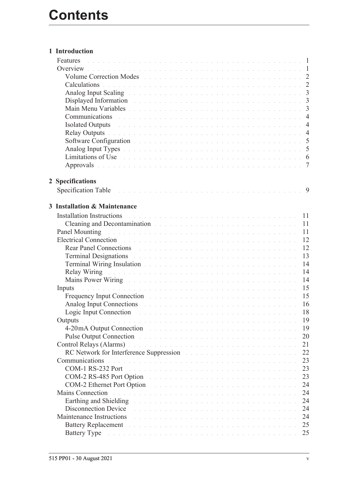## **[1 Introduction](#page-10-0)**

|   | <b>Features</b> because the contract of the contract of the contract of the contract of the contract of the contract of the contract of the contract of the contract of the contract of the contract of the contract of the contrac               |  |    |
|---|---------------------------------------------------------------------------------------------------------------------------------------------------------------------------------------------------------------------------------------------------|--|----|
|   |                                                                                                                                                                                                                                                   |  |    |
|   |                                                                                                                                                                                                                                                   |  |    |
|   | Calculations de la communication de la communication de la communication de la communication de la communication                                                                                                                                  |  |    |
|   | Analog Input Scaling New York New York New York New York New York 1981                                                                                                                                                                            |  |    |
|   | Displayed Information and a contract of the contract of the contract of the contract of the 3                                                                                                                                                     |  |    |
|   |                                                                                                                                                                                                                                                   |  |    |
|   | Communications research resources and contract the contract of the contract of the 4                                                                                                                                                              |  |    |
|   | Isolated Outputs and a contract the contract of the contract of the contract of the contract of the contract of the contract of the contract of the contract of the contract of the contract of the contract of the contract o                    |  |    |
|   |                                                                                                                                                                                                                                                   |  |    |
|   |                                                                                                                                                                                                                                                   |  |    |
|   |                                                                                                                                                                                                                                                   |  |    |
|   | Limitations of Use the community of the community of the community of the community of the community of the community of the community of the community of the community of the community of the community of the community of                    |  |    |
|   | Approvals the contract of the contract of the contract of the contract of the contract of the contract of the $\tau$                                                                                                                              |  |    |
|   |                                                                                                                                                                                                                                                   |  |    |
|   | 2 Specifications                                                                                                                                                                                                                                  |  |    |
|   |                                                                                                                                                                                                                                                   |  |    |
|   |                                                                                                                                                                                                                                                   |  |    |
| 3 | <b>Installation &amp; Maintenance</b>                                                                                                                                                                                                             |  |    |
|   | Installation Instructions and a contract the contract of the contract of the contract of the contract of the contract of the contract of the contract of the contract of the contract of the contract of the contract of the c                    |  |    |
|   | Cleaning and Decontamination and the contract of the contract of the contract of the contract of the contract of the contract of the contract of the contract of the contract of the contract of the contract of the contract                     |  |    |
|   | Panel Mounting research and contract the contract of the contract of the contract of the 11                                                                                                                                                       |  |    |
|   | Electrical Connection and a constant of the contract of the contract of the contract of the contract of the contract of the contract of the contract of the contract of the contract of the contract of the contract of the co                    |  |    |
|   | Rear Panel Connections and the contract of the contract of the contract of the contract of the contract of the contract of the contract of the contract of the contract of the contract of the contract of the contract of the                    |  | 12 |
|   | Terminal Designations and a contract the contract of the contract of the contract of the contract of the contract of the contract of the contract of the contract of the contract of the contract of the contract of the contr                    |  | 13 |
|   | Terminal Wiring Insulation and a contract of the contract of the contract of the 14                                                                                                                                                               |  |    |
|   | Relay Wiring Theorem 2014 Communication of the Communication of the Communication of the Relay of the Communication of the Communication of the Communication of the Communication of the Communication of the Communication o                    |  |    |
|   | Mains Power Wiring Mathews Allen and Allen and Allen and Allen and Allen and Allen and Allen and Allen and Allen                                                                                                                                  |  | 14 |
|   | . The contract of the contract of the contract of the contract of the contract of $15\,$<br>Inputs                                                                                                                                                |  |    |
|   | Frequency Input Connection and a construction of the contract of the state of the state of the 15                                                                                                                                                 |  |    |
|   | Analog Input Connections and a contract the contract of the contract of the state of the state of the state of the state of the state of the state of the state of the state of the state of the state of the state of the sta                    |  |    |
|   | Logic Input Connection and a construction of the contract of the contract of the contract of the contract of the contract of the contract of the contract of the contract of the contract of the contract of the contract of t                    |  | 18 |
|   |                                                                                                                                                                                                                                                   |  | 19 |
|   | 4-20 mA Output Connection and a constant of the contract of the contract of the contract of the contract of the contract of the contract of the contract of the contract of the contract of the contract of the contract of th                    |  | 19 |
|   | Pulse Output Connection and a construction of the contract of the contract of the contract of the contract of the contract of the contract of the contract of the contract of the contract of the contract of the contract of                     |  | 20 |
|   | Control Relays (Alarms) and a control of the control of the control of the control of the control of the control of the control of the control of the control of the control of the control of the control of the control of t                    |  | 21 |
|   | RC Network for Interference Suppression and a contract to the contract of the set of the set of the set of the                                                                                                                                    |  | 22 |
|   | Communications<br>.<br>The contract of the contract of the contract of the contract of the contract of the contract of the contract of                                                                                                            |  | 23 |
|   | COM-1 RS-232 Port<br>.<br>In the second complete state of the second complete state of the second complete state of the second complete                                                                                                           |  | 23 |
|   | COM-2 RS-485 Port Option                                                                                                                                                                                                                          |  | 23 |
|   | COM-2 Ethernet Port Option                                                                                                                                                                                                                        |  | 24 |
|   | Mains Connection<br>and a constitution of the constitution of the constitution of the constitution of the constitution of the constitution of the constitution of the constitution of the constitution of the constitution of the constitution of |  | 24 |
|   | Earthing and Shielding Theorem 2014 Contract of the Contract of the Contract of the Contract of the Contract of the Contract of the Contract of the Contract of the Contract of the Contract of the Contract of the Contract o                    |  | 24 |
|   | Disconnection Device<br>المنافذ المنافي والمنافي والمنافي والمنافي والمنافي والمنافي والمنافي والمنافي والمنافي والمنافي والمنافي والمنافي                                                                                                        |  | 24 |
|   | Maintenance Instructions<br>.<br>In the first product of the first product of the first product of the first product of the first product of th                                                                                                   |  | 24 |
|   | Battery Replacement and containing the containing and containing the contact of the contact of the contact of the contact of the contact of the contact of the contact of the contact of the contact of the contact of the con                    |  | 25 |
|   | Battery Type and a construction of the contract of the construction of the construction                                                                                                                                                           |  | 25 |
|   |                                                                                                                                                                                                                                                   |  |    |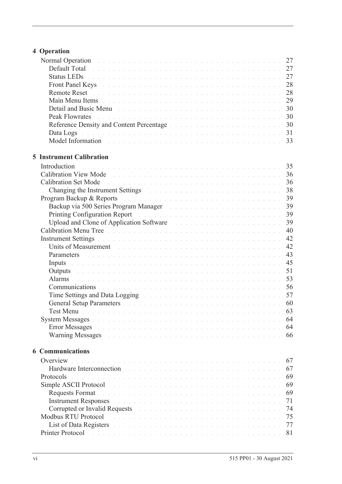### **[4 Operation](#page-36-0)** [Normal Operation](#page-36-1) . . . . . . . . . . . . . . . . . . . . . . . . . . . . . . . . . . . . 27 [Default Total](#page-36-2) . . . . . . . . . . . . . . . . . . . . . . . . . . . . . . . . . . . . . 27 [Status LEDs](#page-36-3) . . . . . . . . . . . . . . . . . . . . . . . . . . . . . . . . . . . . . . 27 [Front Panel Keys](#page-37-0) . . . . . . . . . . . . . . . . . . . . . . . . . . . . . . . . . . . 28 [Remote Reset](#page-37-1) . . . . . . . . . . . . . . . . . . . . . . . . . . . . . . . . . . . . . 28 [Main Menu Items](#page-38-0) . . . . . . . . . . . . . . . . . . . . . . . . . . . . . . . . . . . 29 [Detail and Basic Menu](#page-39-0) . . . . . . . . . . . . . . . . . . . . . . . . . . . . . . . . 30 [Peak Flowrates](#page-39-1) . . . . . . . . . . . . . . . . . . . . . . . . . . . . . . . . . . . . 30 [Reference Density and Content Percentage](#page-39-2) . . . . . . . . . . . . . . . . . . . . . . 30 [Data Logs](#page-40-0) . . . . . . . . . . . . . . . . . . . . . . . . . . . . . . . . . . . . . . . 31 [Model Information](#page-42-0) . . . . . . . . . . . . . . . . . . . . . . . . . . . . . . . . . . 33 **[5 Instrument Calibration](#page-44-0)** [Introduction](#page-44-1) . . . . . . . . . . . . . . . . . . . . . . . . . . . . . . . . . . . . . . . 35 Calibration View Mode [Calibration Set Mode](#page-45-1) . . . . . . . . . . . . . . . . . . . . . . . . . . . . . . . . . . 36 [Changing the Instrument Settings](#page-47-0) . . . . . . . . . . . . . . . . . . . . . . . . . . 38 [Program Backup & Reports](#page-48-0) . . . . . . . . . . . . . . . . . . . . . . . . . . . . . . . 39 [Backup via 500 Series Program Manager](#page-48-1) *and a substitution* and the series of the 39 [Printing Configuration Report](#page-48-2) . . . . . . . . . . . . . . . . . . . . . . . . . . . . 39 [Upload and Clone of Application Software](#page-48-3) . . . . . . . . . . . . . . . . . . . . . 39 [Calibration Menu Tree](#page-49-0) . . . . . . . . . . . . . . . . . . . . . . . . . . . . . . . . . . 40 [Instrument Settings](#page-51-0) . . . . . . . . . . . . . . . . . . . . . . . . . . . . . . . . . . . . 42 [Units of Measurement](#page-51-1) . . . . . . . . . . . . . . . . . . . . . . . . . . . . . . . . 42 [Parameters](#page-52-0) . . . . . . . . . . . . . . . . . . . . . . . . . . . . . . . . . . . . . . 43 [Inputs](#page-54-0) . . . . . . . . . . . . . . . . . . . . . . . . . . . . . . . . . . . . . . . . . 45 [Outputs](#page-60-0) . . . . . . . . . . . . . . . . . . . . . . . . . . . . . . . . . . . . . . . . 51 [Alarms](#page-62-0) . . . . . . . . . . . . . . . . . . . . . . . . . . . . . . . . . . . . . . . . 53 [Communications](#page-65-0) . . . . . . . . . . . . . . . . . . . . . . . . . . . . . . . . . . . 56 [Time Settings and Data Logging](#page-66-0) . . . . . . . . . . . . . . . . . . . . . . . . . . . 57 [General Setup Parameters](#page-69-0) . . . . . . . . . . . . . . . . . . . . . . . . . . . . . . . 60 [Test Menu](#page-72-0) . . . . . . . . . . . . . . . . . . . . . . . . . . . . . . . . . . . . . . . 63 [System Messages](#page-73-0) . . . . . . . . . . . . . . . . . . . . . . . . . . . . . . . . . . . . . 64 [Error Messages](#page-73-1) . . . . . . . . . . . . . . . . . . . . . . . . . . . . . . . . . . . . 64 [Warning Messages](#page-75-0) . . . . . . . . . . . . . . . . . . . . . . . . . . . . . . . . . . 66 **[6 Communications](#page-76-0)** [Overview](#page-76-1) . . . . . . . . . . . . . . . . . . . . . . . . . . . . . . . . . . . . . . . . . 67 [Hardware Interconnection](#page-76-2) . . . . . . . . . . . . . . . . . . . . . . . . . . . . . . 67 [Protocols](#page-78-0) . . . . . . . . . . . . . . . . . . . . . . . . . . . . . . . . . . . . . . . . . 69 [Simple ASCII Protocol](#page-78-1) . . . . . . . . . . . . . . . . . . . . . . . . . . . . . . . . . 69 [Requests Format](#page-78-2) . . . . . . . . . . . . . . . . . . . . . . . . . . . . . . . . . . . 69 [Instrument Responses](#page-80-0) . . . . . . . . . . . . . . . . . . . . . . . . . . . . . . . . . 71 [Corrupted or Invalid Requests](#page-83-0) . . . . . . . . . . . . . . . . . . . . . . . . . . . . 74 [Modbus RTU Protocol](#page-84-0) . . . . . . . . . . . . . . . . . . . . . . . . . . . . . . . . . 75 [List of Data Registers](#page-86-0) . . . . . . . . . . . . . . . . . . . . . . . . . . . . . . . . . 77 [Printer Protocol](#page-90-0) . . . . . . . . . . . . . . . . . . . . . . . . . . . . . . . . . . . . . 81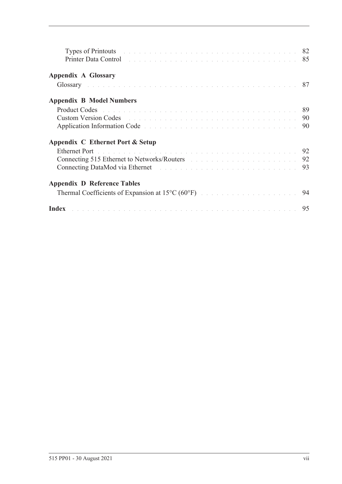| Types of Printouts and a contract the contract of the contract of the contract of the S2<br>Printer Data Control and a control of the control of the control of the control of the control of the control of the control of the control of the control of the control of the control of the control of the control of the |    |
|---------------------------------------------------------------------------------------------------------------------------------------------------------------------------------------------------------------------------------------------------------------------------------------------------------------------------|----|
| <b>Appendix A Glossary</b>                                                                                                                                                                                                                                                                                                |    |
| Glossary received a resource in the contract of the contract of the contract of $87$                                                                                                                                                                                                                                      |    |
| <b>Appendix B Model Numbers</b>                                                                                                                                                                                                                                                                                           |    |
| Product Codes And Andrew March 2014 and Andrew March 2014 and Andrew March 2014                                                                                                                                                                                                                                           | 89 |
| Custom Version Codes and the contract of the contract of the contract of the contract of the contract of the contract of the contract of the contract of the contract of the contract of the contract of the contract of the c                                                                                            | 90 |
| Application Information Code entertainment and the contract of the state of the state of the state of the state of the state of the state of the state of the state of the state of the state of the state of the state of the                                                                                            |    |
| Appendix C Ethernet Port & Setup                                                                                                                                                                                                                                                                                          |    |
| Ethernet Port de la communication de la communication de la communication de la communication de la communication de la communication de la communication de la communication de la communication de la communication de la co                                                                                            |    |
|                                                                                                                                                                                                                                                                                                                           |    |
|                                                                                                                                                                                                                                                                                                                           |    |
| <b>Appendix D Reference Tables</b>                                                                                                                                                                                                                                                                                        |    |
| Thermal Coefficients of Expansion at 15°C (60°F) and the substitution of 94                                                                                                                                                                                                                                               |    |
| Index resources a construction of the contract of the construction of the 195                                                                                                                                                                                                                                             |    |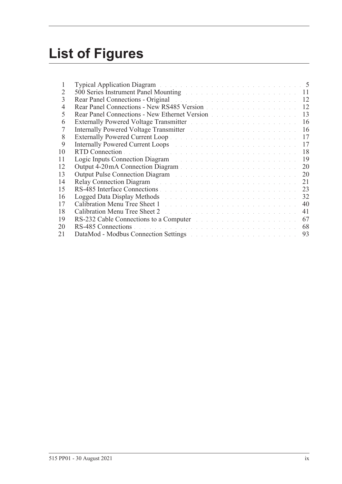# **List of Figures**

| T              | Typical Application Diagram and a contract of the contract of the contract of the 5                                                                                                                                            |    |
|----------------|--------------------------------------------------------------------------------------------------------------------------------------------------------------------------------------------------------------------------------|----|
| 2              | 500 Series Instrument Panel Mounting and a contract of the series of the series of the series of the series of                                                                                                                 | 11 |
| 3              | Rear Panel Connections - Original entrepreneur and a series of the series of the 12                                                                                                                                            |    |
| $\overline{4}$ | Rear Panel Connections - New RS485 Version                                                                                                                                                                                     | 12 |
| 5              | Rear Panel Connections - New Ethernet Version                                                                                                                                                                                  | 13 |
| 6              | Externally Powered Voltage Transmitter Marshall and Alexandre and Alexandre and Alexandre and Alexandre and Alexandre and Alexandre and Alexandre and Alexandre and Alexandre and Alexandre and Alexandre and Alexandre and Al | 16 |
| 7              | Internally Powered Voltage Transmitter March 2014 and March 2014                                                                                                                                                               | 16 |
| 8              |                                                                                                                                                                                                                                | 17 |
| 9              | Internally Powered Current Loops and a contract of the contract of the contract of the contract of the contract of the contract of the contract of the contract of the contract of the contract of the contract of the contrac | 17 |
| 10             |                                                                                                                                                                                                                                | 18 |
| 11             | Logic Inputs Connection Diagram and a connection of the Connection of the Connection of the Connection of the Connection of the Connection of the Connection of the Connection of the Connection of the Connection of the Conn | 19 |
| 12             |                                                                                                                                                                                                                                | 20 |
| 13             | Output Pulse Connection Diagram and a connection of the Connection of the Connection of the Connection of the Connection of the Connection of the Connection of the Connection of the Connection of the Connection of the Conn | 20 |
| 14             | Relay Connection Diagram and a connection of the connection of the Connection of the Connection of the Connection of the Connection of the Connection of the Connection of the Connection of the Connection of the Connection  | 21 |
| 15             |                                                                                                                                                                                                                                | 23 |
| 16             | Logged Data Display Methods and a contract the contract of the contract of the contract of the contract of the                                                                                                                 | 32 |
| 17             |                                                                                                                                                                                                                                | 40 |
| 18             |                                                                                                                                                                                                                                | 41 |
| 19             | RS-232 Cable Connections to a Computer and a substitution of the set of the set of the set of the set of the set of the set of the set of the set of the set of the set of the set of the set of the set of the set of the set | 67 |
| 20             |                                                                                                                                                                                                                                | 68 |
| 21             | DataMod - Modbus Connection Settings and the connection of the connection of the connection of the connection of the connection of the connection of the connection of the connection of the connection of the connection of t | 93 |
|                |                                                                                                                                                                                                                                |    |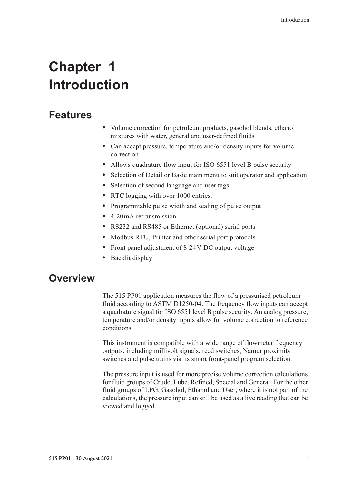# <span id="page-10-0"></span>**Chapter 1 Introduction**

## <span id="page-10-1"></span>**Features**

- **•** Volume correction for petroleum products, gasohol blends, ethanol mixtures with water, general and user-defined fluids
- **•** Can accept pressure, temperature and/or density inputs for volume correction
- Allows quadrature flow input for ISO 6551 level B pulse security
- **•** Selection of Detail or Basic main menu to suit operator and application
- **•** Selection of second language and user tags
- RTC logging with over 1000 entries.
- **•** Programmable pulse width and scaling of pulse output
- **•** 4-20 mA retransmission
- **•** RS232 and RS485 or Ethernet (optional) serial ports
- **•** Modbus RTU, Printer and other serial port protocols
- **•** Front panel adjustment of 8-24 V DC output voltage
- **•** Backlit display

## <span id="page-10-2"></span>**Overview**

The 515 PP01 application measures the flow of a pressurised petroleum fluid according to ASTM D1250-04. The frequency flow inputs can accept a quadrature signal for ISO 6551 level B pulse security. An analog pressure, temperature and/or density inputs allow for volume correction to reference conditions.

This instrument is compatible with a wide range of flowmeter frequency outputs, including millivolt signals, reed switches, Namur proximity switches and pulse trains via its smart front-panel program selection.

The pressure input is used for more precise volume correction calculations for fluid groups of Crude, Lube, Refined, Special and General. For the other fluid groups of LPG, Gasohol, Ethanol and User, where it is not part of the calculations, the pressure input can still be used as a live reading that can be viewed and logged.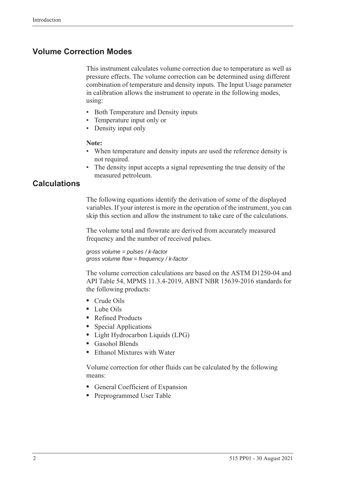## <span id="page-11-0"></span>**Volume Correction Modes**

This instrument calculates volume correction due to temperature as well as pressure effects. The volume correction can be determined using different combination of temperature and density inputs. The Input Usage parameter in calibration allows the instrument to operate in the following modes, using:

- Both Temperature and Density inputs
- Temperature input only or
- Density input only

#### **Note:**

- When temperature and density inputs are used the reference density is not required.
- The density input accepts a signal representing the true density of the measured petroleum.

## <span id="page-11-1"></span>**Calculations**

The following equations identify the derivation of some of the displayed variables. If your interest is more in the operation of the instrument, you can skip this section and allow the instrument to take care of the calculations.

The volume total and flowrate are derived from accurately measured frequency and the number of received pulses.

*gross volume = pulses / k-factor gross volume flow = frequency / k-factor*

The volume correction calculations are based on the ASTM D1250-04 and API Table 54, MPMS 11.3.4-2019, ABNT NBR 15639-2016 standards for the following products:

- **•** Crude Oils
- **•** Lube Oils
- **•** Refined Products
- **•** Special Applications
- **•** Light Hydrocarbon Liquids (LPG)
- **•** Gasohol Blends
- **•** Ethanol Mixtures with Water

Volume correction for other fluids can be calculated by the following means:

- **•** General Coefficient of Expansion
- **•** Preprogrammed User Table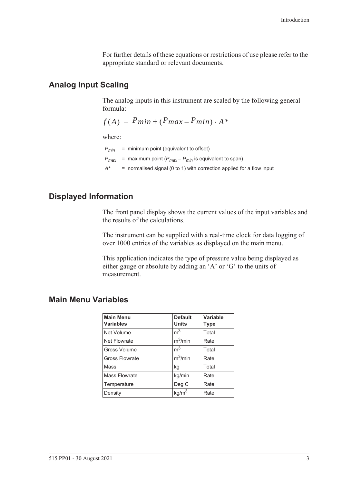For further details of these equations or restrictions of use please refer to the appropriate standard or relevant documents.

#### <span id="page-12-0"></span>**Analog Input Scaling**

The analog inputs in this instrument are scaled by the following general formula:

$$
f(A) = P_{min} + (P_{max} - P_{min}) \cdot A^*
$$

where:

 $P_{min}$  = minimum point (equivalent to offset)  $P_{max}$  = maximum point ( $P_{max} - P_{min}$  is equivalent to span) *A\** = normalised signal (0 to 1) with correction applied for a flow input

### <span id="page-12-1"></span>**Displayed Information**

The front panel display shows the current values of the input variables and the results of the calculations.

The instrument can be supplied with a real-time clock for data logging of over 1000 entries of the variables as displayed on the main menu.

This application indicates the type of pressure value being displayed as either gauge or absolute by adding an 'A' or 'G' to the units of measurement.

## <span id="page-12-2"></span>**Main Menu Variables**

| <b>Main Menu</b><br><b>Variables</b> | <b>Default</b><br><b>Units</b> | Variable<br>Type |
|--------------------------------------|--------------------------------|------------------|
| Net Volume                           | m <sup>3</sup>                 | Total            |
| Net Flowrate                         | $m^3/m$ in                     | Rate             |
| Gross Volume                         | m <sup>3</sup>                 | Total            |
| <b>Gross Flowrate</b>                | $m^3/m$ in                     | Rate             |
| Mass                                 | kg                             | Total            |
| <b>Mass Flowrate</b>                 | kg/min                         | Rate             |
| Temperature                          | Deg C                          | Rate             |
| Density                              | kg/m <sup>3</sup>              | Rate             |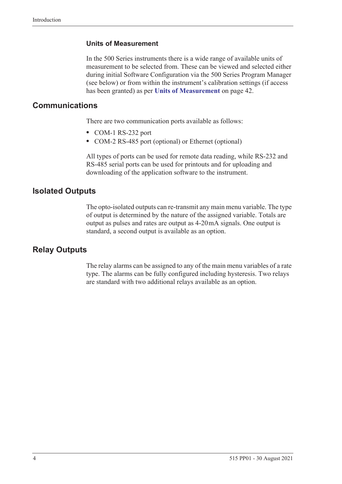#### **Units of Measurement**

In the 500 Series instruments there is a wide range of available units of measurement to be selected from. These can be viewed and selected either during initial Software Configuration via the 500 Series Program Manager (see below) or from within the instrument's calibration settings (if access has been granted) as per **[Units of Measurement](#page-51-2)** on page 42.

### <span id="page-13-0"></span>**Communications**

There are two communication ports available as follows:

- **•** COM-1 RS-232 port
- **•** COM-2 RS-485 port (optional) or Ethernet (optional)

All types of ports can be used for remote data reading, while RS-232 and RS-485 serial ports can be used for printouts and for uploading and downloading of the application software to the instrument.

### <span id="page-13-1"></span>**Isolated Outputs**

The opto-isolated outputs can re-transmit any main menu variable. The type of output is determined by the nature of the assigned variable. Totals are output as pulses and rates are output as 4-20 mA signals. One output is standard, a second output is available as an option.

## <span id="page-13-2"></span>**Relay Outputs**

The relay alarms can be assigned to any of the main menu variables of a rate type. The alarms can be fully configured including hysteresis. Two relays are standard with two additional relays available as an option.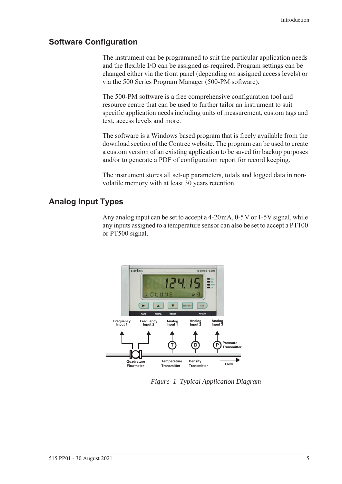#### <span id="page-14-0"></span>**Software Configuration**

The instrument can be programmed to suit the particular application needs and the flexible I/O can be assigned as required. Program settings can be changed either via the front panel (depending on assigned access levels) or via the 500 Series Program Manager (500-PM software).

The 500-PM software is a free comprehensive configuration tool and resource centre that can be used to further tailor an instrument to suit specific application needs including units of measurement, custom tags and text, access levels and more.

The software is a Windows based program that is freely available from the download section of the Contrec website. The program can be used to create a custom version of an existing application to be saved for backup purposes and/or to generate a PDF of configuration report for record keeping.

The instrument stores all set-up parameters, totals and logged data in nonvolatile memory with at least 30 years retention.

## <span id="page-14-1"></span>**Analog Input Types**

Any analog input can be set to accept a 4-20 mA, 0-5 V or 1-5 V signal, while any inputs assigned to a temperature sensor can also be set to accept a PT100 or PT500 signal.

<span id="page-14-2"></span>

*Figure 1 Typical Application Diagram*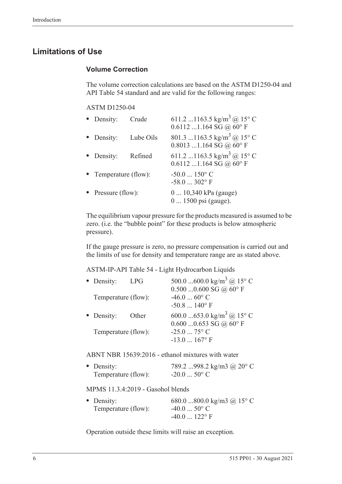## <span id="page-15-0"></span>**Limitations of Use**

#### **Volume Correction**

The volume correction calculations are based on the ASTM D1250-04 and API Table 54 standard and are valid for the following ranges:

#### ASTM D1250-04

| • Density:            | Crude     | 611.2 1163.5 kg/m <sup>3</sup> @ 15° C<br>$0.6112$ 1.164 SG @ 60° F |
|-----------------------|-----------|---------------------------------------------------------------------|
| • Density:            | Lube Oils | 801.3 1163.5 kg/m <sup>3</sup> @ 15° C<br>$0.8013$ 1.164 SG @ 60° F |
| • Density:            | Refined   | 611.2 1163.5 kg/m <sup>3</sup> @ 15° C<br>$0.6112$ 1.164 SG @ 60° F |
| • Temperature (flow): |           | $-50.0$ $150^{\circ}$ C<br>$-58.0$ 302° F                           |
| • Pressure (flow):    |           | $0 10,340$ kPa (gauge)<br>$01500$ psi (gauge).                      |

The equilibrium vapour pressure for the products measured is assumed to be zero. (i.e. the "bubble point" for these products is below atmospheric pressure).

If the gauge pressure is zero, no pressure compensation is carried out and the limits of use for density and temperature range are as stated above.

ASTM-IP-API Table 54 - Light Hydrocarbon Liquids

| • Density:          | <b>LPG</b> | 500.0 600.0 kg/m <sup>3</sup> @ 15° C                                       |
|---------------------|------------|-----------------------------------------------------------------------------|
| Temperature (flow): |            | $0.5000.600$ SG $\omega\,60^\circ$ F<br>$-46.060$ °C<br>$-50.8$ 140° F      |
| • Density:          | Other      | 600.0 653.0 kg/m <sup>3</sup> @ 15° C                                       |
| Temperature (flow): |            | $0.6000.653$ SG @ $60^{\circ}$ F<br>$-25.075$ °C<br>$-13.0$ $167^{\circ}$ F |

ABNT NBR 15639:2016 - ethanol mixtures with water

• Density: 789.2 ...998.2 kg/m3 @ 20° C Temperature (flow):  $-20.0$  ...  $50^{\circ}$  C

MPMS 11.3.4:2019 - Gasohol blends

| • Density:          | 680.0 800.0 kg/m3 @ 15° C |
|---------------------|---------------------------|
| Temperature (flow): | $-40.0$ $50^{\circ}$ C    |
|                     | $-40.0$ 122 $\degree$ F   |

Operation outside these limits will raise an exception.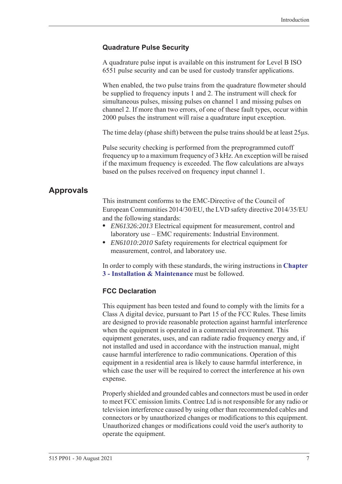#### **Quadrature Pulse Security**

A quadrature pulse input is available on this instrument for Level B ISO 6551 pulse security and can be used for custody transfer applications.

When enabled, the two pulse trains from the quadrature flowmeter should be supplied to frequency inputs 1 and 2. The instrument will check for simultaneous pulses, missing pulses on channel 1 and missing pulses on channel 2. If more than two errors, of one of these fault types, occur within 2000 pulses the instrument will raise a quadrature input exception.

The time delay (phase shift) between the pulse trains should be at least  $25\mu s$ .

Pulse security checking is performed from the preprogrammed cutoff frequency up to a maximum frequency of 3 kHz. An exception will be raised if the maximum frequency is exceeded. The flow calculations are always based on the pulses received on frequency input channel 1.

## <span id="page-16-0"></span>**Approvals**

This instrument conforms to the EMC-Directive of the Council of European Communities 2014/30/EU, the LVD safety directive 2014/35/EU and the following standards:

- **•** *EN61326:2013* Electrical equipment for measurement, control and laboratory use – EMC requirements: Industrial Environment.
- **•** *EN61010:2010* Safety requirements for electrical equipment for measurement, control, and laboratory use.

In order to comply with these standards, the wiring instructions in **[Chapter](#page-20-5)  [3 - Installation & Maintenance](#page-20-5)** must be followed.

#### **FCC Declaration**

This equipment has been tested and found to comply with the limits for a Class A digital device, pursuant to Part 15 of the FCC Rules. These limits are designed to provide reasonable protection against harmful interference when the equipment is operated in a commercial environment. This equipment generates, uses, and can radiate radio frequency energy and, if not installed and used in accordance with the instruction manual, might cause harmful interference to radio communications. Operation of this equipment in a residential area is likely to cause harmful interference, in which case the user will be required to correct the interference at his own expense.

Properly shielded and grounded cables and connectors must be used in order to meet FCC emission limits. Contrec Ltd is not responsible for any radio or television interference caused by using other than recommended cables and connectors or by unauthorized changes or modifications to this equipment. Unauthorized changes or modifications could void the user's authority to operate the equipment.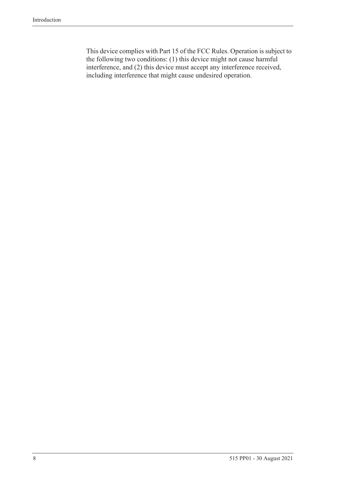This device complies with Part 15 of the FCC Rules. Operation is subject to the following two conditions: (1) this device might not cause harmful interference, and (2) this device must accept any interference received, including interference that might cause undesired operation.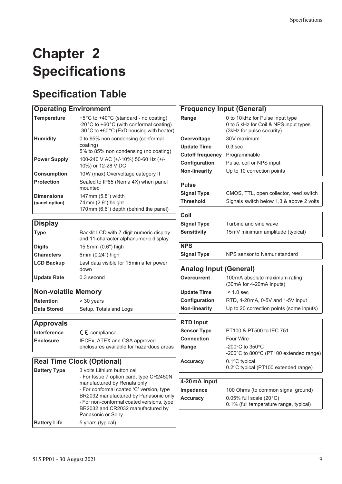# <span id="page-18-0"></span>**Chapter 2 Specifications**

# <span id="page-18-1"></span>**Specification Table**

## **Operating Environment**

| <b>Temperature</b>                  | +5°C to +40°C (standard - no coating)<br>-20°C to +60°C (with conformal coating)<br>-30°C to +60°C (ExD housing with heater) |
|-------------------------------------|------------------------------------------------------------------------------------------------------------------------------|
| <b>Humidity</b>                     | 0 to 95% non condensing (conformal<br>coating)<br>5% to 85% non condensing (no coating)                                      |
| <b>Power Supply</b>                 | 100-240 V AC (+/-10%) 50-60 Hz (+/-<br>10%) or 12-28 V DC                                                                    |
| <b>Consumption</b>                  | 10W (max) Overvoltage category II                                                                                            |
| <b>Protection</b>                   | Sealed to IP65 (Nema 4X) when panel<br>mounted                                                                               |
| <b>Dimensions</b><br>(panel option) | 147 mm (5.8") width<br>74 mm (2.9") height<br>170mm (6.6") depth (behind the panel)                                          |

## **Display**

| <b>Type</b>        | Backlit LCD with 7-digit numeric display<br>and 11-character alphanumeric display |
|--------------------|-----------------------------------------------------------------------------------|
| <b>Digits</b>      | $15.5$ mm $(0.6")$ high                                                           |
| <b>Characters</b>  | 6 $mm(0.24")$ high                                                                |
| <b>LCD Backup</b>  | Last data visible for 15 min after power<br>down                                  |
| <b>Update Rate</b> | $0.3$ second                                                                      |

#### **Range** 0 to 10 kHz for Pulse input type 0 to 5 kHz for Coil & NPS input types (3kHz for pulse security) **Overvoltage** 30V maximum **Update Time** 0.3 sec **Cutoff frequency** Programmable **Configuration** Pulse, coil or NPS input **Non-linearity** Up to 10 correction points **Pulse Signal Type** CMOS, TTL, open collector, reed switch

**Frequency Input (General)**

**Threshold** Signals switch below 1.3 & above 2 volts

| Co <sub>i</sub> |                                  |
|-----------------|----------------------------------|
| Signal Type     | Turbine and sine wave            |
| Sensitivity     | 15mV minimum amplitude (typical) |

## **NPS**

**Signal Type** NPS sensor to Namur standard

#### **Analog Input (General)**

| 100 mA absolute maximum rating<br>(30mA for 4-20mA inputs) |
|------------------------------------------------------------|
| $< 1.0$ sec                                                |
| RTD, 4-20 mA, 0-5V and 1-5V input                          |
| Up to 20 correction points (some inputs)                   |
|                                                            |

## **Data Stored** Setup, Totals and Logs **Approvals**

**Non-volatile Memory Retention** > 30 years

| , , , , , , , , , , , , |                                          |
|-------------------------|------------------------------------------|
| <b>Interference</b>     | $C \in \mathbb{C}$ compliance            |
| <b>Enclosure</b>        | IECEx, ATEX and CSA approved             |
|                         | enclosures available for hazardous areas |

#### **Real Time Clock (Optional) Battery Type** 3 volts Lithium button cell

| PQUUUH V UVU        | <u>o voito Litinum putton och</u>         |
|---------------------|-------------------------------------------|
|                     | - For Issue 7 option card, type CR2450N   |
|                     | manufactured by Renata only               |
|                     | - For conformal coated 'C' version, type  |
|                     | BR2032 manufactured by Panasonic only     |
|                     | - For non-conformal coated versions, type |
|                     | BR2032 and CR2032 manufactured by         |
|                     | Panasonic or Sony                         |
| <b>Battery Life</b> | 5 years (typical)                         |
|                     |                                           |

| 4-20mA Input       | $\overline{100.01}$ $\overline{11}$ $\overline{11}$ $\overline{11}$ $\overline{11}$ $\overline{11}$ $\overline{11}$ $\overline{11}$ $\overline{11}$ $\overline{11}$ $\overline{11}$ $\overline{11}$ $\overline{11}$ $\overline{11}$ $\overline{11}$ $\overline{11}$ $\overline{11}$ $\overline{11}$ $\overline{11}$ $\overline{11}$ $\overline{11}$ $\overline{11$ |
|--------------------|--------------------------------------------------------------------------------------------------------------------------------------------------------------------------------------------------------------------------------------------------------------------------------------------------------------------------------------------------------------------|
|                    | 0.2°C typical (PT100 extended range)                                                                                                                                                                                                                                                                                                                               |
| <b>Accuracy</b>    | $0.1^{\circ}$ C typical                                                                                                                                                                                                                                                                                                                                            |
| Range              | $-200\degree$ C to 350 $\degree$ C<br>-200°C to 800°C (PT100 extended range)                                                                                                                                                                                                                                                                                       |
| Connection         | Four Wire                                                                                                                                                                                                                                                                                                                                                          |
| <b>Sensor Type</b> | PT100 & PT500 to IEC 751                                                                                                                                                                                                                                                                                                                                           |
| <b>RTD Input</b>   |                                                                                                                                                                                                                                                                                                                                                                    |

| Impedance       | 100 Ohms (to common signal ground)     |
|-----------------|----------------------------------------|
| <b>Accuracy</b> | 0.05% full scale $(20^{\circ}C)$       |
|                 | 0.1% (full temperature range, typical) |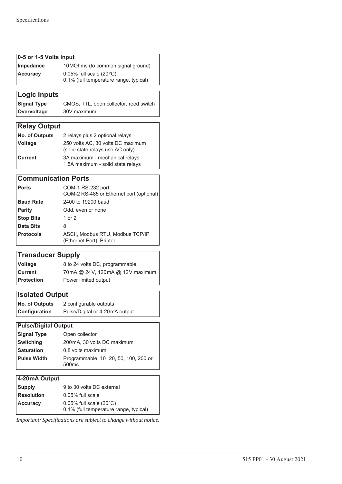| $ 0-5$ or 1-5 Volts Input |                                        |  |  |  |
|---------------------------|----------------------------------------|--|--|--|
| $ Im$ pedance             | 10 MOhms (to common signal ground)     |  |  |  |
| <b>Accuracy</b>           | 0.05% full scale $(20^{\circ}C)$       |  |  |  |
|                           | 0.1% (full temperature range, typical) |  |  |  |

## **Logic Inputs**

| <b>Signal Type</b> | CMOS, TTL, open collector, reed switch |  |  |  |  |
|--------------------|----------------------------------------|--|--|--|--|
| Overvoltage        | 30V maximum                            |  |  |  |  |

## **Relay Output**

| No. of Outputs | 2 relays plus 2 optional relays                                       |  |  |
|----------------|-----------------------------------------------------------------------|--|--|
| Voltage        | 250 volts AC, 30 volts DC maximum<br>(solid state relays use AC only) |  |  |
| <b>Current</b> | 3A maximum - mechanical relays<br>1.5A maximum - solid state relays   |  |  |

### **Communication Ports**

| Ports            | COM-1 RS-232 port<br>COM-2 RS-485 or Ethernet port (optional) |  |  |  |  |  |
|------------------|---------------------------------------------------------------|--|--|--|--|--|
| <b>Baud Rate</b> | 2400 to 19200 baud                                            |  |  |  |  |  |
| Parity           | Odd, even or none                                             |  |  |  |  |  |
| <b>Stop Bits</b> | 1 or 2                                                        |  |  |  |  |  |
| Data Bits        | 8                                                             |  |  |  |  |  |
| <b>Protocols</b> | ASCII, Modbus RTU, Modbus TCP/IP<br>(Ethernet Port), Printer  |  |  |  |  |  |

## **Transducer Supply**

| <b>Voltage</b>    | 8 to 24 volts DC, programmable      |  |  |  |  |
|-------------------|-------------------------------------|--|--|--|--|
| Current           | 70 mA @ 24 V, 120 mA @ 12 V maximum |  |  |  |  |
| <b>Protection</b> | Power limited output                |  |  |  |  |

### **Isolated Output**

| <b>No. of Outputs</b> | 2 configurable outputs         |  |  |  |
|-----------------------|--------------------------------|--|--|--|
| Configuration         | Pulse/Digital or 4-20mA output |  |  |  |

### **Pulse/Digital Output**

| <b>Switching</b><br>200 mA, 30 volts DC maximum<br>0.8 volts maximum<br><b>Saturation</b><br><b>Pulse Width</b><br>Programmable: 10, 20, 50, 100, 200 or<br>500 <sub>ms</sub> | <b>Signal Type</b> | Open collector |  |  |  |
|-------------------------------------------------------------------------------------------------------------------------------------------------------------------------------|--------------------|----------------|--|--|--|
|                                                                                                                                                                               |                    |                |  |  |  |
|                                                                                                                                                                               |                    |                |  |  |  |
|                                                                                                                                                                               |                    |                |  |  |  |

## **4-20 mA Output**

| <b>Supply</b>     | 9 to 30 volts DC external                                                       |  |  |  |
|-------------------|---------------------------------------------------------------------------------|--|--|--|
| <b>Resolution</b> | $0.05\%$ full scale                                                             |  |  |  |
| <b>Accuracy</b>   | $0.05\%$ full scale (20 $^{\circ}$ C)<br>0.1% (full temperature range, typical) |  |  |  |

*Important: Specifications are subject to change without notice.*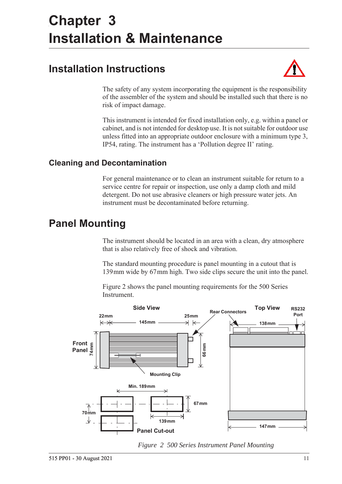# <span id="page-20-5"></span><span id="page-20-0"></span>**Chapter 3 Installation & Maintenance**

# <span id="page-20-1"></span>**Installation Instructions**



The safety of any system incorporating the equipment is the responsibility of the assembler of the system and should be installed such that there is no risk of impact damage.

This instrument is intended for fixed installation only, e.g. within a panel or cabinet, and is not intended for desktop use. It is not suitable for outdoor use unless fitted into an appropriate outdoor enclosure with a minimum type 3, IP54, rating. The instrument has a 'Pollution degree II' rating.

## <span id="page-20-2"></span>**Cleaning and Decontamination**

For general maintenance or to clean an instrument suitable for return to a service centre for repair or inspection, use only a damp cloth and mild detergent. Do not use abrasive cleaners or high pressure water jets. An instrument must be decontaminated before returning.

# <span id="page-20-3"></span>**Panel Mounting**

The instrument should be located in an area with a clean, dry atmosphere that is also relatively free of shock and vibration.

The standard mounting procedure is panel mounting in a cutout that is 139 mm wide by 67 mm high. Two side clips secure the unit into the panel.

[Figure 2](#page-20-4) shows the panel mounting requirements for the 500 Series Instrument.



<span id="page-20-4"></span>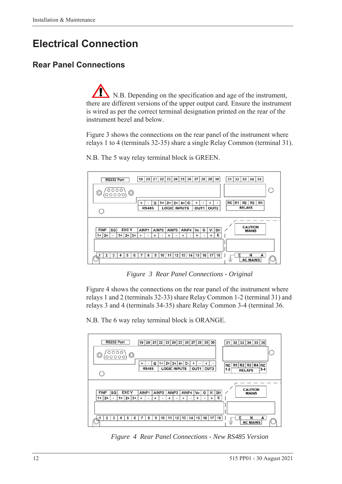# <span id="page-21-0"></span>**Electrical Connection**

## <span id="page-21-1"></span>**Rear Panel Connections**

N.B. Depending on the specification and age of the instrument, there are different versions of the upper output card. Ensure the instrument is wired as per the correct terminal designation printed on the rear of the instrument bezel and below.

[Figure 3](#page-21-2) shows the connections on the rear panel of the instrument where relays 1 to 4 (terminals 32-35) share a single Relay Common (terminal 31).



N.B. The 5 way relay terminal block is GREEN.

*Figure 3 Rear Panel Connections - Original*

<span id="page-21-2"></span>[Figure 4](#page-21-3) shows the connections on the rear panel of the instrument where relays 1 and 2 (terminals 32-33) share Relay Common 1-2 (terminal 31) and relays 3 and 4 (terminals 34-35) share Relay Common 3-4 (terminal 36.

N.B. The 6 way relay terminal block is ORANGE.



<span id="page-21-3"></span>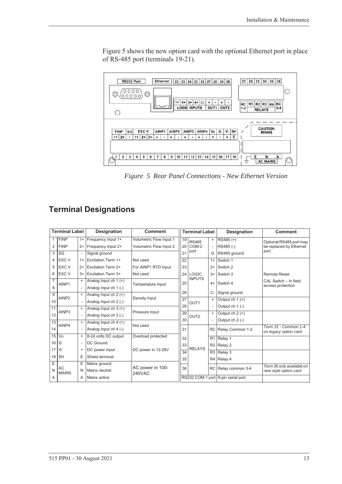[Figure 5](#page-22-1) shows the new option card with the optional Ethernet port in place of RS-485 port (terminals 19-21).



<span id="page-22-1"></span>*Figure 5 Rear Panel Connections - New Ethernet Version*

## <span id="page-22-0"></span>**Terminal Designations**

| <b>Terminal Label</b> |                    |                          | <b>Designation</b>        | <b>Comment</b>                    | <b>Terminal Label</b> |                  |           | <b>Designation</b>                 | <b>Comment</b>                                |
|-----------------------|--------------------|--------------------------|---------------------------|-----------------------------------|-----------------------|------------------|-----------|------------------------------------|-----------------------------------------------|
| $\mathbf{1}$          | <b>FINP</b>        | $1+$                     | Frequency Input 1+        | Volumetric Flow Input 1           | 19                    | <b>RS485</b>     | $\ddot{}$ | RS485 (+)                          | Optional RS485 port may                       |
| 2                     | <b>FINP</b>        | $2+$                     | Frequency Input 2+        | Volumetric Flow Input 2           |                       | 20 COM-2         |           | RS485 (-)                          | be replaced by Ethernet                       |
| 3                     | <b>SG</b>          | $\blacksquare$           | Signal ground             |                                   | 21                    | port             | G         | RS485 ground                       | port.                                         |
| 4                     | <b>EXC V</b>       | $1+$                     | <b>Excitation Term 1+</b> | Not used                          | 22                    |                  | $1+$      | Switch 1                           |                                               |
| 5                     | EXC V              | $2+$                     | Excitation Term 2+        | For AINP1 RTD Input               | 23                    |                  | $2+$      | Switch 2                           |                                               |
| 6                     | <b>EXC V</b>       | $3+$                     | <b>Excitation Term 3+</b> | Not used                          | 24 <sub>1</sub>       | <b>LOGIC</b>     | $3+$      | Switch 3                           | <b>Remote Reset</b>                           |
| $\overline{7}$        | AINP1              | $\ddot{}$                | Analog Input ch $1 (+)$   | Temperature Input                 | 25                    | <b>INPUTS</b>    | $4+$      | Switch 4                           | CAL Switch - In field                         |
| 8                     |                    | $\blacksquare$           | Analog Input ch 1 (-)     |                                   |                       |                  |           |                                    | access protection                             |
| 9                     |                    | $\ddot{}$                | Analog Input ch $2 (+)$   |                                   | 26                    |                  | C-        | Signal ground                      |                                               |
| 10                    | AINP <sub>2</sub>  |                          | Analog Input ch 2 (-)     | Density Input                     | 27                    | OUT <sub>1</sub> | $\ddot{}$ | Output ch $1 (+)$                  |                                               |
| 11                    |                    | $\ddot{}$                | Analog Input ch $3 (+)$   |                                   | 28                    |                  |           | Output ch 1 (-)                    |                                               |
| 12                    | AINP3              | $\overline{\phantom{a}}$ | Analog Input ch 3 (-)     | Pressure Input                    | 29                    | OUT <sub>2</sub> | $+$       | Output ch $2 (+)$                  |                                               |
| 13                    |                    | $\ddot{}$                | Analog Input ch $4 (+)$   |                                   | 30                    |                  |           | Output ch 2 (-)                    |                                               |
| 14                    | AINP4              | $\blacksquare$           | Analog Input ch 4 (-)     | Not used                          | 31                    |                  |           | RC Relay Common 1-2                | Term 31 - Common 1-4<br>on legacy option card |
| 15                    | <b>Vo</b>          | $\ddot{}$                | 8-24 volts DC output      | Overload protected                | 32                    |                  | R1        | Relay 1                            |                                               |
| 16                    | G                  | $\overline{\phantom{a}}$ | DC Ground                 |                                   | 33                    |                  |           | $R2$ Relay 2                       |                                               |
| 17 <sup>1</sup>       | l Vi               | $\ddot{}$                | DC power input            | DC power in 12-28V                | 34                    | <b>RELAYS</b>    |           | $R3$ Relay 3                       |                                               |
| 18                    | <b>SH</b>          | E                        | Shield terminal           |                                   | 35                    |                  | R4        | Relay 4                            |                                               |
| E                     |                    | Ε                        | Mains ground              |                                   |                       |                  |           |                                    | Term 36 only available on                     |
| N                     | AC<br><b>MAINS</b> | N                        | Mains neutral             | AC power in 100-<br><b>240VAC</b> | 36                    |                  |           | RC Relay common 3-4                | new style option card                         |
| A                     |                    | A                        | Mains active              |                                   |                       |                  |           | RS232 COM-1 port 9-pin serial port |                                               |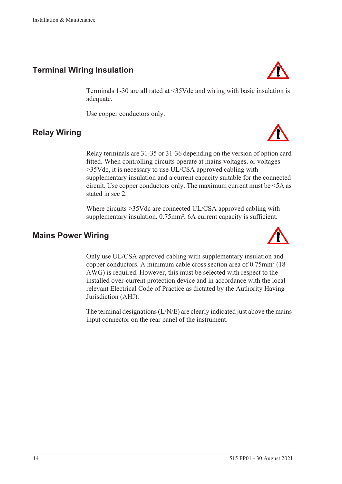## <span id="page-23-0"></span>**Terminal Wiring Insulation**

Terminals 1-30 are all rated at <35Vdc and wiring with basic insulation is adequate.

Use copper conductors only.

## <span id="page-23-1"></span>**Relay Wiring**

Relay terminals are 31-35 or 31-36 depending on the version of option card fitted. When controlling circuits operate at mains voltages, or voltages >35Vdc, it is necessary to use UL/CSA approved cabling with supplementary insulation and a current capacity suitable for the connected circuit. Use copper conductors only. The maximum current must be <5A as stated in sec 2.

Where circuits >35Vdc are connected UL/CSA approved cabling with supplementary insulation. 0.75mm<sup>2</sup>, 6A current capacity is sufficient.

## <span id="page-23-2"></span>**Mains Power Wiring**

Only use UL/CSA approved cabling with supplementary insulation and copper conductors. A minimum cable cross section area of 0.75mm² (18 AWG) is required. However, this must be selected with respect to the installed over-current protection device and in accordance with the local relevant Electrical Code of Practice as dictated by the Authority Having Jurisdiction (AHJ).

The terminal designations (L/N/E) are clearly indicated just above the mains input connector on the rear panel of the instrument.



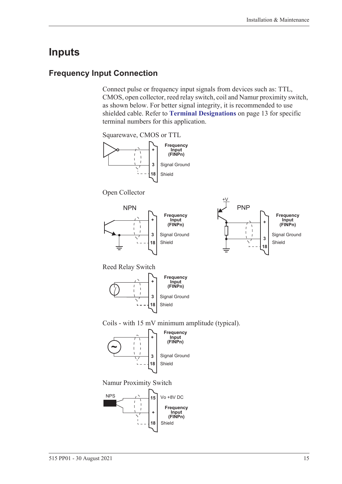# <span id="page-24-0"></span>**Inputs**

## <span id="page-24-1"></span>**Frequency Input Connection**

Connect pulse or frequency input signals from devices such as: TTL, CMOS, open collector, reed relay switch, coil and Namur proximity switch, as shown below. For better signal integrity, it is recommended to use shielded cable. Refer to **[Terminal Designations](#page-22-0)** on page 13 for specific terminal numbers for this application.

Squarewave, CMOS or TTL



Open Collector





Reed Relay Switch



Coils - with 15 mV minimum amplitude (typical).



Namur Proximity Switch

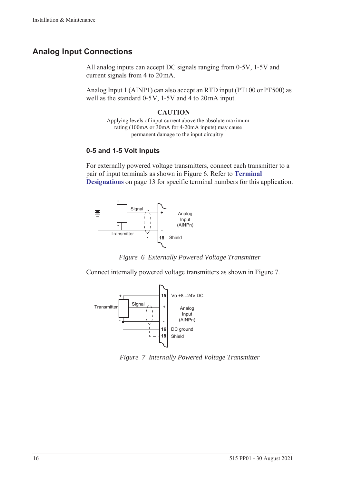## <span id="page-25-0"></span>**Analog Input Connections**

All analog inputs can accept DC signals ranging from 0-5V, 1-5V and current signals from 4 to 20 mA.

Analog Input 1 (AINP1) can also accept an RTD input (PT100 or PT500) as well as the standard  $0-5V$ ,  $1-5V$  and  $4$  to  $20mA$  input.

#### **CAUTION**

Applying levels of input current above the absolute maximum rating (100mA or 30mA for 4-20mA inputs) may cause permanent damage to the input circuitry.

#### **0-5 and 1-5 Volt Inputs**

For externally powered voltage transmitters, connect each transmitter to a pair of input terminals as shown in [Figure 6](#page-25-1). Refer to **[Terminal](#page-22-0)  [Designations](#page-22-0)** on page 13 for specific terminal numbers for this application.





<span id="page-25-1"></span>Connect internally powered voltage transmitters as shown in [Figure 7.](#page-25-2)



<span id="page-25-2"></span>*Figure 7 Internally Powered Voltage Transmitter*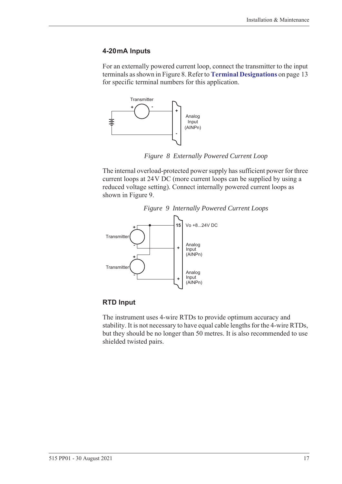#### **4-20 mA Inputs**

For an externally powered current loop, connect the transmitter to the input terminals as shown in [Figure 8.](#page-26-0) Refer to **[Terminal Designations](#page-22-0)** on page 13 for specific terminal numbers for this application.



*Figure 8 Externally Powered Current Loop*

<span id="page-26-0"></span>The internal overload-protected power supply has sufficient power for three current loops at 24 V DC (more current loops can be supplied by using a reduced voltage setting). Connect internally powered current loops as shown in [Figure 9.](#page-26-1)

<span id="page-26-1"></span>

#### *Figure 9 Internally Powered Current Loops*

#### **RTD Input**

The instrument uses 4-wire RTDs to provide optimum accuracy and stability. It is not necessary to have equal cable lengths for the 4-wire RTDs, but they should be no longer than 50 metres. It is also recommended to use shielded twisted pairs.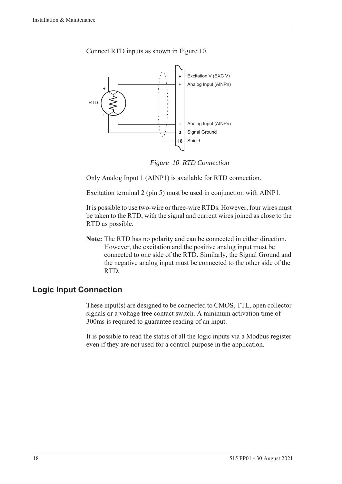

Connect RTD inputs as shown in [Figure 10.](#page-27-1)

*Figure 10 RTD Connection*

<span id="page-27-1"></span>Only Analog Input 1 (AINP1) is available for RTD connection.

Excitation terminal 2 (pin 5) must be used in conjunction with AINP1.

It is possible to use two-wire or three-wire RTDs. However, four wires must be taken to the RTD, with the signal and current wires joined as close to the RTD as possible.

**Note:** The RTD has no polarity and can be connected in either direction. However, the excitation and the positive analog input must be connected to one side of the RTD. Similarly, the Signal Ground and the negative analog input must be connected to the other side of the RTD.

## <span id="page-27-0"></span>**Logic Input Connection**

These input(s) are designed to be connected to CMOS, TTL, open collector signals or a voltage free contact switch. A minimum activation time of 300ms is required to guarantee reading of an input.

It is possible to read the status of all the logic inputs via a Modbus register even if they are not used for a control purpose in the application.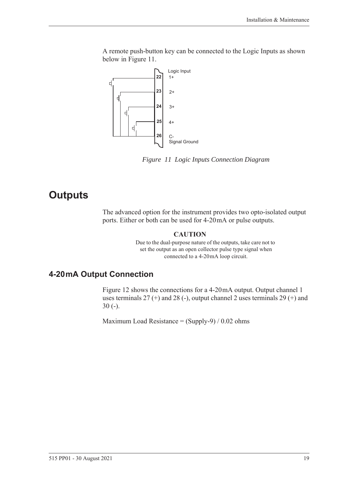A remote push-button key can be connected to the Logic Inputs as shown below in [Figure 11.](#page-28-2)



<span id="page-28-2"></span>*Figure 11 Logic Inputs Connection Diagram*

# <span id="page-28-0"></span>**Outputs**

The advanced option for the instrument provides two opto-isolated output ports. Either or both can be used for 4-20 mA or pulse outputs.

#### **CAUTION**

Due to the dual-purpose nature of the outputs, take care not to set the output as an open collector pulse type signal when connected to a 4-20mA loop circuit.

## <span id="page-28-1"></span>**4-20 mA Output Connection**

[Figure 12](#page-29-1) shows the connections for a 4-20 mA output. Output channel 1 uses terminals  $27 (+)$  and  $28 (-)$ , output channel 2 uses terminals  $29 (+)$  and 30 (-).

Maximum Load Resistance =  $(Supply-9) / 0.02$  ohms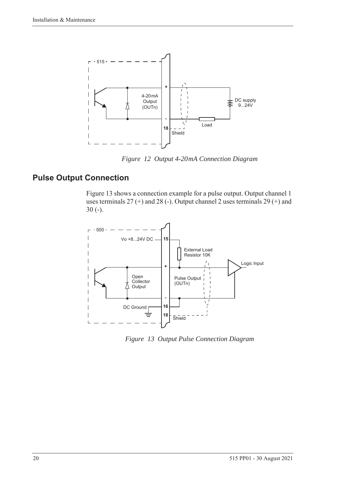

*Figure 12 Output 4-20 mA Connection Diagram*

## <span id="page-29-0"></span>**Pulse Output Connection**

<span id="page-29-1"></span>[Figure 13](#page-29-2) shows a connection example for a pulse output. Output channel 1 uses terminals 27 (+) and 28 (-). Output channel 2 uses terminals 29 (+) and 30 (-).



<span id="page-29-2"></span>*Figure 13 Output Pulse Connection Diagram*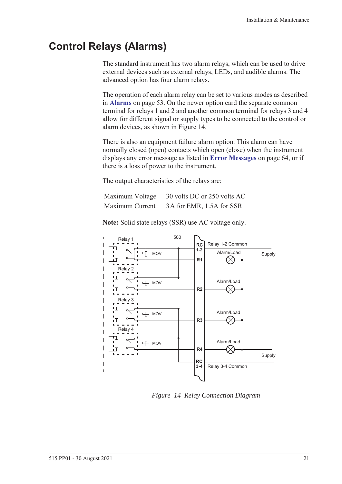## <span id="page-30-0"></span>**Control Relays (Alarms)**

The standard instrument has two alarm relays, which can be used to drive external devices such as external relays, LEDs, and audible alarms. The advanced option has four alarm relays.

The operation of each alarm relay can be set to various modes as described in **Alarms** [on page 53.](#page-62-1) On the newer option card the separate common terminal for relays 1 and 2 and another common terminal for relays 3 and 4 allow for different signal or supply types to be connected to the control or alarm devices, as shown in [Figure 14.](#page-30-1)

There is also an equipment failure alarm option. This alarm can have normally closed (open) contacts which open (close) when the instrument displays any error message as listed in **[Error Messages](#page-73-2)** on page 64, or if there is a loss of power to the instrument.

The output characteristics of the relays are:

| Maximum Voltage | 30 volts DC or 250 volts AC |
|-----------------|-----------------------------|
| Maximum Current | 3A for EMR, 1.5A for SSR    |



**Note:** Solid state relays (SSR) use AC voltage only.

<span id="page-30-1"></span>*Figure 14 Relay Connection Diagram*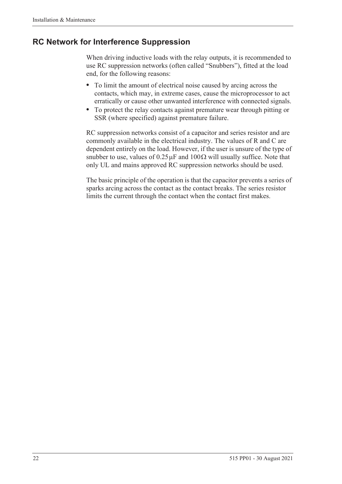## <span id="page-31-0"></span>**RC Network for Interference Suppression**

When driving inductive loads with the relay outputs, it is recommended to use RC suppression networks (often called "Snubbers"), fitted at the load end, for the following reasons:

- **•** To limit the amount of electrical noise caused by arcing across the contacts, which may, in extreme cases, cause the microprocessor to act erratically or cause other unwanted interference with connected signals.
- **•** To protect the relay contacts against premature wear through pitting or SSR (where specified) against premature failure.

RC suppression networks consist of a capacitor and series resistor and are commonly available in the electrical industry. The values of R and C are dependent entirely on the load. However, if the user is unsure of the type of snubber to use, values of  $0.25 \mu$ F and  $100 \Omega$  will usually suffice. Note that only UL and mains approved RC suppression networks should be used.

The basic principle of the operation is that the capacitor prevents a series of sparks arcing across the contact as the contact breaks. The series resistor limits the current through the contact when the contact first makes.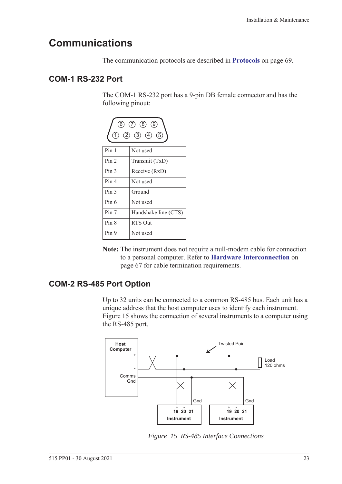## <span id="page-32-0"></span>**Communications**

The communication protocols are described in **Protocols** [on page 69](#page-78-3).

## <span id="page-32-1"></span>**COM-1 RS-232 Port**

The COM-1 RS-232 port has a 9-pin DB female connector and has the following pinout:

| $(6)$ (7) (8) (9)<br>$(2)$ $(3)$ $(4)$ $(5)$ |                      |
|----------------------------------------------|----------------------|
| Pin 1                                        | Not used             |
| Pin <sub>2</sub>                             | Transmit (TxD)       |
| Pin <sub>3</sub>                             | Receive (RxD)        |
| Pin 4                                        | Not used             |
| Pin <sub>5</sub>                             | Ground               |
| Pin 6                                        | Not used             |
| Pin 7                                        | Handshake line (CTS) |
| Pin 8                                        | RTS Out              |
| Pin 9                                        | Not used             |

**Note:** The instrument does not require a null-modem cable for connection to a personal computer. Refer to **[Hardware Interconnection](#page-76-4)** on [page 67](#page-76-4) for cable termination requirements.

## <span id="page-32-2"></span>**COM-2 RS-485 Port Option**

Up to 32 units can be connected to a common RS-485 bus. Each unit has a unique address that the host computer uses to identify each instrument. [Figure 15](#page-32-3) shows the connection of several instruments to a computer using the RS-485 port.



<span id="page-32-3"></span>*Figure 15 RS-485 Interface Connections*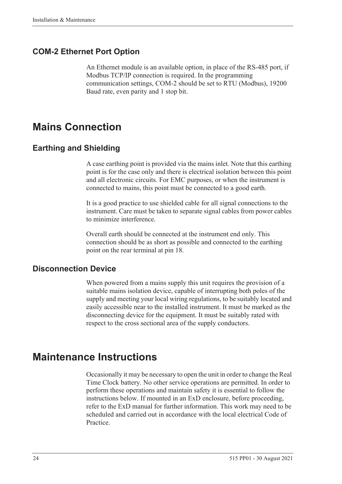## <span id="page-33-0"></span>**COM-2 Ethernet Port Option**

An Ethernet module is an available option, in place of the RS-485 port, if Modbus TCP/IP connection is required. In the programming communication settings, COM-2 should be set to RTU (Modbus), 19200 Baud rate, even parity and 1 stop bit.

# <span id="page-33-1"></span>**Mains Connection**

## <span id="page-33-2"></span>**Earthing and Shielding**

A case earthing point is provided via the mains inlet. Note that this earthing point is for the case only and there is electrical isolation between this point and all electronic circuits. For EMC purposes, or when the instrument is connected to mains, this point must be connected to a good earth.

It is a good practice to use shielded cable for all signal connections to the instrument. Care must be taken to separate signal cables from power cables to minimize interference.

Overall earth should be connected at the instrument end only. This connection should be as short as possible and connected to the earthing point on the rear terminal at pin 18.

## <span id="page-33-3"></span>**Disconnection Device**

When powered from a mains supply this unit requires the provision of a suitable mains isolation device, capable of interrupting both poles of the supply and meeting your local wiring regulations, to be suitably located and easily accessible near to the installed instrument. It must be marked as the disconnecting device for the equipment. It must be suitably rated with respect to the cross sectional area of the supply conductors.

# <span id="page-33-4"></span>**Maintenance Instructions**

Occasionally it may be necessary to open the unit in order to change the Real Time Clock battery. No other service operations are permitted. In order to perform these operations and maintain safety it is essential to follow the instructions below. If mounted in an ExD enclosure, before proceeding, refer to the ExD manual for further information. This work may need to be scheduled and carried out in accordance with the local electrical Code of Practice.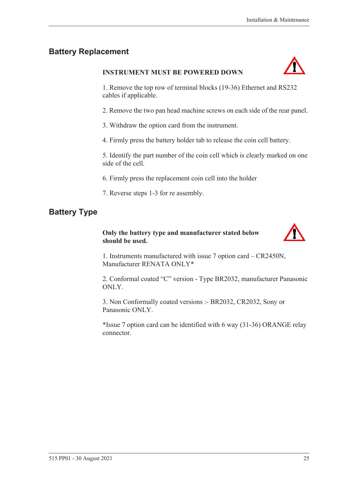## <span id="page-34-0"></span>**Battery Replacement**

#### **INSTRUMENT MUST BE POWERED DOWN**



1. Remove the top row of terminal blocks (19-36) Ethernet and RS232 cables if applicable.

2. Remove the two pan head machine screws on each side of the rear panel.

3. Withdraw the option card from the instrument.

4. Firmly press the battery holder tab to release the coin cell battery.

5. Identify the part number of the coin cell which is clearly marked on one side of the cell.

6. Firmly press the replacement coin cell into the holder

7. Reverse steps 1-3 for re assembly.

## <span id="page-34-1"></span>**Battery Type**

#### **Only the battery type and manufacturer stated below should be used.**



1. Instruments manufactured with issue 7 option card – CR2450N, Manufacturer RENATA ONLY\*

2. Conformal coated "C" version - Type BR2032, manufacturer Panasonic ONLY.

3. Non Conformally coated versions :- BR2032, CR2032, Sony or Panasonic ONLY.

\*Issue 7 option card can be identified with 6 way (31-36) ORANGE relay connector.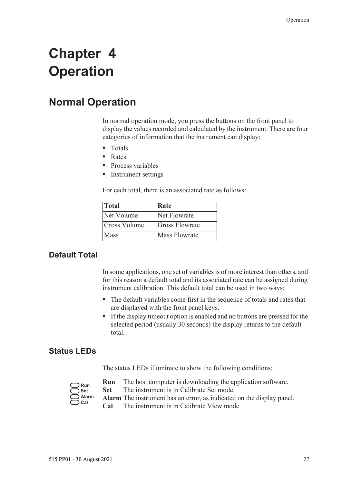# **Chapter 4 Operation**

# **Normal Operation**

In normal operation mode, you press the buttons on the front panel to display the values recorded and calculated by the instrument. There are four categories of information that the instrument can display:

- **•** Totals
- **•** Rates
- **•** Process variables
- **•** Instrument settings

For each total, there is an associated rate as follows:

| Total        | Rate                 |
|--------------|----------------------|
| Net Volume   | Net Flowrate         |
| Gross Volume | Gross Flowrate       |
| <b>Mass</b>  | <b>Mass Flowrate</b> |

### **Default Total**

In some applications, one set of variables is of more interest than others, and for this reason a default total and its associated rate can be assigned during instrument calibration. This default total can be used in two ways:

- **•** The default variables come first in the sequence of totals and rates that are displayed with the front panel keys.
- **•** If the display timeout option is enabled and no buttons are pressed for the selected period (usually 30 seconds) the display returns to the default total.

#### **Status LEDs**

The status LEDs illuminate to show the following conditions:

| Run   |
|-------|
| Set   |
| Alarm |
| :al   |

- **Run** The host computer is downloading the application software.
- **Set** The instrument is in Calibrate Set mode.
- **Alarm** The instrument has an error, as indicated on the display panel.
- **Cal** The instrument is in Calibrate View mode.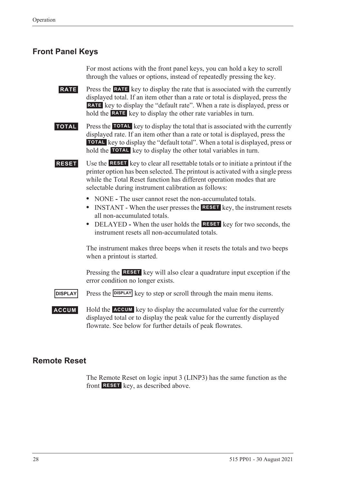### **Front Panel Keys**

For most actions with the front panel keys, you can hold a key to scroll through the values or options, instead of repeatedly pressing the key.

**RATE** Press the **RATE** key to display the rate that is associated with the currently displayed total. If an item other than a rate or total is displayed, press the RATE key to display the "default rate". When a rate is displayed, press or hold the **RATE** key to display the other rate variables in turn.

**TOTAL** Press the TOTAL key to display the total that is associated with the currently displayed rate. If an item other than a rate or total is displayed, press the **TOTAL** key to display the "default total". When a total is displayed, press or hold the **TOTAL** key to display the other total variables in turn.

**RESET** Use the **RESET** key to clear all resettable totals or to initiate a printout if the printer option has been selected. The printout is activated with a single press while the Total Reset function has different operation modes that are selectable during instrument calibration as follows:

- NONE The user cannot reset the non-accumulated totals.
- INSTANT When the user presses the **RESET** key, the instrument resets all non-accumulated totals.
- DELAYED When the user holds the **RESET** key for two seconds, the instrument resets all non-accumulated totals.

The instrument makes three beeps when it resets the totals and two beeps when a printout is started.

Pressing the **RESET** key will also clear a quadrature input exception if the error condition no longer exists.

- **DISPLAY** Press the **DISPLAY** key to step or scroll through the main menu items.
- **ACCUM** Hold the **ACCUM** key to display the accumulated value for the currently displayed total or to display the peak value for the currently displayed flowrate. See below for further details of peak flowrates.

#### **Remote Reset**

The Remote Reset on logic input 3 (LINP3) has the same function as the front **RESET** key, as described above.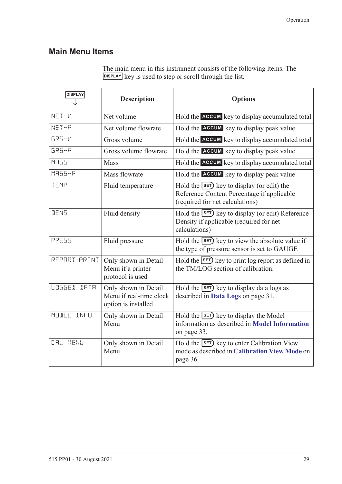## **Main Menu Items**

| <b>DISPLAY</b>  | <b>Description</b>                                                     | <b>Options</b>                                                                                                                      |  |
|-----------------|------------------------------------------------------------------------|-------------------------------------------------------------------------------------------------------------------------------------|--|
| $NET-V$         | Net volume                                                             | Hold the ACCUM key to display accumulated total                                                                                     |  |
| NET-F           | Net volume flowrate                                                    | Hold the <b>ACCUM</b> key to display peak value                                                                                     |  |
| $GRS-V$         | Gross volume                                                           | Hold the ACCUM key to display accumulated total                                                                                     |  |
| GRS-F           | Gross volume flowrate                                                  | Hold the <b>ACCUM</b> key to display peak value                                                                                     |  |
| MR55            | <b>Mass</b>                                                            | Hold the ACCUM key to display accumulated total                                                                                     |  |
| <b>MR55-F</b>   | Mass flowrate                                                          | Hold the <b>ACCUM</b> key to display peak value                                                                                     |  |
| TEMP            | Fluid temperature                                                      | Hold the $\text{SET}$ key to display (or edit) the<br>Reference Content Percentage if applicable<br>(required for net calculations) |  |
| <b>JENS</b>     | Fluid density                                                          | Hold the SET) key to display (or edit) Reference<br>Density if applicable (required for net<br>calculations)                        |  |
| <b>PRESS</b>    | Fluid pressure                                                         | Hold the SET key to view the absolute value if<br>the type of pressure sensor is set to GAUGE                                       |  |
| REPORT PRINT    | Only shown in Detail<br>Menu if a printer<br>protocol is used          | Hold the SET key to print log report as defined in<br>the TM/LOG section of calibration.                                            |  |
| LOGGED DATA     | Only shown in Detail<br>Menu if real-time clock<br>option is installed | Hold the <b>SET</b> ) key to display data logs as<br>described in Data Logs on page 31.                                             |  |
| MODEL INFO      | Only shown in Detail<br>Menu                                           | Hold the SET) key to display the Model<br>information as described in Model Information<br>on page 33.                              |  |
| <b>CAL MENU</b> | Only shown in Detail<br>Menu                                           | Hold the SET) key to enter Calibration View<br>mode as described in Calibration View Mode on<br>page 36.                            |  |

The main menu in this instrument consists of the following items. The **DISPLAY** key is used to step or scroll through the list.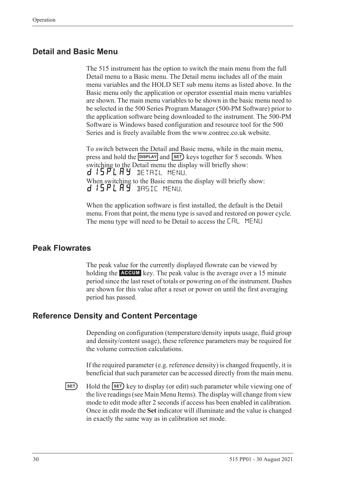### **Detail and Basic Menu**

The 515 instrument has the option to switch the main menu from the full Detail menu to a Basic menu. The Detail menu includes all of the main menu variables and the HOLD SET sub menu items as listed above. In the Basic menu only the application or operator essential main menu variables are shown. The main menu variables to be shown in the basic menu need to be selected in the 500 Series Program Manager (500-PM Software) prior to the application software being downloaded to the instrument. The 500-PM Software is Windows based configuration and resource tool for the 500 Series and is freely available from the www.contrec.co.uk website.

To switch between the Detail and Basic menu, while in the main menu, press and hold the **DISPLAY** and **SET**) keys together for 5 seconds. When switching to the Detail menu the display will briefly show: d 15 PL A Y DETAIL MENU. When switching to the Basic menu the display will briefly show: d 15PLAY BASIC MENU.

When the application software is first installed, the default is the Detail menu. From that point, the menu type is saved and restored on power cycle. The menu type will need to be Detail to access the CAL MENU

#### **Peak Flowrates**

The peak value for the currently displayed flowrate can be viewed by holding the **ACCUM** key. The peak value is the average over a 15 minute period since the last reset of totals or powering on of the instrument. Dashes are shown for this value after a reset or power on until the first averaging period has passed.

### **Reference Density and Content Percentage**

Depending on configuration (temperature/density inputs usage, fluid group and density/content usage), these reference parameters may be required for the volume correction calculations.

If the required parameter (e.g. reference density) is changed frequently, it is beneficial that such parameter can be accessed directly from the main menu.

**EXECUTE:** Hold the **SET** key to display (or edit) such parameter while viewing one of the live readings (see Main Menu Items). The display will change from view mode to edit mode after 2 seconds if access has been enabled in calibration. Once in edit mode the **Set** indicator will illuminate and the value is changed in exactly the same way as in calibration set mode.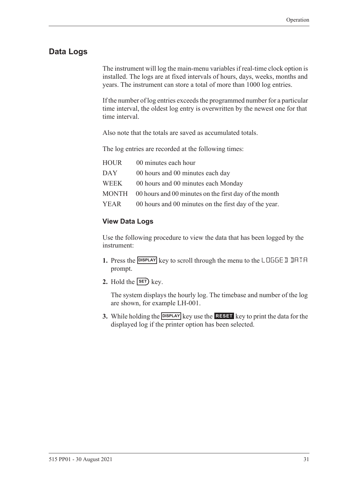#### <span id="page-40-0"></span>**Data Logs**

The instrument will log the main-menu variables if real-time clock option is installed. The logs are at fixed intervals of hours, days, weeks, months and years. The instrument can store a total of more than 1000 log entries.

If the number of log entries exceeds the programmed number for a particular time interval, the oldest log entry is overwritten by the newest one for that time interval.

Also note that the totals are saved as accumulated totals.

The log entries are recorded at the following times:

| HOUR | 00 minutes each hour                                        |
|------|-------------------------------------------------------------|
| DAY  | 00 hours and 00 minutes each day                            |
| WEEK | 00 hours and 00 minutes each Monday                         |
|      | MONTH 00 hours and 00 minutes on the first day of the month |
| YEAR | 00 hours and 00 minutes on the first day of the year.       |

#### **View Data Logs**

Use the following procedure to view the data that has been logged by the instrument:

- **1.** Press the **DISPLAY** key to scroll through the menu to the LOGGE D DATA prompt.
- **2.** Hold the  $\overline{\text{SET}}$  key.

The system displays the hourly log. The timebase and number of the log are shown, for example LH-001.

**3.** While holding the **DISPLAY** key use the **RESET** key to print the data for the displayed log if the printer option has been selected.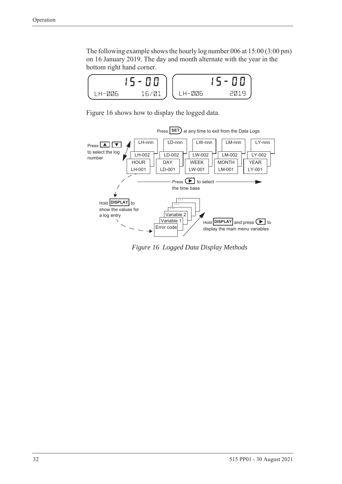The following example shows the hourly log number 006 at 15:00 (3:00 pm) on 16 January 2019. The day and month alternate with the year in the bottom right hand corner.



[Figure 16](#page-41-0) shows how to display the logged data.



<span id="page-41-0"></span>*Figure 16 Logged Data Display Methods*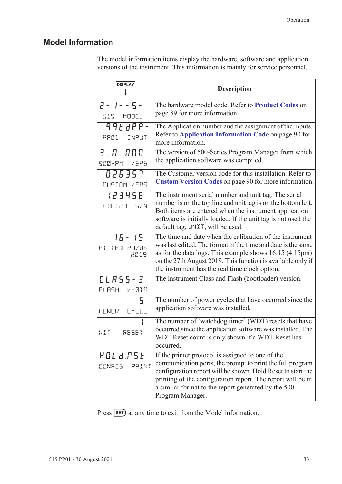# <span id="page-42-1"></span><span id="page-42-0"></span>**Model Information**

The model information items display the hardware, software and application versions of the instrument. This information is mainly for service personnel.

| <b>DISPLAY</b>                     | <b>Description</b>                                                                                                                                                                                                                                                                                                      |  |  |
|------------------------------------|-------------------------------------------------------------------------------------------------------------------------------------------------------------------------------------------------------------------------------------------------------------------------------------------------------------------------|--|--|
| $2 - 1 - 5 -$<br>SIS MODEL         | The hardware model code. Refer to Product Codes on<br>page 89 for more information.                                                                                                                                                                                                                                     |  |  |
| $99EdPP -$<br>PPØ1 INPUT           | The Application number and the assignment of the inputs.<br>Refer to Application Information Code on page 90 for<br>more information.                                                                                                                                                                                   |  |  |
| 3.0.000<br>S00-PM VERS             | The version of 500-Series Program Manager from which<br>the application software was compiled.                                                                                                                                                                                                                          |  |  |
| 026357<br>CUSTOM VERS              | The Customer version code for this installation. Refer to<br>Custom Version Codes on page 90 for more information.                                                                                                                                                                                                      |  |  |
| 123456<br>RBE123 5/N               | The instrument serial number and unit tag. The serial<br>number is on the top line and unit tag is on the bottom left.<br>Both items are entered when the instrument application<br>software is initially loaded. If the unit tag is not used the<br>default tag, UNIT, will be used.                                   |  |  |
| $15 - 15$<br>EDITED 27/08<br>2019  | The time and date when the calibration of the instrument<br>was last edited. The format of the time and date is the same<br>as for the data logs. This example shows $16:15$ (4:15pm)<br>on the 27th August 2019. This function is available only if<br>the instrument has the real time clock option.                  |  |  |
| $LLR55 - 3$<br>FLASH<br>$V - Q$ 19 | The instrument Class and Flash (bootloader) version.                                                                                                                                                                                                                                                                    |  |  |
| 5<br>EYELE<br>POWER                | The number of power cycles that have occurred since the<br>application software was installed.                                                                                                                                                                                                                          |  |  |
| WIT<br>RESET                       | The number of 'watchdog timer' (WDT) resets that have<br>occurred since the application software was installed. The<br>WDT Reset count is only shown if a WDT Reset has<br>occurred.                                                                                                                                    |  |  |
| HOLd.PSE<br><b>CONFIG</b><br>PRINT | If the printer protocol is assigned to one of the<br>communication ports, the prompt to print the full program<br>configuration report will be shown. Hold Reset to start the<br>printing of the configuration report. The report will be in<br>a similar format to the report generated by the 500<br>Program Manager. |  |  |

Press **SET**) at any time to exit from the Model information.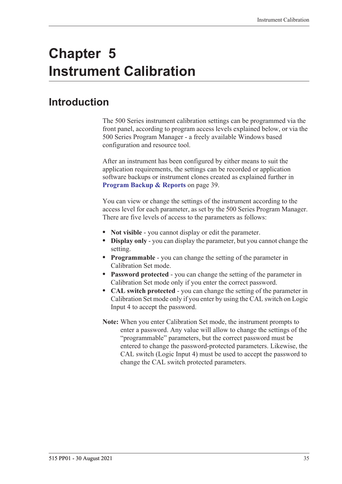# **Chapter 5 Instrument Calibration**

# **Introduction**

The 500 Series instrument calibration settings can be programmed via the front panel, according to program access levels explained below, or via the 500 Series Program Manager - a freely available Windows based configuration and resource tool.

After an instrument has been configured by either means to suit the application requirements, the settings can be recorded or application software backups or instrument clones created as explained further in **[Program Backup & Reports](#page-48-0)** on page 39.

You can view or change the settings of the instrument according to the access level for each parameter, as set by the 500 Series Program Manager. There are five levels of access to the parameters as follows:

- **• Not visible** you cannot display or edit the parameter.
- **• Display only** you can display the parameter, but you cannot change the setting.
- **• Programmable** you can change the setting of the parameter in Calibration Set mode.
- **• Password protected** you can change the setting of the parameter in Calibration Set mode only if you enter the correct password.
- **• CAL switch protected**  you can change the setting of the parameter in Calibration Set mode only if you enter by using the CAL switch on Logic Input 4 to accept the password.
- **Note:** When you enter Calibration Set mode, the instrument prompts to enter a password. Any value will allow to change the settings of the "programmable" parameters, but the correct password must be entered to change the password-protected parameters. Likewise, the CAL switch (Logic Input 4) must be used to accept the password to change the CAL switch protected parameters.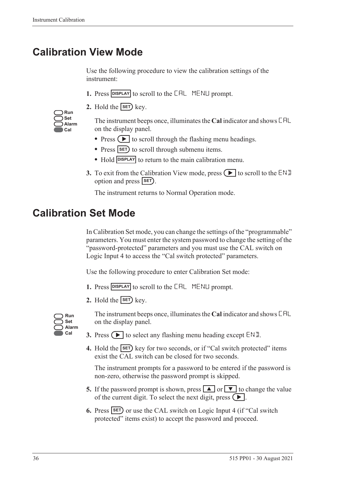# <span id="page-45-0"></span>**Calibration View Mode**

Use the following procedure to view the calibration settings of the instrument:

- 1. Press **DISPLAY** to scroll to the **CAL** MENLI prompt.
- **2.** Hold the  $\overline{\text{SET}}$  key.

| Run   |
|-------|
| Set   |
| Alarm |
| Cal   |

The instrument beeps once, illuminates the **Cal** indicator and shows CAL on the display panel.

- Press  $\left( \blacktriangleright \right)$  to scroll through the flashing menu headings.
- Press **SET**) to scroll through submenu items.
- Hold **DISPLAY** to return to the main calibration menu.
- **3.** To exit from the Calibration View mode, press  $\Box$  to scroll to the END option and press **SET**).

The instrument returns to Normal Operation mode.

# **Calibration Set Mode**

In Calibration Set mode, you can change the settings of the "programmable" parameters. You must enter the system password to change the setting of the "password-protected" parameters and you must use the CAL switch on Logic Input 4 to access the "Cal switch protected" parameters.

Use the following procedure to enter Calibration Set mode:

- **1.** Press **DISPLAY** to scroll to the **CAL** MENLI prompt.
- **2.** Hold the  $\overline{\text{SET}}$  key.



The instrument beeps once, illuminates the **Cal** indicator and shows CAL on the display panel.

- **3.** Press  $\left( \blacktriangleright \right)$  to select any flashing menu heading except END.
- **4.** Hold the **SET** key for two seconds, or if "Cal switch protected" items exist the CAL switch can be closed for two seconds.

The instrument prompts for a password to be entered if the password is non-zero, otherwise the password prompt is skipped.

- **5.** If the password prompt is shown, press  $\boxed{\blacktriangle}$  or  $\boxed{\blacktriangledown}$  to change the value of the current digit. To select the next digit, press  $\left( \blacktriangleright \right)$ .
- **6.** Press **SET** or use the CAL switch on Logic Input 4 (if "Cal switch protected" items exist) to accept the password and proceed.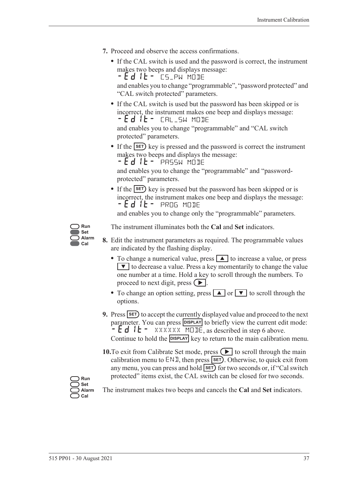- **7.** Proceed and observe the access confirmations.
	- **•** If the CAL switch is used and the password is correct, the instrument makes two beeps and displays message:  $-Ed$  it -  $TS$  pw mode

and enables you to change "programmable", "password protected" and "CAL switch protected" parameters.

**•** If the CAL switch is used but the password has been skipped or is incorrect, the instrument makes one beep and displays message: -EDIT- CAL\_SW MODE

and enables you to change "programmable" and "CAL switch protected" parameters.

• If the **SET**) key is pressed and the password is correct the instrument makes two beeps and displays the message:

 $-Ed$  it - PASSW MODE

and enables you to change the "programmable" and "passwordprotected" parameters.

• If the **SET**) key is pressed but the password has been skipped or is incorrect, the instrument makes one beep and displays the message: -EDIT- PROG MODE

and enables you to change only the "programmable" parameters.



The instrument illuminates both the **Cal** and **Set** indicators.

- **8.** Edit the instrument parameters as required. The programmable values are indicated by the flashing display.
	- To change a numerical value, press **A** to increase a value, or press  $\blacktriangledown$  to decrease a value. Press a key momentarily to change the value one number at a time. Hold a key to scroll through the numbers. To proceed to next digit, press  $( \blacktriangleright ).$
	- To change an option setting, press **A** or **V** to scroll through the options.
- **9.** Press **SET** to accept the currently displayed value and proceed to the next parameter. You can press **DISPLAY** to briefly view the current edit mode:  $\div$  E d I E – XXXXXX MODE, as described in step 6 above. Continue to hold the **DISPLAY** key to return to the main calibration menu.
- **10.**To exit from Calibrate Set mode, press  $\left( \blacktriangleright \right)$  to scroll through the main calibration menu to  $ENI$ , then press  $SET$ . Otherwise, to quick exit from any menu, you can press and hold **SET** for two seconds or, if "Cal switch protected" items exist, the CAL switch can be closed for two seconds.

**Run Set Alarm Cal**

The instrument makes two beeps and cancels the **Cal** and **Set** indicators.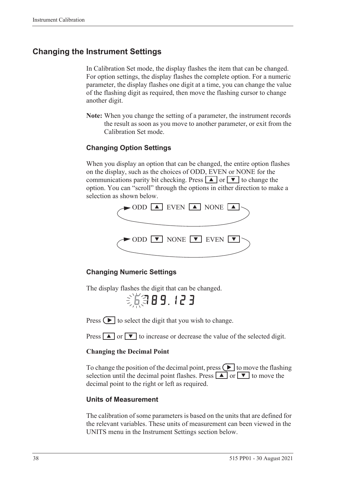## **Changing the Instrument Settings**

In Calibration Set mode, the display flashes the item that can be changed. For option settings, the display flashes the complete option. For a numeric parameter, the display flashes one digit at a time, you can change the value of the flashing digit as required, then move the flashing cursor to change another digit.

**Note:** When you change the setting of a parameter, the instrument records the result as soon as you move to another parameter, or exit from the Calibration Set mode.

#### **Changing Option Settings**

When you display an option that can be changed, the entire option flashes on the display, such as the choices of ODD, EVEN or NONE for the communications parity bit checking. Press  $\boxed{\blacktriangle}$  or  $\boxed{\blacktriangledown}$  to change the option. You can "scroll" through the options in either direction to make a selection as shown below.



#### **Changing Numeric Settings**

The display flashes the digit that can be changed.

第第89.123

Press  $\left( \blacktriangleright \right)$  to select the digit that you wish to change.

Press  $\boxed{\blacktriangle}$  or  $\boxed{\blacktriangledown}$  to increase or decrease the value of the selected digit.

#### **Changing the Decimal Point**

To change the position of the decimal point, press  $\Box$  to move the flashing selection until the decimal point flashes. Press  $\boxed{\blacktriangle}$  or  $\boxed{\blacktriangledown}$  to move the decimal point to the right or left as required.

#### **Units of Measurement**

The calibration of some parameters is based on the units that are defined for the relevant variables. These units of measurement can been viewed in the UNITS menu in the Instrument Settings section below.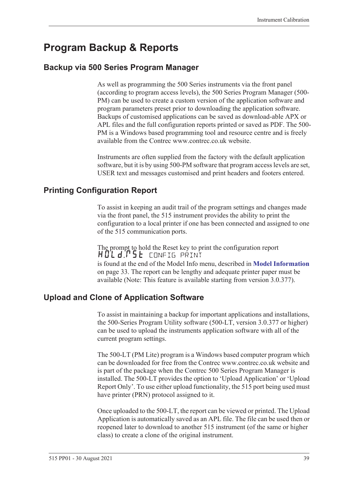# <span id="page-48-0"></span>**Program Backup & Reports**

### **Backup via 500 Series Program Manager**

As well as programming the 500 Series instruments via the front panel (according to program access levels), the 500 Series Program Manager (500- PM) can be used to create a custom version of the application software and program parameters preset prior to downloading the application software. Backups of customised applications can be saved as download-able APX or APL files and the full configuration reports printed or saved as PDF. The 500- PM is a Windows based programming tool and resource centre and is freely available from the Contrec www.contrec.co.uk website.

Instruments are often supplied from the factory with the default application software, but it is by using 500-PM software that program access levels are set, USER text and messages customised and print headers and footers entered.

### **Printing Configuration Report**

To assist in keeping an audit trail of the program settings and changes made via the front panel, the 515 instrument provides the ability to print the configuration to a local printer if one has been connected and assigned to one of the 515 communication ports.

The prompt to hold the Reset key to print the configuration report HOLd:P5E config print is found at the end of the Model Info menu, described in **[Model Information](#page-42-1)** [on page 33](#page-42-1). The report can be lengthy and adequate printer paper must be available (Note: This feature is available starting from version 3.0.377).

### **Upload and Clone of Application Software**

To assist in maintaining a backup for important applications and installations, the 500-Series Program Utility software (500-LT, version 3.0.377 or higher) can be used to upload the instruments application software with all of the current program settings.

The 500-LT (PM Lite) program is a Windows based computer program which can be downloaded for free from the Contrec www.contrec.co.uk website and is part of the package when the Contrec 500 Series Program Manager is installed. The 500-LT provides the option to 'Upload Application' or 'Upload Report Only'. To use either upload functionality, the 515 port being used must have printer (PRN) protocol assigned to it.

Once uploaded to the 500-LT, the report can be viewed or printed. The Upload Application is automatically saved as an APL file. The file can be used then or reopened later to download to another 515 instrument (of the same or higher class) to create a clone of the original instrument.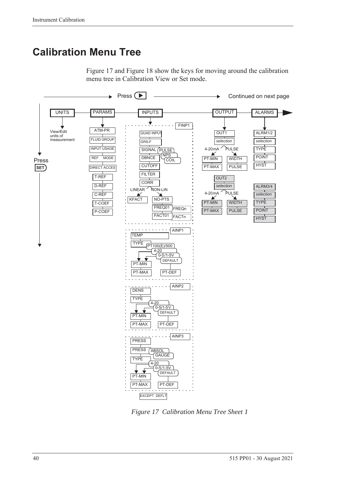# **Calibration Menu Tree**

[Figure 17](#page-49-0) and [Figure 18](#page-50-0) show the keys for moving around the calibration menu tree in Calibration View or Set mode.



<span id="page-49-0"></span>*Figure 17 Calibration Menu Tree Sheet 1*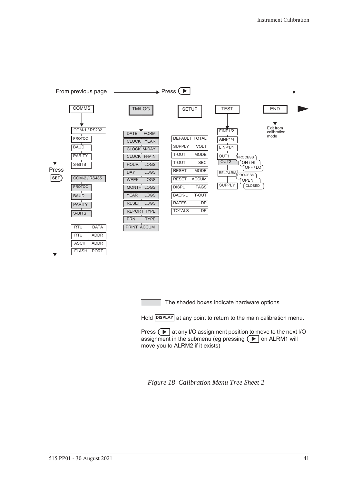

The shaded boxes indicate hardware options

Hold **DISPLAY** at any point to return to the main calibration menu.

Press  $\Box$  at any I/O assignment position to move to the next I/O assignment in the submenu (eg pressing  $\left( \blacktriangleright \right)$  on ALRM1 will move you to ALRM2 if it exists)

<span id="page-50-0"></span>*Figure 18 Calibration Menu Tree Sheet 2*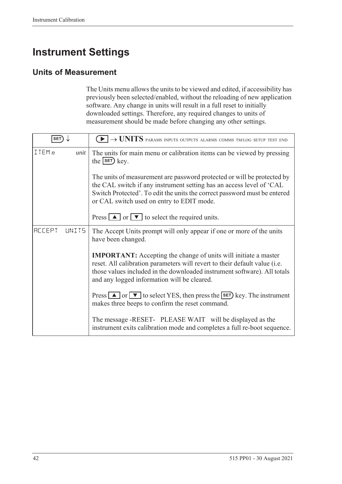# **Instrument Settings**

## **Units of Measurement**

The Units menu allows the units to be viewed and edited, if accessibility has previously been selected/enabled, without the reloading of new application software. Any change in units will result in a full reset to initially downloaded settings. Therefore, any required changes to units of measurement should be made before changing any other settings.

| <b>SET</b>              | $\blacktriangleright$ $\rightarrow$ UNITS params inputs outputs alarms comms tm/log setup test end                                                                                                                                                                              |  |  |
|-------------------------|---------------------------------------------------------------------------------------------------------------------------------------------------------------------------------------------------------------------------------------------------------------------------------|--|--|
| ITEMn<br>unit           | The units for main menu or calibration items can be viewed by pressing<br>the $s$ $F$ $k$ ey.                                                                                                                                                                                   |  |  |
|                         | The units of measurement are password protected or will be protected by<br>the CAL switch if any instrument setting has an access level of 'CAL<br>Switch Protected'. To edit the units the correct password must be entered<br>or CAL switch used on entry to EDIT mode.       |  |  |
|                         | Press $\boxed{\blacktriangle}$ or $\boxed{\blacktriangledown}$ to select the required units.                                                                                                                                                                                    |  |  |
| <b>ACCEPT</b><br>LINIT5 | The Accept Units prompt will only appear if one or more of the units<br>have been changed.                                                                                                                                                                                      |  |  |
|                         | <b>IMPORTANT:</b> Accepting the change of units will initiate a master<br>reset. All calibration parameters will revert to their default value (i.e.<br>those values included in the downloaded instrument software). All totals<br>and any logged information will be cleared. |  |  |
|                         | Press $\Box$ or $\nabla$ to select YES, then press the <b>SET</b> ) key. The instrument<br>makes three beeps to confirm the reset command.                                                                                                                                      |  |  |
|                         | The message -RESET- PLEASE WAIT will be displayed as the<br>instrument exits calibration mode and completes a full re-boot sequence.                                                                                                                                            |  |  |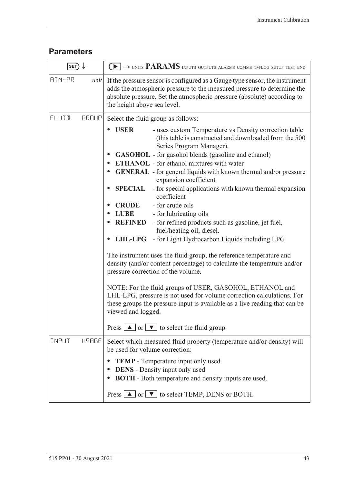# **Parameters**

| SET)   |              | $\blacktriangleright$ $\rightarrow$ units PARAMS inputs outputs alarms comms tm/log setup test end                                                                                                                                                                                                                                                                                                                                                                                                                                                                                                                                                                                                                                                                                                                                                                                                                                                                                                                                                                                                                                                                                                       |  |  |
|--------|--------------|----------------------------------------------------------------------------------------------------------------------------------------------------------------------------------------------------------------------------------------------------------------------------------------------------------------------------------------------------------------------------------------------------------------------------------------------------------------------------------------------------------------------------------------------------------------------------------------------------------------------------------------------------------------------------------------------------------------------------------------------------------------------------------------------------------------------------------------------------------------------------------------------------------------------------------------------------------------------------------------------------------------------------------------------------------------------------------------------------------------------------------------------------------------------------------------------------------|--|--|
| ATM-PR | unit         | If the pressure sensor is configured as a Gauge type sensor, the instrument<br>adds the atmospheric pressure to the measured pressure to determine the<br>absolute pressure. Set the atmospheric pressure (absolute) according to<br>the height above sea level.                                                                                                                                                                                                                                                                                                                                                                                                                                                                                                                                                                                                                                                                                                                                                                                                                                                                                                                                         |  |  |
| FLUID  | GROUP        | Select the fluid group as follows:                                                                                                                                                                                                                                                                                                                                                                                                                                                                                                                                                                                                                                                                                                                                                                                                                                                                                                                                                                                                                                                                                                                                                                       |  |  |
|        |              | <b>USER</b><br>- uses custom Temperature vs Density correction table<br>(this table is constructed and downloaded from the 500<br>Series Program Manager).<br><b>GASOHOL</b> - for gasohol blends (gasoline and ethanol)<br>$\bullet$<br><b>ETHANOL</b> - for ethanol mixtures with water<br><b>GENERAL</b> - for general liquids with known thermal and/or pressure<br>$\bullet$<br>expansion coefficient<br>- for special applications with known thermal expansion<br><b>SPECIAL</b><br>$\bullet$<br>coefficient<br>- for crude oils<br><b>CRUDE</b><br><b>LUBE</b><br>- for lubricating oils<br>- for refined products such as gasoline, jet fuel,<br><b>REFINED</b><br>fuel/heating oil, diesel.<br>- for Light Hydrocarbon Liquids including LPG<br><b>LHL-LPG</b><br>The instrument uses the fluid group, the reference temperature and<br>density (and/or content percentage) to calculate the temperature and/or<br>pressure correction of the volume.<br>NOTE: For the fluid groups of USER, GASOHOL, ETHANOL and<br>LHL-LPG, pressure is not used for volume correction calculations. For<br>these groups the pressure input is available as a live reading that can be<br>viewed and logged. |  |  |
|        |              | Press $\boxed{\blacktriangle}$ or $\boxed{\blacktriangledown}$ to select the fluid group.                                                                                                                                                                                                                                                                                                                                                                                                                                                                                                                                                                                                                                                                                                                                                                                                                                                                                                                                                                                                                                                                                                                |  |  |
| INPUT  | <b>USAGE</b> | Select which measured fluid property (temperature and/or density) will<br>be used for volume correction:<br><b>TEMP</b> - Temperature input only used<br><b>DENS</b> - Density input only used<br>$\bullet$                                                                                                                                                                                                                                                                                                                                                                                                                                                                                                                                                                                                                                                                                                                                                                                                                                                                                                                                                                                              |  |  |
|        |              | <b>BOTH</b> - Both temperature and density inputs are used.                                                                                                                                                                                                                                                                                                                                                                                                                                                                                                                                                                                                                                                                                                                                                                                                                                                                                                                                                                                                                                                                                                                                              |  |  |
|        |              | Press $\Box$ or $\Box$ to select TEMP, DENS or BOTH.                                                                                                                                                                                                                                                                                                                                                                                                                                                                                                                                                                                                                                                                                                                                                                                                                                                                                                                                                                                                                                                                                                                                                     |  |  |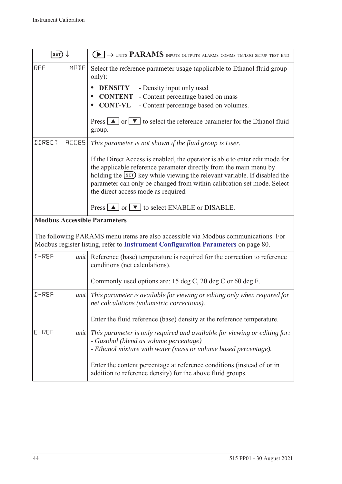| SET)                                | $\textcolor{blue}{\blacktriangleright} \rightarrow$ units PARAMS inputs outputs alarms comms tm/log setup test end                                                                                                                                                                                                                             |  |  |  |
|-------------------------------------|------------------------------------------------------------------------------------------------------------------------------------------------------------------------------------------------------------------------------------------------------------------------------------------------------------------------------------------------|--|--|--|
| REF<br>MODE                         | Select the reference parameter usage (applicable to Ethanol fluid group<br>only):                                                                                                                                                                                                                                                              |  |  |  |
|                                     | <b>DENSITY</b><br>- Density input only used                                                                                                                                                                                                                                                                                                    |  |  |  |
|                                     | <b>CONTENT</b><br>- Content percentage based on mass                                                                                                                                                                                                                                                                                           |  |  |  |
|                                     | <b>CONT-VL</b><br>- Content percentage based on volumes.                                                                                                                                                                                                                                                                                       |  |  |  |
|                                     | Press $\boxed{\blacktriangle}$ or $\boxed{\blacktriangledown}$ to select the reference parameter for the Ethanol fluid<br>group.                                                                                                                                                                                                               |  |  |  |
| <b>IIRECT</b><br><b>ACCES</b>       | This parameter is not shown if the fluid group is User.                                                                                                                                                                                                                                                                                        |  |  |  |
|                                     | If the Direct Access is enabled, the operator is able to enter edit mode for<br>the applicable reference parameter directly from the main menu by<br>holding the SET key while viewing the relevant variable. If disabled the<br>parameter can only be changed from within calibration set mode. Select<br>the direct access mode as required. |  |  |  |
|                                     | Press $\Box$ or $\Box$ to select ENABLE or DISABLE.                                                                                                                                                                                                                                                                                            |  |  |  |
| <b>Modbus Accessible Parameters</b> |                                                                                                                                                                                                                                                                                                                                                |  |  |  |
|                                     | The following PARAMS menu items are also accessible via Modbus communications. For<br>Modbus register listing, refer to Instrument Configuration Parameters on page 80.                                                                                                                                                                        |  |  |  |
| $T - REF$<br>unit                   | Reference (base) temperature is required for the correction to reference<br>conditions (net calculations).                                                                                                                                                                                                                                     |  |  |  |
|                                     | Commonly used options are: 15 deg C, 20 deg C or 60 deg F.                                                                                                                                                                                                                                                                                     |  |  |  |
| $I - REF$<br>unit                   | This parameter is available for viewing or editing only when required for<br>net calculations (volumetric corrections).                                                                                                                                                                                                                        |  |  |  |
|                                     | Enter the fluid reference (base) density at the reference temperature.                                                                                                                                                                                                                                                                         |  |  |  |
| C-REF<br>unit                       | This parameter is only required and available for viewing or editing for:<br>- Gasohol (blend as volume percentage)<br>- Ethanol mixture with water (mass or volume based percentage).                                                                                                                                                         |  |  |  |
|                                     | Enter the content percentage at reference conditions (instead of or in<br>addition to reference density) for the above fluid groups.                                                                                                                                                                                                           |  |  |  |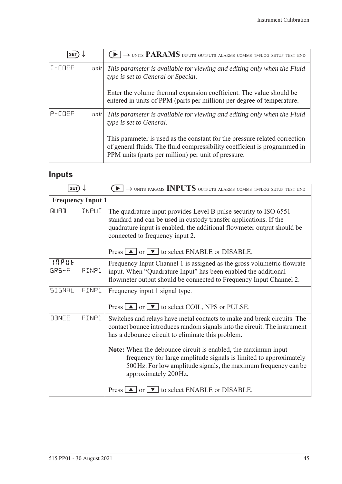| <b>SET</b>  |      | $\rightarrow$ units <b>PARAMS</b> inputs outputs alarms comms tm/log setup test end                                                                                                                            |  |
|-------------|------|----------------------------------------------------------------------------------------------------------------------------------------------------------------------------------------------------------------|--|
| $T - C$ OEF | unit | This parameter is available for viewing and editing only when the Fluid<br>type is set to General or Special.                                                                                                  |  |
|             |      | Enter the volume thermal expansion coefficient. The value should be<br>entered in units of PPM (parts per million) per degree of temperature.                                                                  |  |
| P-COEF      | unit | This parameter is available for viewing and editing only when the Fluid<br>type is set to General.                                                                                                             |  |
|             |      | This parameter is used as the constant for the pressure related correction<br>of general fluids. The fluid compressibility coefficient is programmed in<br>PPM units (parts per million) per unit of pressure. |  |

# **Inputs**

| SET <sup>'</sup>             |                          | $\rightarrow$ UNITS PARAMS INPUTS OUTPUTS ALARMS COMMS TM/LOG SETUP TEST END                                                                                                                                                                                                                                                                                                                                                                      |  |  |
|------------------------------|--------------------------|---------------------------------------------------------------------------------------------------------------------------------------------------------------------------------------------------------------------------------------------------------------------------------------------------------------------------------------------------------------------------------------------------------------------------------------------------|--|--|
|                              | <b>Frequency Input 1</b> |                                                                                                                                                                                                                                                                                                                                                                                                                                                   |  |  |
| <b>GUAD</b>                  | INPLIT                   | The quadrature input provides Level B pulse security to ISO 6551<br>standard and can be used in custody transfer applications. If the<br>quadrature input is enabled, the additional flowmeter output should be<br>connected to frequency input 2.<br>Press $\Box$ or $\nabla$ to select ENABLE or DISABLE.                                                                                                                                       |  |  |
| <b>INPUE</b><br><b>GRS-F</b> | FINP1                    | Frequency Input Channel 1 is assigned as the gross volumetric flowrate<br>input. When "Quadrature Input" has been enabled the additional<br>flowmeter output should be connected to Frequency Input Channel 2.                                                                                                                                                                                                                                    |  |  |
| <b>SIGNAL</b>                | FINP1                    | Frequency input 1 signal type.<br>Press $\Box$ or $\nabla$ to select COIL, NPS or PULSE.                                                                                                                                                                                                                                                                                                                                                          |  |  |
| <b>JBNCE</b>                 | FINP1                    | Switches and relays have metal contacts to make and break circuits. The<br>contact bounce introduces random signals into the circuit. The instrument<br>has a debounce circuit to eliminate this problem.<br><b>Note:</b> When the debounce circuit is enabled, the maximum input<br>frequency for large amplitude signals is limited to approximately<br>500 Hz. For low amplitude signals, the maximum frequency can be<br>approximately 200Hz. |  |  |
|                              |                          | Press $\Box$ or $\nabla$ to select ENABLE or DISABLE.                                                                                                                                                                                                                                                                                                                                                                                             |  |  |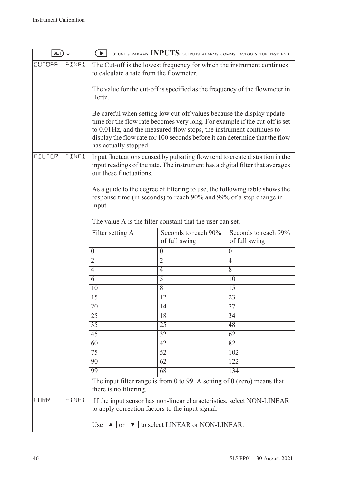| SET                    | $\widetilde{\blacktriangleright}$ $\rightarrow$ units params INPUTS outputs alarms comms tm/log setup test end                                                                                                                                                                                                                       |                                                                             |                                       |  |  |
|------------------------|--------------------------------------------------------------------------------------------------------------------------------------------------------------------------------------------------------------------------------------------------------------------------------------------------------------------------------------|-----------------------------------------------------------------------------|---------------------------------------|--|--|
| <b>CUTOFF</b><br>FINP1 | The Cut-off is the lowest frequency for which the instrument continues<br>to calculate a rate from the flowmeter.                                                                                                                                                                                                                    |                                                                             |                                       |  |  |
|                        | Hertz.                                                                                                                                                                                                                                                                                                                               | The value for the cut-off is specified as the frequency of the flowmeter in |                                       |  |  |
|                        | Be careful when setting low cut-off values because the display update<br>time for the flow rate becomes very long. For example if the cut-off is set<br>to 0.01 Hz, and the measured flow stops, the instrument continues to<br>display the flow rate for 100 seconds before it can determine that the flow<br>has actually stopped. |                                                                             |                                       |  |  |
| FILTER<br>FINP1        | Input fluctuations caused by pulsating flow tend to create distortion in the<br>input readings of the rate. The instrument has a digital filter that averages<br>out these fluctuations.<br>As a guide to the degree of filtering to use, the following table shows the                                                              |                                                                             |                                       |  |  |
|                        | response time (in seconds) to reach 90% and 99% of a step change in<br>input.<br>The value A is the filter constant that the user can set.                                                                                                                                                                                           |                                                                             |                                       |  |  |
|                        | Filter setting A                                                                                                                                                                                                                                                                                                                     | Seconds to reach 90%<br>of full swing                                       | Seconds to reach 99%<br>of full swing |  |  |
|                        | $\boldsymbol{0}$                                                                                                                                                                                                                                                                                                                     | $\boldsymbol{0}$                                                            | $\boldsymbol{0}$                      |  |  |
|                        | $\overline{2}$                                                                                                                                                                                                                                                                                                                       | $\overline{2}$                                                              | $\overline{4}$                        |  |  |
|                        | $\overline{4}$                                                                                                                                                                                                                                                                                                                       | $\overline{4}$                                                              | 8                                     |  |  |
|                        | 6                                                                                                                                                                                                                                                                                                                                    | $\overline{5}$                                                              | 10                                    |  |  |
|                        | 10                                                                                                                                                                                                                                                                                                                                   | $\overline{8}$                                                              | $\overline{15}$                       |  |  |
|                        | 15                                                                                                                                                                                                                                                                                                                                   | 12                                                                          | 23                                    |  |  |
|                        | 20                                                                                                                                                                                                                                                                                                                                   | 14                                                                          | 27                                    |  |  |
|                        | $\overline{25}$                                                                                                                                                                                                                                                                                                                      | 18                                                                          | $\overline{34}$                       |  |  |
|                        | $\overline{35}$                                                                                                                                                                                                                                                                                                                      | $\overline{25}$                                                             | 48                                    |  |  |
|                        | $\overline{45}$                                                                                                                                                                                                                                                                                                                      | $\overline{32}$                                                             | 62                                    |  |  |
|                        | $\overline{60}$                                                                                                                                                                                                                                                                                                                      | $\overline{42}$                                                             | $\overline{82}$                       |  |  |
|                        | $\overline{75}$                                                                                                                                                                                                                                                                                                                      | $\overline{52}$                                                             | 102                                   |  |  |
|                        | 90                                                                                                                                                                                                                                                                                                                                   | 62                                                                          | 122                                   |  |  |
|                        | 99                                                                                                                                                                                                                                                                                                                                   | $\overline{68}$                                                             | 134                                   |  |  |
|                        | there is no filtering.                                                                                                                                                                                                                                                                                                               | The input filter range is from 0 to 99. A setting of $0$ (zero) means that  |                                       |  |  |
| FINP1<br><b>CORR</b>   | If the input sensor has non-linear characteristics, select NON-LINEAR<br>to apply correction factors to the input signal.                                                                                                                                                                                                            |                                                                             |                                       |  |  |
|                        | Use $\Box$ or $\Box$ to select LINEAR or NON-LINEAR.                                                                                                                                                                                                                                                                                 |                                                                             |                                       |  |  |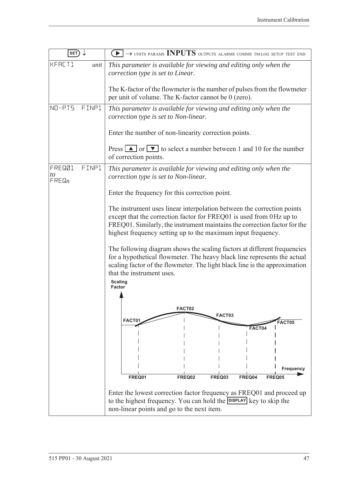| $ $ SET $)\downarrow$                          | $\rightarrow$ UNITS PARAMS INPUTS OUTPUTS ALARMS COMMS TM/LOG SETUP TEST END                                                                                                                                                                                                               |
|------------------------------------------------|--------------------------------------------------------------------------------------------------------------------------------------------------------------------------------------------------------------------------------------------------------------------------------------------|
| KFACT1<br>unit                                 | This parameter is available for viewing and editing only when the<br>correction type is set to Linear.                                                                                                                                                                                     |
|                                                | The K-factor of the flowmeter is the number of pulses from the flowmeter<br>per unit of volume. The K-factor cannot be 0 (zero).                                                                                                                                                           |
| NO-PIS<br>FINP1                                | This parameter is available for viewing and editing only when the<br>correction type is set to Non-linear.                                                                                                                                                                                 |
|                                                | Enter the number of non-linearity correction points.                                                                                                                                                                                                                                       |
|                                                | Press $\boxed{\blacktriangle}$ or $\boxed{\blacktriangledown}$ to select a number between 1 and 10 for the number<br>of correction points.                                                                                                                                                 |
| FINP1<br>FRED01<br>to<br>$F$ RE $\mathbb{G}_n$ | This parameter is available for viewing and editing only when the<br>correction type is set to Non-linear.                                                                                                                                                                                 |
|                                                | Enter the frequency for this correction point.                                                                                                                                                                                                                                             |
|                                                | The instrument uses linear interpolation between the correction points<br>except that the correction factor for FREQ01 is used from 0Hz up to<br>FREQ01. Similarly, the instrument maintains the correction factor for the<br>highest frequency setting up to the maximum input frequency. |
|                                                | The following diagram shows the scaling factors at different frequencies<br>for a hypothetical flowmeter. The heavy black line represents the actual<br>scaling factor of the flowmeter. The light black line is the approximation<br>that the instrument uses.                            |
|                                                | <b>Scaling</b><br><b>Factor</b>                                                                                                                                                                                                                                                            |
|                                                | FACT02                                                                                                                                                                                                                                                                                     |
|                                                | FACT03<br>FACT01<br>FACT05                                                                                                                                                                                                                                                                 |
|                                                | FACT04                                                                                                                                                                                                                                                                                     |
|                                                |                                                                                                                                                                                                                                                                                            |
|                                                | Frequency<br>FREQ01<br>FREQ02<br>FREQ03<br>FREQ04<br>FREQ05                                                                                                                                                                                                                                |
|                                                | Enter the lowest correction factor frequency as FREQ01 and proceed up<br>to the highest frequency. You can hold the DISPLAY key to skip the<br>non-linear points and go to the next item.                                                                                                  |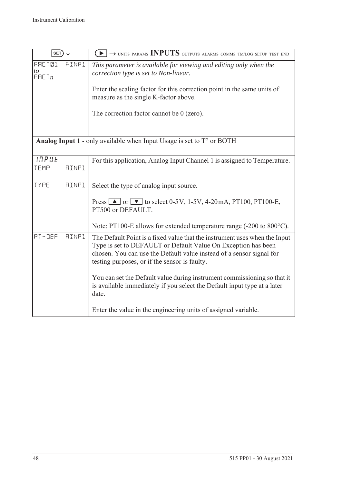| <b>SET</b>                |              | $\blacktriangleright$ $\rightarrow$ units params INPUTS outputs alarms comms tm/log setup test end                                                                                                                                                                                                                                                                                                                           |
|---------------------------|--------------|------------------------------------------------------------------------------------------------------------------------------------------------------------------------------------------------------------------------------------------------------------------------------------------------------------------------------------------------------------------------------------------------------------------------------|
| FACT01<br>to<br>F H L T n | FINP1        | This parameter is available for viewing and editing only when the<br>correction type is set to Non-linear.                                                                                                                                                                                                                                                                                                                   |
|                           |              | Enter the scaling factor for this correction point in the same units of<br>measure as the single K-factor above.                                                                                                                                                                                                                                                                                                             |
|                           |              | The correction factor cannot be 0 (zero).                                                                                                                                                                                                                                                                                                                                                                                    |
|                           |              | Analog Input $1$ - only available when Input Usage is set to $T^{\circ}$ or BOTH                                                                                                                                                                                                                                                                                                                                             |
| <b>INPUE</b><br>TEMP      | <b>AINP1</b> | For this application, Analog Input Channel 1 is assigned to Temperature.                                                                                                                                                                                                                                                                                                                                                     |
| TYPE                      | <b>AINP1</b> | Select the type of analog input source.                                                                                                                                                                                                                                                                                                                                                                                      |
|                           |              | Press $\Box$ or $\nabla$ to select 0-5V, 1-5V, 4-20mA, PT100, PT100-E,<br>PT500 or DEFAULT.                                                                                                                                                                                                                                                                                                                                  |
|                           |              | Note: PT100-E allows for extended temperature range (-200 to 800°C).                                                                                                                                                                                                                                                                                                                                                         |
| PT-DEF                    | <b>AINP1</b> | The Default Point is a fixed value that the instrument uses when the Input<br>Type is set to DEFAULT or Default Value On Exception has been<br>chosen. You can use the Default value instead of a sensor signal for<br>testing purposes, or if the sensor is faulty.<br>You can set the Default value during instrument commissioning so that it<br>is available immediately if you select the Default input type at a later |
|                           |              | date.<br>Enter the value in the engineering units of assigned variable.                                                                                                                                                                                                                                                                                                                                                      |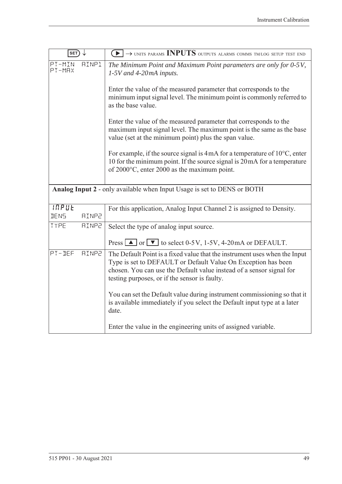| SET)                        | ↓            | $\blacktriangleright$ $\rightarrow$ units params INPUTS outputs alarms comms tm/log setup test end                                                                                                                                                                   |
|-----------------------------|--------------|----------------------------------------------------------------------------------------------------------------------------------------------------------------------------------------------------------------------------------------------------------------------|
| PT-MIN<br>PT-MAX            | AINP1        | The Minimum Point and Maximum Point parameters are only for 0-5V,<br>1-5V and 4-20mA inputs.                                                                                                                                                                         |
|                             |              | Enter the value of the measured parameter that corresponds to the<br>minimum input signal level. The minimum point is commonly referred to<br>as the base value.                                                                                                     |
|                             |              | Enter the value of the measured parameter that corresponds to the<br>maximum input signal level. The maximum point is the same as the base<br>value (set at the minimum point) plus the span value.                                                                  |
|                             |              | For example, if the source signal is $4mA$ for a temperature of $10^{\circ}$ C, enter<br>10 for the minimum point. If the source signal is 20 mA for a temperature<br>of 2000°C, enter 2000 as the maximum point.                                                    |
|                             |              | Analog Input 2 - only available when Input Usage is set to DENS or BOTH                                                                                                                                                                                              |
| <b>INPUE</b><br><b>JENS</b> | <b>AINP2</b> | For this application, Analog Input Channel 2 is assigned to Density.                                                                                                                                                                                                 |
| TYPE                        | <b>AINP2</b> | Select the type of analog input source.                                                                                                                                                                                                                              |
|                             |              | Press $\Box$ or $\nabla$ to select 0-5V, 1-5V, 4-20mA or DEFAULT.                                                                                                                                                                                                    |
| PT-DEF                      | <b>AINP2</b> | The Default Point is a fixed value that the instrument uses when the Input<br>Type is set to DEFAULT or Default Value On Exception has been<br>chosen. You can use the Default value instead of a sensor signal for<br>testing purposes, or if the sensor is faulty. |
|                             |              | You can set the Default value during instrument commissioning so that it<br>is available immediately if you select the Default input type at a later<br>date.                                                                                                        |
|                             |              | Enter the value in the engineering units of assigned variable.                                                                                                                                                                                                       |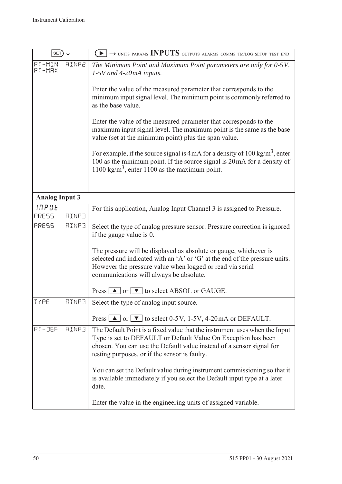| <b>SET</b>                            | $\rightarrow$ UNITS PARAMS INPUTS OUTPUTS ALARMS COMMS TM/LOG SETUP TEST END                                                                                                                                                                                         |
|---------------------------------------|----------------------------------------------------------------------------------------------------------------------------------------------------------------------------------------------------------------------------------------------------------------------|
| PT-MIN<br><b>AINP2</b><br>PT-MAX      | The Minimum Point and Maximum Point parameters are only for 0-5V,<br>$1-5V$ and 4-20mA inputs.                                                                                                                                                                       |
|                                       | Enter the value of the measured parameter that corresponds to the<br>minimum input signal level. The minimum point is commonly referred to<br>as the base value.                                                                                                     |
|                                       | Enter the value of the measured parameter that corresponds to the<br>maximum input signal level. The maximum point is the same as the base<br>value (set at the minimum point) plus the span value.                                                                  |
|                                       | For example, if the source signal is 4mA for a density of $100 \text{ kg/m}^3$ , enter<br>100 as the minimum point. If the source signal is 20mA for a density of<br>1100 kg/m <sup>3</sup> , enter 1100 as the maximum point.                                       |
| <b>Analog Input 3</b>                 |                                                                                                                                                                                                                                                                      |
| <b>INPUE</b><br>PRESS<br><b>AINP3</b> | For this application, Analog Input Channel 3 is assigned to Pressure.                                                                                                                                                                                                |
| PRESS<br><b>AINP3</b>                 | Select the type of analog pressure sensor. Pressure correction is ignored<br>if the gauge value is 0.                                                                                                                                                                |
|                                       | The pressure will be displayed as absolute or gauge, whichever is<br>selected and indicated with an 'A' or 'G' at the end of the pressure units.<br>However the pressure value when logged or read via serial<br>communications will always be absolute.             |
|                                       | Press $\boxed{\blacktriangle}$ or $\boxed{\blacktriangledown}$ to select ABSOL or GAUGE.                                                                                                                                                                             |
| TYPE<br><b>RINP3</b>                  | Select the type of analog input source.                                                                                                                                                                                                                              |
|                                       | Press $\Box$ or $\Box$ to select 0-5V, 1-5V, 4-20mA or DEFAULT.                                                                                                                                                                                                      |
| PT-DEF<br>RINP3                       | The Default Point is a fixed value that the instrument uses when the Input<br>Type is set to DEFAULT or Default Value On Exception has been<br>chosen. You can use the Default value instead of a sensor signal for<br>testing purposes, or if the sensor is faulty. |
|                                       | You can set the Default value during instrument commissioning so that it<br>is available immediately if you select the Default input type at a later<br>date.                                                                                                        |
|                                       | Enter the value in the engineering units of assigned variable.                                                                                                                                                                                                       |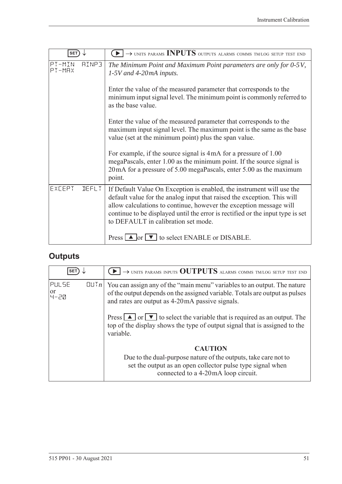| <b>SET</b>                       | $\rightarrow$ UNITS PARAMS INPUTS OUTPUTS ALARMS COMMS TM/LOG SETUP TEST END                                                                                                                                                                                                                                                                    |
|----------------------------------|-------------------------------------------------------------------------------------------------------------------------------------------------------------------------------------------------------------------------------------------------------------------------------------------------------------------------------------------------|
| PT-MIN<br><b>AINP3</b><br>PT-MAX | The Minimum Point and Maximum Point parameters are only for 0-5V,<br>$1-5V$ and 4-20mA inputs.                                                                                                                                                                                                                                                  |
|                                  | Enter the value of the measured parameter that corresponds to the<br>minimum input signal level. The minimum point is commonly referred to<br>as the base value.                                                                                                                                                                                |
|                                  | Enter the value of the measured parameter that corresponds to the<br>maximum input signal level. The maximum point is the same as the base<br>value (set at the minimum point) plus the span value.                                                                                                                                             |
|                                  | For example, if the source signal is 4mA for a pressure of 1.00<br>megaPascals, enter 1.00 as the minimum point. If the source signal is<br>20 mA for a pressure of 5.00 megaPascals, enter 5.00 as the maximum<br>point.                                                                                                                       |
| EXCEPT<br><b>DEFLT</b>           | If Default Value On Exception is enabled, the instrument will use the<br>default value for the analog input that raised the exception. This will<br>allow calculations to continue, however the exception message will<br>continue to be displayed until the error is rectified or the input type is set<br>to DEFAULT in calibration set mode. |
|                                  | Press $\Box$ or $\nabla$ to select ENABLE or DISABLE.                                                                                                                                                                                                                                                                                           |

# **Outputs**

| <b>SET</b>                                                                                           | $\rightarrow$ UNITS PARAMS INPUTS OUTPUTS ALARMS COMMS TM/LOG SETUP TEST END                                                                                                                               |
|------------------------------------------------------------------------------------------------------|------------------------------------------------------------------------------------------------------------------------------------------------------------------------------------------------------------|
| <b>PULSE</b><br>$[[] \cup [n]$<br>$\vert \begin{matrix} \text{or} \\ \text{4-20} \end{matrix} \vert$ | You can assign any of the "main menu" variables to an output. The nature<br>of the output depends on the assigned variable. Totals are output as pulses<br>and rates are output as 4-20mA passive signals. |
|                                                                                                      | Press $\Box$ or $\nabla$ to select the variable that is required as an output. The<br>top of the display shows the type of output signal that is assigned to the<br>variable.                              |
|                                                                                                      | <b>CAUTION</b><br>Due to the dual-purpose nature of the outputs, take care not to<br>set the output as an open collector pulse type signal when<br>connected to a 4-20mA loop circuit.                     |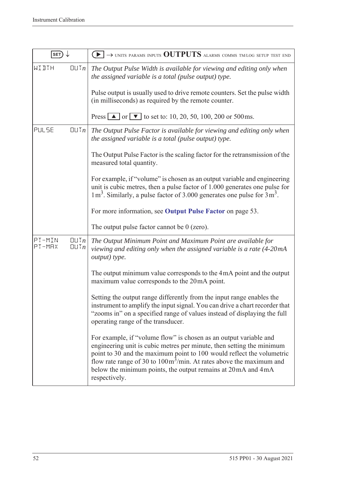| SET)             |                                        | $\rightarrow$ units params inputs OUTPUTS alarms comms tm/log setup test end                                                                                                                                                                                                                                                                                                                    |
|------------------|----------------------------------------|-------------------------------------------------------------------------------------------------------------------------------------------------------------------------------------------------------------------------------------------------------------------------------------------------------------------------------------------------------------------------------------------------|
| WIJTH            | QUTn                                   | The Output Pulse Width is available for viewing and editing only when<br>the assigned variable is a total (pulse output) type.                                                                                                                                                                                                                                                                  |
|                  |                                        | Pulse output is usually used to drive remote counters. Set the pulse width<br>(in milliseconds) as required by the remote counter.                                                                                                                                                                                                                                                              |
|                  |                                        | Press $\boxed{\triangle}$ or $\boxed{\triangledown}$ to set to: 10, 20, 50, 100, 200 or 500 ms.                                                                                                                                                                                                                                                                                                 |
| PULSE            | QUTn                                   | The Output Pulse Factor is available for viewing and editing only when<br>the assigned variable is a total (pulse output) type.                                                                                                                                                                                                                                                                 |
|                  |                                        | The Output Pulse Factor is the scaling factor for the retransmission of the<br>measured total quantity.                                                                                                                                                                                                                                                                                         |
|                  |                                        | For example, if "volume" is chosen as an output variable and engineering<br>unit is cubic metres, then a pulse factor of 1.000 generates one pulse for<br>$1 \text{ m}^3$ . Similarly, a pulse factor of 3.000 generates one pulse for $3 \text{ m}^3$ .                                                                                                                                        |
|                  |                                        | For more information, see Output Pulse Factor on page 53.                                                                                                                                                                                                                                                                                                                                       |
|                  |                                        | The output pulse factor cannot be $0$ (zero).                                                                                                                                                                                                                                                                                                                                                   |
| PT-MIN<br>PT-MRX | $\Box$ $\Box$ $\Box$ $n$<br>$QU$ T $n$ | The Output Minimum Point and Maximum Point are available for<br>viewing and editing only when the assigned variable is a rate (4-20mA<br>output) type.                                                                                                                                                                                                                                          |
|                  |                                        | The output minimum value corresponds to the 4mA point and the output<br>maximum value corresponds to the 20mA point.                                                                                                                                                                                                                                                                            |
|                  |                                        | Setting the output range differently from the input range enables the<br>instrument to amplify the input signal. You can drive a chart recorder that<br>"zooms in" on a specified range of values instead of displaying the full<br>operating range of the transducer.                                                                                                                          |
|                  |                                        | For example, if "volume flow" is chosen as an output variable and<br>engineering unit is cubic metres per minute, then setting the minimum<br>point to 30 and the maximum point to 100 would reflect the volumetric<br>flow rate range of 30 to $100 \text{m}^3/\text{min}$ . At rates above the maximum and<br>below the minimum points, the output remains at 20 mA and 4 mA<br>respectively. |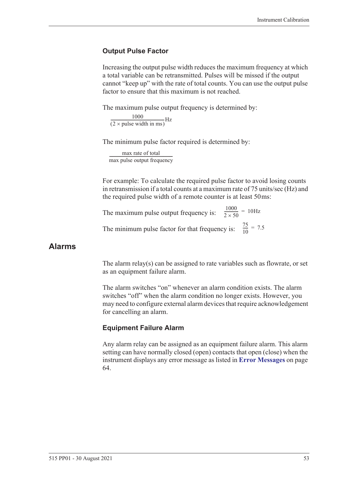#### <span id="page-62-0"></span>**Output Pulse Factor**

Increasing the output pulse width reduces the maximum frequency at which a total variable can be retransmitted. Pulses will be missed if the output cannot "keep up" with the rate of total counts. You can use the output pulse factor to ensure that this maximum is not reached.

The maximum pulse output frequency is determined by:

 $\frac{1000}{(2 \times \text{pulse width in ms)}}$ Hz

The minimum pulse factor required is determined by:

max rate of total max pulse output frequency ------------------------------------------------------------------

For example: To calculate the required pulse factor to avoid losing counts in retransmission if a total counts at a maximum rate of 75 units/sec (Hz) and the required pulse width of a remote counter is at least 50 ms:

The maximum pulse output frequency is:  $\frac{1000}{2 \times 50}$  = 10Hz The minimum pulse factor for that frequency is:  $\frac{75}{10}$  $\frac{73}{10}$  = 7.5

#### **Alarms**

The alarm relay(s) can be assigned to rate variables such as flowrate, or set as an equipment failure alarm.

The alarm switches "on" whenever an alarm condition exists. The alarm switches "off" when the alarm condition no longer exists. However, you may need to configure external alarm devices that require acknowledgement for cancelling an alarm.

#### **Equipment Failure Alarm**

Any alarm relay can be assigned as an equipment failure alarm. This alarm setting can have normally closed (open) contacts that open (close) when the instrument displays any error message as listed in **[Error Messages](#page-73-0)** on page [64.](#page-73-0)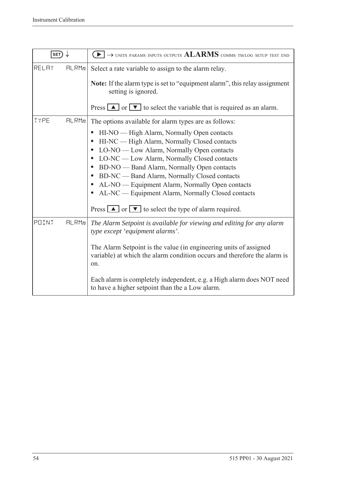| SET)  |       | $\rightarrow$ units params inputs outputs $\rm ALARMS$ comms tm/log setup test end                                                                                                                                                                                                                                                                                                                                                                                                                                                                                                                  |
|-------|-------|-----------------------------------------------------------------------------------------------------------------------------------------------------------------------------------------------------------------------------------------------------------------------------------------------------------------------------------------------------------------------------------------------------------------------------------------------------------------------------------------------------------------------------------------------------------------------------------------------------|
| RELAY | HLRMn | Select a rate variable to assign to the alarm relay.<br><b>Note:</b> If the alarm type is set to "equipment alarm", this relay assignment<br>setting is ignored.<br>Press $\boxed{\blacktriangle}$ or $\boxed{\blacktriangledown}$ to select the variable that is required as an alarm.                                                                                                                                                                                                                                                                                                             |
| TYPE  | HLRMn | The options available for alarm types are as follows:<br>HI-NO — High Alarm, Normally Open contacts<br>HI-NC — High Alarm, Normally Closed contacts<br>$\bullet$<br>LO-NO — Low Alarm, Normally Open contacts<br>$\bullet$<br>LO-NC — Low Alarm, Normally Closed contacts<br>BD-NO — Band Alarm, Normally Open contacts<br>$\bullet$<br>BD-NC — Band Alarm, Normally Closed contacts<br>$\bullet$<br>AL-NO — Equipment Alarm, Normally Open contacts<br>$\bullet$<br>AL-NC — Equipment Alarm, Normally Closed contacts<br>$\bullet$<br>Press $\Box$ or $\Box$ to select the type of alarm required. |
| POINT | HLRMn | The Alarm Setpoint is available for viewing and editing for any alarm<br>type except 'equipment alarms'.<br>The Alarm Setpoint is the value (in engineering units of assigned<br>variable) at which the alarm condition occurs and therefore the alarm is<br>on.<br>Each alarm is completely independent, e.g. a High alarm does NOT need<br>to have a higher setpoint than the a Low alarm.                                                                                                                                                                                                        |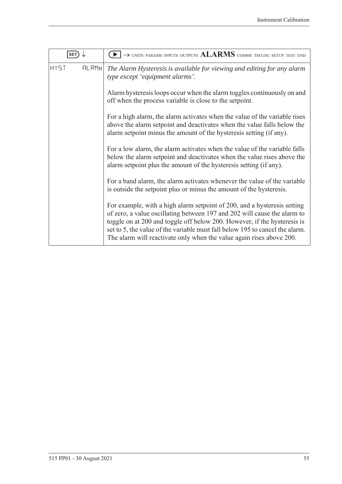| <b>SET</b>           | $\blacktriangleright$ $\rightarrow$ units params inputs outputs $ALARMS$ comms tm/log setup test end                                                                                                                                                                                                                                                                                     |
|----------------------|------------------------------------------------------------------------------------------------------------------------------------------------------------------------------------------------------------------------------------------------------------------------------------------------------------------------------------------------------------------------------------------|
| <b>HY5T</b><br>FLRMn | The Alarm Hysteresis is available for viewing and editing for any alarm<br>type except 'equipment alarms'.                                                                                                                                                                                                                                                                               |
|                      | Alarm hysteresis loops occur when the alarm toggles continuously on and<br>off when the process variable is close to the setpoint.                                                                                                                                                                                                                                                       |
|                      | For a high alarm, the alarm activates when the value of the variable rises<br>above the alarm setpoint and deactivates when the value falls below the<br>alarm setpoint minus the amount of the hysteresis setting (if any).                                                                                                                                                             |
|                      | For a low alarm, the alarm activates when the value of the variable falls<br>below the alarm setpoint and deactivates when the value rises above the<br>alarm setpoint plus the amount of the hysteresis setting (if any).                                                                                                                                                               |
|                      | For a band alarm, the alarm activates whenever the value of the variable<br>is outside the setpoint plus or minus the amount of the hysteresis.                                                                                                                                                                                                                                          |
|                      | For example, with a high alarm setpoint of 200, and a hysteresis setting<br>of zero, a value oscillating between 197 and 202 will cause the alarm to<br>toggle on at 200 and toggle off below 200. However, if the hysteresis is<br>set to 5, the value of the variable must fall below 195 to cancel the alarm.<br>The alarm will reactivate only when the value again rises above 200. |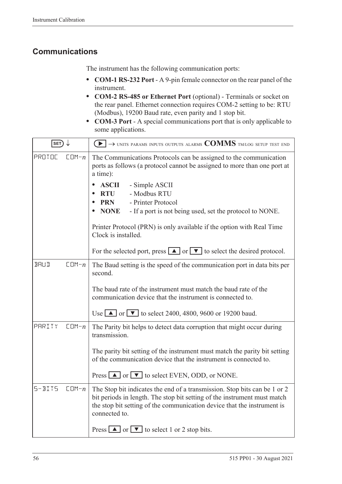# **Communications**

The instrument has the following communication ports:

- **• COM-1 RS-232 Port** A 9-pin female connector on the rear panel of the instrument.
- **• COM-2 RS-485 or Ethernet Port** (optional) Terminals or socket on the rear panel. Ethernet connection requires COM-2 setting to be: RTU (Modbus), 19200 Baud rate, even parity and 1 stop bit.
- **• COM-3 Port** A special communications port that is only applicable to some applications.

| SET)                                   | $\left(\blacktriangleright\right)\rightarrow$ units params inputs outputs alarms $\text{COMMS}$ tm/log setup test end                                                                                                                             |
|----------------------------------------|---------------------------------------------------------------------------------------------------------------------------------------------------------------------------------------------------------------------------------------------------|
| PROTOC<br>$CDM - n$                    | The Communications Protocols can be assigned to the communication<br>ports as follows (a protocol cannot be assigned to more than one port at<br>a time):                                                                                         |
|                                        | <b>ASCII</b><br>- Simple ASCII<br>- Modbus RTU<br><b>RTU</b><br>- Printer Protocol<br><b>PRN</b><br><b>NONE</b><br>- If a port is not being used, set the protocol to NONE.                                                                       |
|                                        | Printer Protocol (PRN) is only available if the option with Real Time<br>Clock is installed.                                                                                                                                                      |
|                                        | For the selected port, press $\Box$ or $\Box$ to select the desired protocol.                                                                                                                                                                     |
| $CDM - n$<br><b>BAUD</b>               | The Baud setting is the speed of the communication port in data bits per<br>second.                                                                                                                                                               |
|                                        | The baud rate of the instrument must match the baud rate of the<br>communication device that the instrument is connected to.                                                                                                                      |
|                                        | Use 1 or $\bullet$ or $\bullet$ to select 2400, 4800, 9600 or 19200 baud.                                                                                                                                                                         |
| PARITY<br>$CDM - n$                    | The Parity bit helps to detect data corruption that might occur during<br>transmission.                                                                                                                                                           |
|                                        | The parity bit setting of the instrument must match the parity bit setting<br>of the communication device that the instrument is connected to.                                                                                                    |
|                                        | Press $\Box$ or $\nabla$ to select EVEN, ODD, or NONE.                                                                                                                                                                                            |
| $5 - B1$ <sup>T</sup> $5$<br>$CDM - n$ | The Stop bit indicates the end of a transmission. Stop bits can be 1 or 2<br>bit periods in length. The stop bit setting of the instrument must match<br>the stop bit setting of the communication device that the instrument is<br>connected to. |
|                                        | Press $\boxed{\blacktriangle}$ or $\boxed{\blacktriangledown}$ to select 1 or 2 stop bits.                                                                                                                                                        |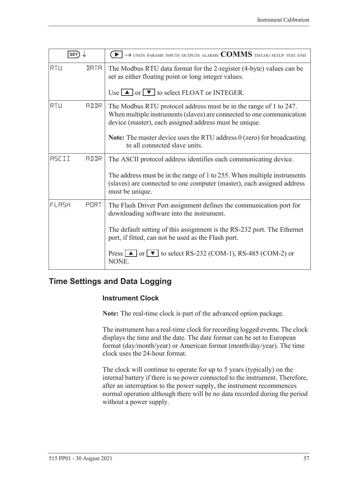| <b>SET</b>   |             | $\rightarrow$ units params inputs outputs alarms $\text{COMMS}$ tm/log setup test end                                                                                                                |
|--------------|-------------|------------------------------------------------------------------------------------------------------------------------------------------------------------------------------------------------------|
| RTU          | <b>JATA</b> | The Modbus RTU data format for the 2-register (4-byte) values can be<br>set as either floating point or long integer values.                                                                         |
|              |             | Use $\Box$ or $\nabla$ to select FLOAT or INTEGER.                                                                                                                                                   |
| RTU          | <b>ALLR</b> | The Modbus RTU protocol address must be in the range of 1 to 247.<br>When multiple instruments (slaves) are connected to one communication<br>device (master), each assigned address must be unique. |
|              |             | <b>Note:</b> The master device uses the RTU address 0 (zero) for broadcasting<br>to all connected slave units.                                                                                       |
| <b>ASCII</b> | AIIR        | The ASCII protocol address identifies each communicating device.                                                                                                                                     |
|              |             | The address must be in the range of 1 to 255. When multiple instruments<br>(slaves) are connected to one computer (master), each assigned address<br>must be unique.                                 |
| FLASH        | PORT        | The Flash Driver Port assignment defines the communication port for<br>downloading software into the instrument.                                                                                     |
|              |             | The default setting of this assignment is the RS-232 port. The Ethernet<br>port, if fitted, can not be used as the Flash port.                                                                       |
|              |             | Press $\Box$ or $\nabla$ to select RS-232 (COM-1), RS-485 (COM-2) or<br>NONE.                                                                                                                        |

### **Time Settings and Data Logging**

#### **Instrument Clock**

**Note:** The real-time clock is part of the advanced option package.

The instrument has a real-time clock for recording logged events. The clock displays the time and the date. The date format can be set to European format (day/month/year) or American format (month/day/year). The time clock uses the 24-hour format.

The clock will continue to operate for up to 5 years (typically) on the internal battery if there is no power connected to the instrument. Therefore, after an interruption to the power supply, the instrument recommences normal operation although there will be no data recorded during the period without a power supply.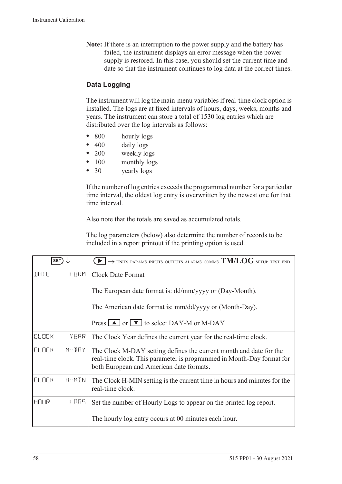**Note:** If there is an interruption to the power supply and the battery has failed, the instrument displays an error message when the power supply is restored. In this case, you should set the current time and date so that the instrument continues to log data at the correct times.

#### **Data Logging**

The instrument will log the main-menu variables if real-time clock option is installed. The logs are at fixed intervals of hours, days, weeks, months and years. The instrument can store a total of 1530 log entries which are distributed over the log intervals as follows:

- 800 hourly logs
- **•** 400 daily logs
- **•** 200 weekly logs
- 100 monthly logs
- 30 yearly logs

If the number of log entries exceeds the programmed number for a particular time interval, the oldest log entry is overwritten by the newest one for that time interval.

Also note that the totals are saved as accumulated totals.

The log parameters (below) also determine the number of records to be included in a report printout if the printing option is used.

| <b>SET</b>   |           | $\rightarrow$ units params inputs outputs alarms comms $\mathrm{TM/LOG}$ setup test end                                                                                                 |
|--------------|-----------|-----------------------------------------------------------------------------------------------------------------------------------------------------------------------------------------|
| <b>JATE</b>  | FORM      | <b>Clock Date Format</b>                                                                                                                                                                |
|              |           | The European date format is: dd/mm/yyyy or (Day-Month).                                                                                                                                 |
|              |           | The American date format is: mm/dd/yyyy or (Month-Day).                                                                                                                                 |
|              |           | Press $\boxed{\blacktriangle}$ or $\boxed{\blacktriangledown}$ to select DAY-M or M-DAY                                                                                                 |
| <b>ELDEK</b> | YEAR      | The Clock Year defines the current year for the real-time clock.                                                                                                                        |
| <b>CLOCK</b> | $M - JHY$ | The Clock M-DAY setting defines the current month and date for the<br>real-time clock. This parameter is programmed in Month-Day format for<br>both European and American date formats. |
| <b>ELDEK</b> | H-MIN     | The Clock H-MIN setting is the current time in hours and minutes for the<br>real-time clock.                                                                                            |
| HOUR         | LOGS.     | Set the number of Hourly Logs to appear on the printed log report.                                                                                                                      |
|              |           | The hourly log entry occurs at 00 minutes each hour.                                                                                                                                    |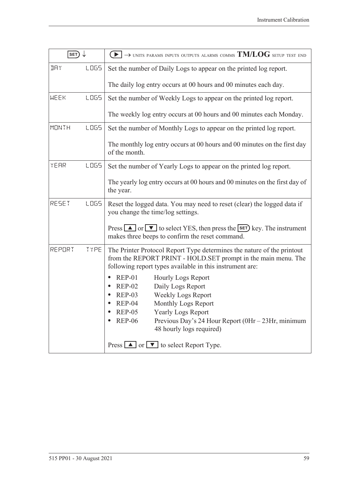| SET)         |             | $\blacktriangleright$ $\rightarrow$ units params inputs outputs alarms comms TM/LOG setup test end                                                                                                                                                                                                                              |
|--------------|-------------|---------------------------------------------------------------------------------------------------------------------------------------------------------------------------------------------------------------------------------------------------------------------------------------------------------------------------------|
| <b>IRY</b>   | <b>LOGS</b> | Set the number of Daily Logs to appear on the printed log report.                                                                                                                                                                                                                                                               |
|              |             | The daily log entry occurs at 00 hours and 00 minutes each day.                                                                                                                                                                                                                                                                 |
| <b>WEEK</b>  | <b>LOGS</b> | Set the number of Weekly Logs to appear on the printed log report.                                                                                                                                                                                                                                                              |
|              |             | The weekly log entry occurs at 00 hours and 00 minutes each Monday.                                                                                                                                                                                                                                                             |
| <b>MONTH</b> | LO65        | Set the number of Monthly Logs to appear on the printed log report.                                                                                                                                                                                                                                                             |
|              |             | The monthly log entry occurs at 00 hours and 00 minutes on the first day<br>of the month.                                                                                                                                                                                                                                       |
| YEAR         | LO65        | Set the number of Yearly Logs to appear on the printed log report.                                                                                                                                                                                                                                                              |
|              |             | The yearly log entry occurs at 00 hours and 00 minutes on the first day of<br>the year.                                                                                                                                                                                                                                         |
| RESET        | <b>LOGS</b> | Reset the logged data. You may need to reset (clear) the logged data if<br>you change the time/log settings.                                                                                                                                                                                                                    |
|              |             | Press $\Box$ or $\nabla$ to select YES, then press the <b>SET</b> ) key. The instrument<br>makes three beeps to confirm the reset command.                                                                                                                                                                                      |
| REPORT       | TYPE        | The Printer Protocol Report Type determines the nature of the printout<br>from the REPORT PRINT - HOLD.SET prompt in the main menu. The<br>following report types available in this instrument are:                                                                                                                             |
|              |             | <b>REP-01</b><br><b>Hourly Logs Report</b><br>$\bullet$<br>Daily Logs Report<br><b>REP-02</b><br><b>Weekly Logs Report</b><br><b>REP-03</b><br>Monthly Logs Report<br>$REP-04$<br><b>REP-05</b><br><b>Yearly Logs Report</b><br><b>REP-06</b><br>Previous Day's 24 Hour Report (0Hr - 23Hr, minimum<br>48 hourly logs required) |
|              |             | Press $\boxed{\blacktriangle}$ or $\boxed{\blacktriangledown}$ to select Report Type.                                                                                                                                                                                                                                           |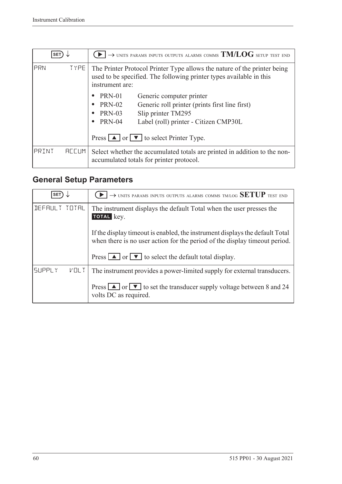|       | <b>SET</b>   | $\rightarrow$ units params inputs outputs alarms comms $\mathrm{TM/LOG}$ setup test end                                                                            |
|-------|--------------|--------------------------------------------------------------------------------------------------------------------------------------------------------------------|
| PRN   | <b>TYPE</b>  | The Printer Protocol Printer Type allows the nature of the printer being<br>used to be specified. The following printer types available in this<br>instrument are: |
|       |              | PRN-01<br>Generic computer printer                                                                                                                                 |
|       |              | <b>PRN-02</b><br>Generic roll printer (prints first line first)<br>$\bullet$                                                                                       |
|       |              | <b>PRN-03</b><br>Slip printer TM295                                                                                                                                |
|       |              | <b>PRN-04</b><br>Label (roll) printer - Citizen CMP30L<br>$\bullet$                                                                                                |
|       |              | Press $\boxed{\blacktriangle}$ or $\boxed{\blacktriangledown}$ to select Printer Type.                                                                             |
| PRINT | <b>REEUM</b> | Select whether the accumulated totals are printed in addition to the non-<br>accumulated totals for printer protocol.                                              |

# **General Setup Parameters**

| <b>SET</b>    |                 | $\rightarrow$ units params inputs outputs alarms comms tm/log SETUP test end                                                                                 |
|---------------|-----------------|--------------------------------------------------------------------------------------------------------------------------------------------------------------|
| DEFAULT TOTAL |                 | The instrument displays the default Total when the user presses the<br>TOTAL key.                                                                            |
|               |                 | If the display time out is enabled, the instrument displays the default Total<br>when there is no user action for the period of the display time out period. |
|               |                 | Press $\boxed{\blacktriangle}$ or $\boxed{\blacktriangledown}$ to select the default total display.                                                          |
| <b>SUPPLY</b> | $V \square L$ T | The instrument provides a power-limited supply for external transducers.                                                                                     |
|               |                 | Press $\boxed{\blacktriangle}$ or $\boxed{\blacktriangledown}$ to set the transducer supply voltage between 8 and 24<br>volts DC as required.                |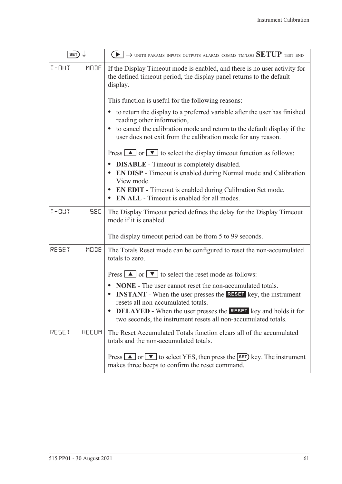| SET)                     | $\blacktriangleright$ $\rightarrow$ units params inputs outputs alarms comms tm/log $\operatorname{SETUP}$ test end                                                                                                                                                                                                                    |
|--------------------------|----------------------------------------------------------------------------------------------------------------------------------------------------------------------------------------------------------------------------------------------------------------------------------------------------------------------------------------|
| $T - 11T$<br>MODE        | If the Display Timeout mode is enabled, and there is no user activity for<br>the defined timeout period, the display panel returns to the default<br>display.                                                                                                                                                                          |
|                          | This function is useful for the following reasons:                                                                                                                                                                                                                                                                                     |
|                          | to return the display to a preferred variable after the user has finished<br>reading other information,                                                                                                                                                                                                                                |
|                          | to cancel the calibration mode and return to the default display if the<br>user does not exit from the calibration mode for any reason.                                                                                                                                                                                                |
|                          | Press $\boxed{\blacktriangle}$ or $\boxed{\blacktriangledown}$ to select the display timeout function as follows:                                                                                                                                                                                                                      |
|                          | <b>DISABLE</b> - Timeout is completely disabled.<br><b>EN DISP</b> - Timeout is enabled during Normal mode and Calibration<br>View mode.                                                                                                                                                                                               |
|                          | <b>EN EDIT</b> - Timeout is enabled during Calibration Set mode.<br><b>EN ALL</b> - Timeout is enabled for all modes.                                                                                                                                                                                                                  |
| <b>SEC</b><br>$T - 111T$ | The Display Timeout period defines the delay for the Display Timeout<br>mode if it is enabled.                                                                                                                                                                                                                                         |
|                          | The display timeout period can be from 5 to 99 seconds.                                                                                                                                                                                                                                                                                |
| MODE<br>RESET            | The Totals Reset mode can be configured to reset the non-accumulated<br>totals to zero.                                                                                                                                                                                                                                                |
|                          | Press $\boxed{\blacktriangle}$ or $\boxed{\blacktriangledown}$ to select the reset mode as follows:                                                                                                                                                                                                                                    |
|                          | <b>NONE</b> - The user cannot reset the non-accumulated totals.<br><b>INSTANT</b> - When the user presses the <b>RESET</b> key, the instrument<br>resets all non-accumulated totals.<br><b>DELAYED</b> - When the user presses the <b>RESET</b> key and holds it for<br>two seconds, the instrument resets all non-accumulated totals. |
| <b>REEUM</b><br>RESET    | The Reset Accumulated Totals function clears all of the accumulated                                                                                                                                                                                                                                                                    |
|                          | totals and the non-accumulated totals.                                                                                                                                                                                                                                                                                                 |
|                          | Press $\Box$ or $\nabla$ to select YES, then press the <b>SET</b> ) key. The instrument<br>makes three beeps to confirm the reset command.                                                                                                                                                                                             |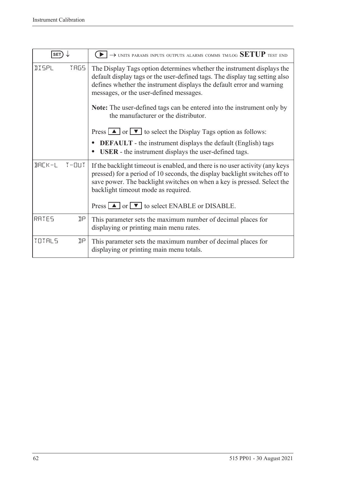| <b>SET</b>   |                   | $\rightarrow$ units params inputs outputs alarms comms tm/log SETUP test end                                                                                                                                                                                                                                                                               |
|--------------|-------------------|------------------------------------------------------------------------------------------------------------------------------------------------------------------------------------------------------------------------------------------------------------------------------------------------------------------------------------------------------------|
| <b>NISPL</b> | <b>TRGS</b>       | The Display Tags option determines whether the instrument displays the<br>default display tags or the user-defined tags. The display tag setting also<br>defines whether the instrument displays the default error and warning<br>messages, or the user-defined messages.<br><b>Note:</b> The user-defined tags can be entered into the instrument only by |
|              |                   | the manufacturer or the distributor.                                                                                                                                                                                                                                                                                                                       |
|              |                   | Press $\boxed{\blacktriangle}$ or $\boxed{\blacktriangledown}$ to select the Display Tags option as follows:                                                                                                                                                                                                                                               |
|              |                   | <b>DEFAULT</b> - the instrument displays the default (English) tags<br>$\bullet$<br><b>USER</b> - the instrument displays the user-defined tags.                                                                                                                                                                                                           |
| $BHLK-L$     | $T - \Box \Box T$ | If the backlight timeout is enabled, and there is no user activity (any keys<br>pressed) for a period of 10 seconds, the display backlight switches off to<br>save power. The backlight switches on when a key is pressed. Select the<br>backlight timeout mode as required.                                                                               |
|              |                   | Press $\Box$ or $\Box$ to select ENABLE or DISABLE.                                                                                                                                                                                                                                                                                                        |
| RATES        | ηp                | This parameter sets the maximum number of decimal places for<br>displaying or printing main menu rates.                                                                                                                                                                                                                                                    |
| TOTALS       | ηp                | This parameter sets the maximum number of decimal places for<br>displaying or printing main menu totals.                                                                                                                                                                                                                                                   |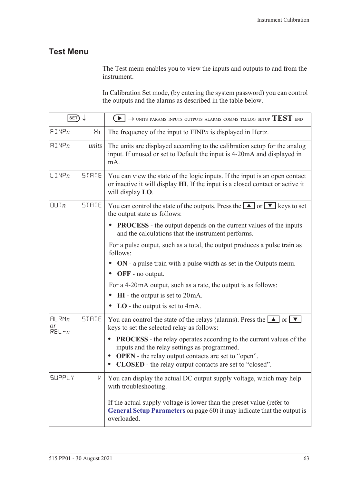### **Test Menu**

<span id="page-72-0"></span>The Test menu enables you to view the inputs and outputs to and from the instrument.

In Calibration Set mode, (by entering the system password) you can control the outputs and the alarms as described in the table below.

| $SET) \downarrow$        |              | $\rightarrow$ units params inputs outputs alarms comms tm/log setup $\mathrm{TEST}$ end<br>$\blacktriangleright$                                                                                                                                                   |
|--------------------------|--------------|--------------------------------------------------------------------------------------------------------------------------------------------------------------------------------------------------------------------------------------------------------------------|
| FIMPn                    | Hz           | The frequency of the input to $FINPn$ is displayed in Hertz.                                                                                                                                                                                                       |
| $\text{HIMP}_n$          | units        | The units are displayed according to the calibration setup for the analog<br>input. If unused or set to Default the input is 4-20mA and displayed in<br>mA.                                                                                                        |
| $L$ INP $n$              | <b>STATE</b> | You can view the state of the logic inputs. If the input is an open contact<br>or inactive it will display HI. If the input is a closed contact or active it<br>will display LO.                                                                                   |
| QUTn                     | STATE        | You can control the state of the outputs. Press the $\Box$ or $\neg$ keys to set<br>the output state as follows:                                                                                                                                                   |
|                          |              | <b>PROCESS</b> - the output depends on the current values of the inputs<br>and the calculations that the instrument performs.                                                                                                                                      |
|                          |              | For a pulse output, such as a total, the output produces a pulse train as<br>follows:                                                                                                                                                                              |
|                          |              | ON - a pulse train with a pulse width as set in the Outputs menu.<br><b>OFF</b> - no output.                                                                                                                                                                       |
|                          |              | For a 4-20 mA output, such as a rate, the output is as follows:                                                                                                                                                                                                    |
|                          |              | $HI$ - the output is set to $20mA$ .                                                                                                                                                                                                                               |
|                          |              | $LO$ - the output is set to 4mA.                                                                                                                                                                                                                                   |
| HLRMn<br>0r<br>$REL - n$ | <b>STATE</b> | You can control the state of the relays (alarms). Press the $\Box$ or $\neg$<br>keys to set the selected relay as follows:                                                                                                                                         |
|                          |              | • PROCESS - the relay operates according to the current values of the<br>inputs and the relay settings as programmed.<br><b>OPEN</b> - the relay output contacts are set to "open".<br>$\bullet$<br><b>CLOSED</b> - the relay output contacts are set to "closed". |
| <b>SUPPLY</b>            | V            | You can display the actual DC output supply voltage, which may help<br>with troubleshooting.                                                                                                                                                                       |
|                          |              | If the actual supply voltage is lower than the preset value (refer to<br>General Setup Parameters on page 60) it may indicate that the output is<br>overloaded.                                                                                                    |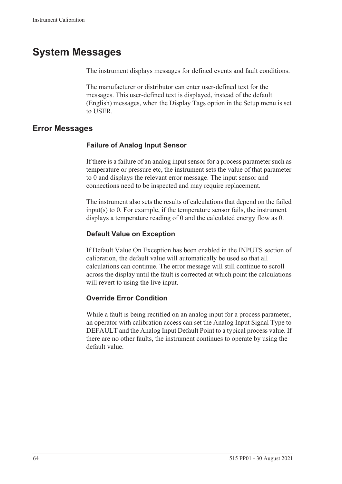### **System Messages**

<span id="page-73-4"></span>The instrument displays messages for defined events and fault conditions.

The manufacturer or distributor can enter user-defined text for the messages. This user-defined text is displayed, instead of the default (English) messages, when the Display Tags option in the Setup menu is set to USER.

#### <span id="page-73-3"></span>**Error Messages**

#### <span id="page-73-0"></span>**Failure of Analog Input Sensor**

If there is a failure of an analog input sensor for a process parameter such as temperature or pressure etc, the instrument sets the value of that parameter to 0 and displays the relevant error message. The input sensor and connections need to be inspected and may require replacement.

The instrument also sets the results of calculations that depend on the failed input(s) to 0. For example, if the temperature sensor fails, the instrument displays a temperature reading of 0 and the calculated energy flow as 0.

#### <span id="page-73-1"></span>**Default Value on Exception**

If Default Value On Exception has been enabled in the INPUTS section of calibration, the default value will automatically be used so that all calculations can continue. The error message will still continue to scroll across the display until the fault is corrected at which point the calculations will revert to using the live input.

#### <span id="page-73-2"></span>**Override Error Condition**

While a fault is being rectified on an analog input for a process parameter, an operator with calibration access can set the Analog Input Signal Type to DEFAULT and the Analog Input Default Point to a typical process value. If there are no other faults, the instrument continues to operate by using the default value.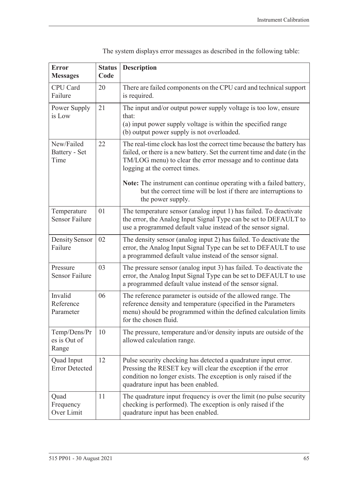<span id="page-74-0"></span>

| <b>Error</b><br><b>Messages</b>       | <b>Status</b><br>Code | <b>Description</b>                                                                                                                                                                                                                                 |
|---------------------------------------|-----------------------|----------------------------------------------------------------------------------------------------------------------------------------------------------------------------------------------------------------------------------------------------|
| CPU Card<br>Failure                   | 20                    | There are failed components on the CPU card and technical support<br>is required.                                                                                                                                                                  |
| Power Supply<br>is Low                | 21                    | The input and/or output power supply voltage is too low, ensure<br>that:<br>(a) input power supply voltage is within the specified range<br>(b) output power supply is not overloaded.                                                             |
| New/Failed<br>Battery - Set<br>Time   | 22                    | The real-time clock has lost the correct time because the battery has<br>failed, or there is a new battery. Set the current time and date (in the<br>TM/LOG menu) to clear the error message and to continue data<br>logging at the correct times. |
|                                       |                       | Note: The instrument can continue operating with a failed battery,<br>but the correct time will be lost if there are interruptions to<br>the power supply.                                                                                         |
| Temperature<br><b>Sensor Failure</b>  | 01                    | The temperature sensor (analog input 1) has failed. To deactivate<br>the error, the Analog Input Signal Type can be set to DEFAULT to<br>use a programmed default value instead of the sensor signal.                                              |
| Density Sensor<br>Failure             | 02                    | The density sensor (analog input 2) has failed. To deactivate the<br>error, the Analog Input Signal Type can be set to DEFAULT to use<br>a programmed default value instead of the sensor signal.                                                  |
| Pressure<br><b>Sensor Failure</b>     | 03                    | The pressure sensor (analog input 3) has failed. To deactivate the<br>error, the Analog Input Signal Type can be set to DEFAULT to use<br>a programmed default value instead of the sensor signal.                                                 |
| Invalid<br>Reference<br>Parameter     | 06                    | The reference parameter is outside of the allowed range. The<br>reference density and temperature (specified in the Parameters<br>menu) should be programmed within the defined calculation limits<br>for the chosen fluid.                        |
| Temp/Dens/Pr<br>es is Out of<br>Range | 10                    | The pressure, temperature and/or density inputs are outside of the<br>allowed calculation range.                                                                                                                                                   |
| Quad Input<br><b>Error Detected</b>   | 12                    | Pulse security checking has detected a quadrature input error.<br>Pressing the RESET key will clear the exception if the error<br>condition no longer exists. The exception is only raised if the<br>quadrature input has been enabled.            |
| Quad<br>Frequency<br>Over Limit       | 11                    | The quadrature input frequency is over the limit (no pulse security<br>checking is performed). The exception is only raised if the<br>quadrature input has been enabled.                                                                           |

The system displays error messages as described in the following table: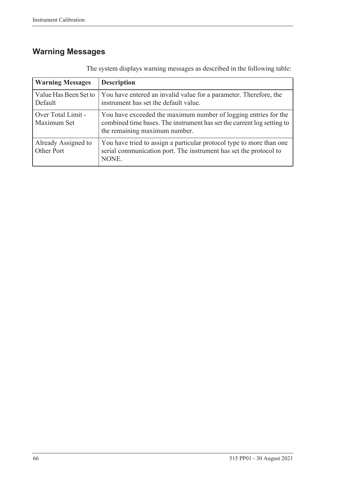### <span id="page-75-0"></span>**Warning Messages**

| <b>Warning Messages</b>           | <b>Description</b>                                                                                                                                                         |
|-----------------------------------|----------------------------------------------------------------------------------------------------------------------------------------------------------------------------|
| Value Has Been Set to<br>Default  | You have entered an invalid value for a parameter. Therefore, the<br>instrument has set the default value.                                                                 |
| Over Total Limit -<br>Maximum Set | You have exceeded the maximum number of logging entries for the<br>combined time bases. The instrument has set the current log setting to<br>the remaining maximum number. |
| Already Assigned to<br>Other Port | You have tried to assign a particular protocol type to more than one<br>serial communication port. The instrument has set the protocol to<br>NONE.                         |

The system displays warning messages as described in the following table: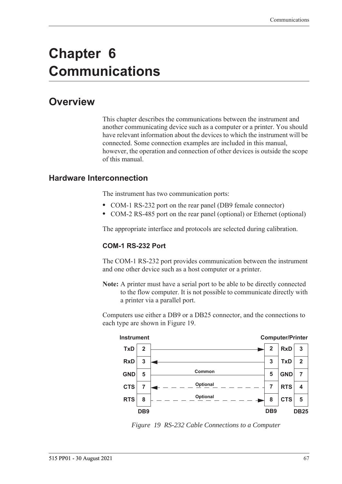# **Chapter 6 Communications**

## **Overview**

<span id="page-76-2"></span>This chapter describes the communications between the instrument and another communicating device such as a computer or a printer. You should have relevant information about the devices to which the instrument will be connected. Some connection examples are included in this manual, however, the operation and connection of other devices is outside the scope of this manual.

#### **Hardware Interconnection**

<span id="page-76-3"></span>The instrument has two communication ports:

- **•** COM-1 RS-232 port on the rear panel (DB9 female connector)
- **•** COM-2 RS-485 port on the rear panel (optional) or Ethernet (optional)

The appropriate interface and protocols are selected during calibration.

#### <span id="page-76-1"></span>**COM-1 RS-232 Port**

The COM-1 RS-232 port provides communication between the instrument and one other device such as a host computer or a printer.

**Note:** A printer must have a serial port to be able to be directly connected to the flow computer. It is not possible to communicate directly with a printer via a parallel port.

Computers use either a DB9 or a DB25 connector, and the connections to each type are shown in [Figure 19.](#page-76-0)



<span id="page-76-0"></span>*Figure 19 RS-232 Cable Connections to a Computer*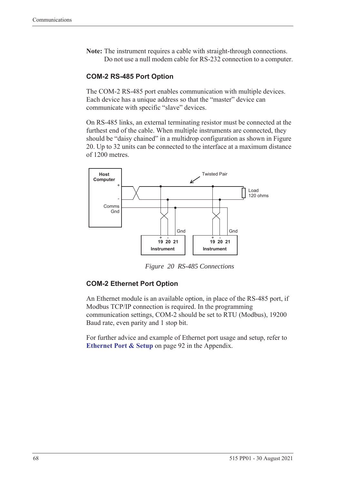**Note:** The instrument requires a cable with straight-through connections. Do not use a null modem cable for RS-232 connection to a computer.

#### <span id="page-77-1"></span>**COM-2 RS-485 Port Option**

The COM-2 RS-485 port enables communication with multiple devices. Each device has a unique address so that the "master" device can communicate with specific "slave" devices.

On RS-485 links, an external terminating resistor must be connected at the furthest end of the cable. When multiple instruments are connected, they should be "daisy chained" in a multidrop configuration as shown in Figure [20](#page-77-0). Up to 32 units can be connected to the interface at a maximum distance of 1200 metres.



<span id="page-77-2"></span>*Figure 20 RS-485 Connections*

#### <span id="page-77-0"></span>**COM-2 Ethernet Port Option**

An Ethernet module is an available option, in place of the RS-485 port, if Modbus TCP/IP connection is required. In the programming communication settings, COM-2 should be set to RTU (Modbus), 19200 Baud rate, even parity and 1 stop bit.

For further advice and example of Ethernet port usage and setup, refer to **[Ethernet Port & Setup](#page-101-0)** on page 92 in the Appendix.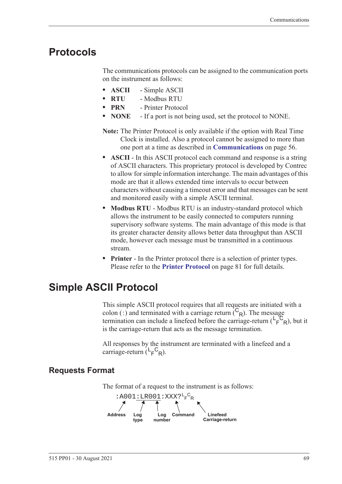### **Protocols**

<span id="page-78-1"></span>The communications protocols can be assigned to the communication ports on the instrument as follows:

- **• ASCII** Simple ASCII
- **• RTU** Modbus RTU
- **• PRN** Printer Protocol
- **• NONE** If a port is not being used, set the protocol to NONE.
- **Note:** The Printer Protocol is only available if the option with Real Time Clock is installed. Also a protocol cannot be assigned to more than one port at a time as described in **[Communications](#page-65-0)** on page 56.
- **• ASCII** In this ASCII protocol each command and response is a string of ASCII characters. This proprietary protocol is developed by Contrec to allow for simple information interchange. The main advantages of this mode are that it allows extended time intervals to occur between characters without causing a timeout error and that messages can be sent and monitored easily with a simple ASCII terminal.
- **• Modbus RTU** Modbus RTU is an industry-standard protocol which allows the instrument to be easily connected to computers running supervisory software systems. The main advantage of this mode is that its greater character density allows better data throughput than ASCII mode, however each message must be transmitted in a continuous stream.
- <span id="page-78-0"></span>**• Printer** - In the Printer protocol there is a selection of printer types. Please refer to the **[Printer Protocol](#page-90-0)** on page 81 for full details.

### **Simple ASCII Protocol**

This simple ASCII protocol requires that all requests are initiated with a colon (:) and terminated with a carriage return  $\binom{C_R}{R}$ . The message termination can include a linefeed before the carriage-return  $(\mathsf{L}_\mathsf{F}^\mathsf{C}_{\mathsf{R}})$ , but it is the carriage-return that acts as the message termination.

<span id="page-78-2"></span>All responses by the instrument are terminated with a linefeed and a carriage-return  $(L_F^C_R)$ .

#### **Requests Format**

The format of a request to the instrument is as follows:

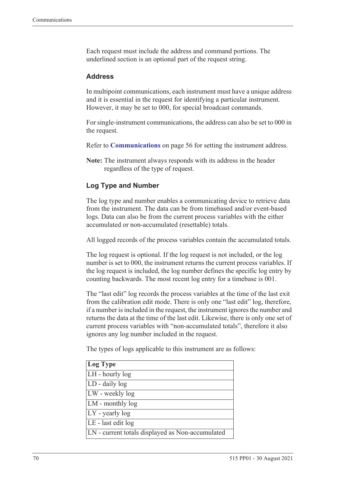Each request must include the address and command portions. The underlined section is an optional part of the request string.

#### <span id="page-79-0"></span>**Address**

In multipoint communications, each instrument must have a unique address and it is essential in the request for identifying a particular instrument. However, it may be set to 000, for special broadcast commands.

For single-instrument communications, the address can also be set to 000 in the request.

Refer to **[Communications](#page-65-0)** on page 56 for setting the instrument address.

**Note:** The instrument always responds with its address in the header regardless of the type of request.

#### **Log Type and Number**

The log type and number enables a communicating device to retrieve data from the instrument. The data can be from timebased and/or event-based logs. Data can also be from the current process variables with the either accumulated or non-accumulated (resettable) totals.

All logged records of the process variables contain the accumulated totals.

The log request is optional. If the log request is not included, or the log number is set to 000, the instrument returns the current process variables. If the log request is included, the log number defines the specific log entry by counting backwards. The most recent log entry for a timebase is 001.

The "last edit" log records the process variables at the time of the last exit from the calibration edit mode. There is only one "last edit" log, therefore, if a number is included in the request, the instrument ignores the number and returns the data at the time of the last edit. Likewise, there is only one set of current process variables with "non-accumulated totals", therefore it also ignores any log number included in the request.

The types of logs applicable to this instrument are as follows:

| Log Type                                         |
|--------------------------------------------------|
| LH - hourly log                                  |
| LD - daily log                                   |
| LW - weekly log                                  |
| LM - monthly log                                 |
| $LY$ - yearly log                                |
| LE - last edit log                               |
| LN - current totals displayed as Non-accumulated |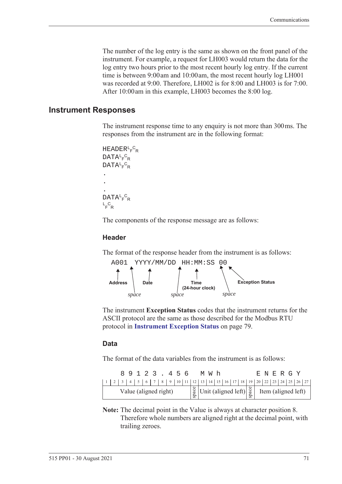The number of the log entry is the same as shown on the front panel of the instrument. For example, a request for LH003 would return the data for the log entry two hours prior to the most recent hourly log entry. If the current time is between 9:00 am and 10:00 am, the most recent hourly log LH001 was recorded at 9:00. Therefore, LH002 is for 8:00 and LH003 is for 7:00. After 10:00 am in this example, LH003 becomes the 8:00 log.

#### **Instrument Responses**

<span id="page-80-1"></span>The instrument response time to any enquiry is not more than 300 ms. The responses from the instrument are in the following format:

```
HEADER<sup>L</sup>F<sup>C</sup>R
DATA<sup>L</sup>F<sup>C</sup>R
DATA<sup>L</sup>F<sup>C</sup>R
.
.
.
DATA<sup>L</sup>F<sup>C</sup>R
L_F^C<sub>R</sub>
```
The components of the response message are as follows:

#### **Header**

The format of the response header from the instrument is as follows:



<span id="page-80-0"></span>The instrument **Exception Status** codes that the instrument returns for the ASCII protocol are the same as those described for the Modbus RTU protocol in **[Instrument Exception Status](#page-88-0)** on page 79.

#### **Data**

The format of the data variables from the instrument is as follows:

|  |  |  | 89123.456             |  |  |  | M W h |                                                                                                                                                               |  |  |  | E N E R G Y |  |  |
|--|--|--|-----------------------|--|--|--|-------|---------------------------------------------------------------------------------------------------------------------------------------------------------------|--|--|--|-------------|--|--|
|  |  |  |                       |  |  |  |       |                                                                                                                                                               |  |  |  |             |  |  |
|  |  |  | Value (aligned right) |  |  |  |       | $\begin{bmatrix} \frac{8}{9} \\ \frac{8}{9} \end{bmatrix}$ Unit (aligned left) $\begin{bmatrix} \frac{8}{9} \\ \frac{8}{9} \end{bmatrix}$ Item (aligned left) |  |  |  |             |  |  |

**Note:** The decimal point in the Value is always at character position 8. Therefore whole numbers are aligned right at the decimal point, with trailing zeroes.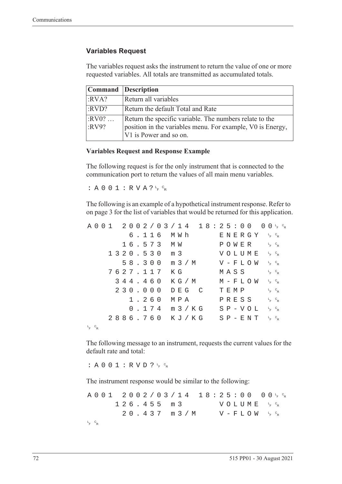#### **Variables Request**

The variables request asks the instrument to return the value of one or more requested variables. All totals are transmitted as accumulated totals.

|                  | <b>Command</b> Description                                                                                                                      |
|------------------|-------------------------------------------------------------------------------------------------------------------------------------------------|
| :RVA?            | Return all variables                                                                                                                            |
| :RVD?            | Return the default Total and Rate                                                                                                               |
| $:RV0?$<br>:RV9? | Return the specific variable. The numbers relate to the<br>position in the variables menu. For example, V0 is Energy,<br>V1 is Power and so on. |

#### **Variables Request and Response Example**

The following request is for the only instrument that is connected to the communication port to return the values of all main menu variables.

: A 0 0 1 : R V A ?  $L_F$   $C_R$ 

The following is an example of a hypothetical instrument response. Refer to [on page 3](#page-12-0) for the list of variables that would be returned for this application.

|                 |  |  |  |          |  |                  |  |       | A 0 0 1 2 0 0 2 / 0 3 / 1 4 1 8 : 2 5 : 0 0 0 0 0 ⊦ ° R |  |      |  |                          |  |                                   |  |  |
|-----------------|--|--|--|----------|--|------------------|--|-------|---------------------------------------------------------|--|------|--|--------------------------|--|-----------------------------------|--|--|
|                 |  |  |  |          |  | 6.116 MWh        |  |       |                                                         |  |      |  | ENERGY 'F <sup>c</sup> r |  |                                   |  |  |
|                 |  |  |  |          |  | 16.573 MW        |  |       |                                                         |  |      |  | POWER                    |  | $L_F$ $C_R$                       |  |  |
|                 |  |  |  |          |  | 1320.530 m 3     |  |       |                                                         |  |      |  | VOLUME                   |  | $L$ <sub>F</sub> $C$ <sub>R</sub> |  |  |
|                 |  |  |  |          |  |                  |  |       | 58.300 m 3/M                                            |  |      |  | $V - F L O W$ $F c_R$    |  |                                   |  |  |
|                 |  |  |  | 7627.117 |  | КG               |  |       |                                                         |  |      |  | MASS                     |  | $L_F$ $C_R$                       |  |  |
|                 |  |  |  | 344.460  |  |                  |  |       | K G / M                                                 |  |      |  | M – F L O W              |  | $L_{F}$ $C_{R}$                   |  |  |
|                 |  |  |  | 230.000  |  |                  |  | DEG C |                                                         |  | TEMP |  |                          |  | $L_F$ $C_R$                       |  |  |
|                 |  |  |  | 1.260    |  | МРА              |  |       |                                                         |  |      |  | PRESS                    |  | $L_F$ $C_R$                       |  |  |
|                 |  |  |  |          |  | $0.174$ m $3/KG$ |  |       |                                                         |  |      |  | $S P - V O L$            |  | $L_{F}$ $C_{R}$                   |  |  |
|                 |  |  |  |          |  |                  |  |       | 2886.760 KJ/KG SP-ENT                                   |  |      |  |                          |  | $L$ <sub>F</sub> $C$ <sub>R</sub> |  |  |
| $L_{F}$ $C_{R}$ |  |  |  |          |  |                  |  |       |                                                         |  |      |  |                          |  |                                   |  |  |

The following message to an instrument, requests the current values for the default rate and total:

: A 0 0 1 : R V D ?  $L_F$   $C_R$ 

The instrument response would be similar to the following:

A001 2002/03/14 18:25:00  $F$   $\circ$ <sub>R</sub>  $126.455 m3$ <sup>F</sup> <sup>C</sup> R  $20.437$  m  $3/M$  $F$   $\circ$ <sub>R</sub> L <sup>F</sup> <sup>C</sup> R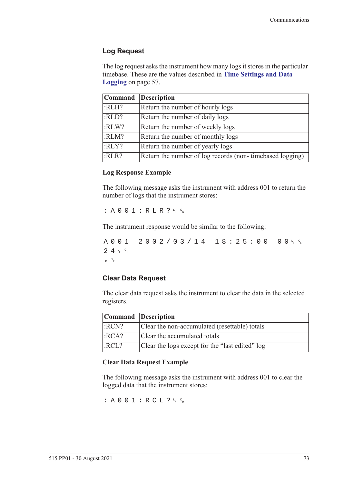#### **Log Request**

The log request asks the instrument how many logs it stores in the particular timebase. These are the values described in **[Time Settings and Data](#page-66-0)  Logging** [on page 57](#page-66-0).

|       | Command Description                                      |
|-------|----------------------------------------------------------|
| :RLH? | Return the number of hourly logs                         |
| :RLD? | Return the number of daily logs                          |
| :RLW? | Return the number of weekly logs                         |
| :RLM? | Return the number of monthly logs                        |
| :RLY? | Return the number of yearly logs                         |
| :RLR? | Return the number of log records (non-timebased logging) |

#### **Log Response Example**

The following message asks the instrument with address 001 to return the number of logs that the instrument stores:

 $: A 0 0 1 : R L R ? \nmid R$ 

The instrument response would be similar to the following:

A001 2002/03/14 18:25:00  $F$   $\circ$ R  $24r$ <sub>F</sub>  $c_R$ L <sup>F</sup> <sup>C</sup> R

#### **Clear Data Request**

The clear data request asks the instrument to clear the data in the selected registers.

| Command Description |                                                 |
|---------------------|-------------------------------------------------|
| :RCN?               | Clear the non-accumulated (resettable) totals   |
| :RCA?               | Clear the accumulated totals                    |
| :RCL?               | Clear the logs except for the "last edited" log |

#### **Clear Data Request Example**

The following message asks the instrument with address 001 to clear the logged data that the instrument stores:

: A 0 0 1 : R C L ?  $L_F$   $c_R$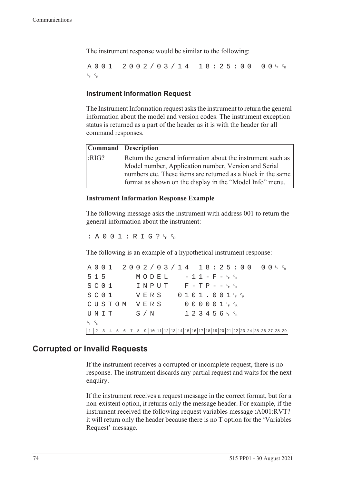The instrument response would be similar to the following:

A001 2002/03/14 18:25:00  $F$   $\circ$ <sub>R</sub> L <sup>F</sup> <sup>C</sup> R

#### **Instrument Information Request**

The Instrument Information request asks the instrument to return the general information about the model and version codes. The instrument exception status is returned as a part of the header as it is with the header for all command responses.

|      | Command Description                                                                                                      |
|------|--------------------------------------------------------------------------------------------------------------------------|
| RIG? | Return the general information about the instrument such as                                                              |
|      | Model number, Application number, Version and Serial                                                                     |
|      | numbers etc. These items are returned as a block in the same<br>format as shown on the display in the "Model Info" menu. |

#### **Instrument Information Response Example**

The following message asks the instrument with address 001 to return the general information about the instrument:

: A 0 0 1 : R I G ?  $L_F$   $C_R$ 

The following is an example of a hypothetical instrument response:

A001 2002/03/14 18:25:00 <sup>F</sup> <sup>C</sup> R  $515$   $MODEL$   $-11-F-F_{R}^{c}$  $S$  C O  $1$  I N P U T F - T P - - <sup>L</sup><sub>F</sub> <sup>C</sup>R  $S$  C O  $1$  V E R S O  $1$  O  $1$  J  $1$  , O  $0$   $1$   $1$   $1$   $6$   $8$ CUSTOM VERS 000001<sup>t</sup>F<sup>c</sup>r  $\texttt{UNIT}$  S/N 123456<sup>L</sup><sub>F</sub>  $\texttt{C}_{\texttt{R}}$ L <sup>F</sup> <sup>C</sup> R 1 2 3 4 5 6 7 8 9 10 11 12 13 14 15 16 17 18 19 20 21 22 23 24 25 26 27 28 29

#### **Corrupted or Invalid Requests**

If the instrument receives a corrupted or incomplete request, there is no response. The instrument discards any partial request and waits for the next enquiry.

If the instrument receives a request message in the correct format, but for a non-existent option, it returns only the message header. For example, if the instrument received the following request variables message :A001:RVT? it will return only the header because there is no T option for the 'Variables Request' message.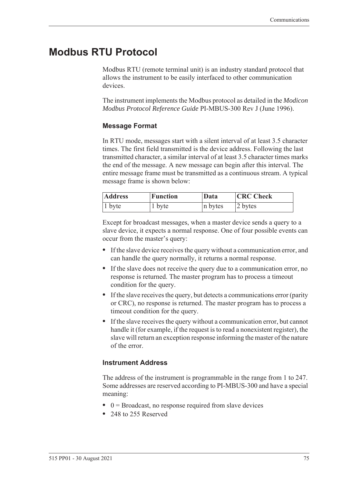### **Modbus RTU Protocol**

<span id="page-84-0"></span>Modbus RTU (remote terminal unit) is an industry standard protocol that allows the instrument to be easily interfaced to other communication devices.

The instrument implements the Modbus protocol as detailed in the *Modicon Modbus Protocol Reference Guide* PI-MBUS-300 Rev J (June 1996).

#### **Message Format**

In RTU mode, messages start with a silent interval of at least 3.5 character times. The first field transmitted is the device address. Following the last transmitted character, a similar interval of at least 3.5 character times marks the end of the message. A new message can begin after this interval. The entire message frame must be transmitted as a continuous stream. A typical message frame is shown below:

| <b>Address</b> | <b>Function</b> | Data    | <b>CRC</b> Check |  |  |  |  |  |
|----------------|-----------------|---------|------------------|--|--|--|--|--|
| $ 1$ byte      | 1 byte          | n bytes | 2 bytes          |  |  |  |  |  |

Except for broadcast messages, when a master device sends a query to a slave device, it expects a normal response. One of four possible events can occur from the master's query:

- **•** If the slave device receives the query without a communication error, and can handle the query normally, it returns a normal response.
- **•** If the slave does not receive the query due to a communication error, no response is returned. The master program has to process a timeout condition for the query.
- **•** If the slave receives the query, but detects a communications error (parity or CRC), no response is returned. The master program has to process a timeout condition for the query.
- **•** If the slave receives the query without a communication error, but cannot handle it (for example, if the request is to read a nonexistent register), the slave will return an exception response informing the master of the nature of the error.

#### **Instrument Address**

The address of the instrument is programmable in the range from 1 to 247. Some addresses are reserved according to PI-MBUS-300 and have a special meaning:

- 0 = Broadcast, no response required from slave devices
- **•** 248 to 255 Reserved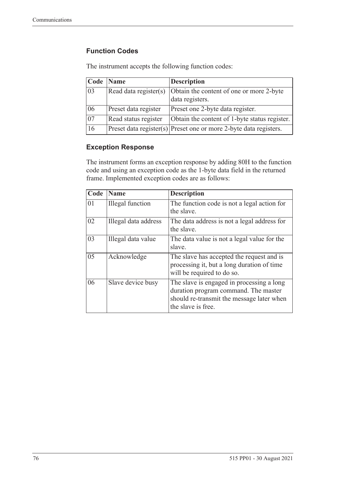#### **Function Codes**

| Code            | <b>Name</b>           | <b>Description</b>                                                    |
|-----------------|-----------------------|-----------------------------------------------------------------------|
| 03              | Read data register(s) | Obtain the content of one or more 2-byte<br>data registers.           |
| 06              | Preset data register  | Preset one 2-byte data register.                                      |
| $\overline{07}$ | Read status register  | Obtain the content of 1-byte status register.                         |
| 16              |                       | $ $ Preset data register(s) Preset one or more 2-byte data registers. |

The instrument accepts the following function codes:

#### **Exception Response**

The instrument forms an exception response by adding 80H to the function code and using an exception code as the 1-byte data field in the returned frame. Implemented exception codes are as follows:

| Code | <b>Name</b>             | <b>Description</b>                                                                                                                                   |
|------|-------------------------|------------------------------------------------------------------------------------------------------------------------------------------------------|
| 01   | <b>Illegal</b> function | The function code is not a legal action for<br>the slave.                                                                                            |
| 02   | Illegal data address    | The data address is not a legal address for<br>the slave.                                                                                            |
| 03   | Illegal data value      | The data value is not a legal value for the<br>slave.                                                                                                |
| 05   | Acknowledge             | The slave has accepted the request and is<br>processing it, but a long duration of time<br>will be required to do so.                                |
| 06   | Slave device busy       | The slave is engaged in processing a long<br>duration program command. The master<br>should re-transmit the message later when<br>the slave is free. |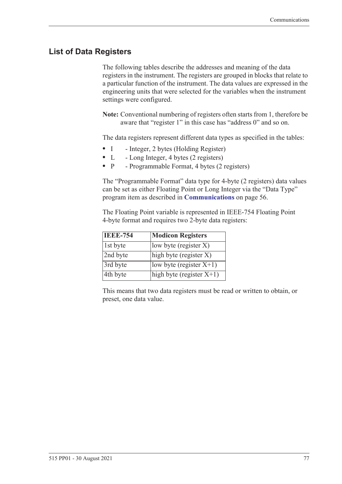#### **List of Data Registers**

The following tables describe the addresses and meaning of the data registers in the instrument. The registers are grouped in blocks that relate to a particular function of the instrument. The data values are expressed in the engineering units that were selected for the variables when the instrument settings were configured.

**Note:** Conventional numbering of registers often starts from 1, therefore be aware that "register 1" in this case has "address 0" and so on.

The data registers represent different data types as specified in the tables:

- I Integer, 2 bytes (Holding Register)
- L Long Integer, 4 bytes (2 registers)
- P Programmable Format, 4 bytes (2 registers)

The "Programmable Format" data type for 4-byte (2 registers) data values can be set as either Floating Point or Long Integer via the "Data Type" program item as described in **[Communications](#page-65-0)** on page 56.

The Floating Point variable is represented in IEEE-754 Floating Point 4-byte format and requires two 2-byte data registers:

| <b>IEEE-754</b> | <b>Modicon Registers</b>    |
|-----------------|-----------------------------|
| 1st byte        | low byte (register $X$ )    |
| 2nd byte        | high byte (register X)      |
| 3rd byte        | $ low byte (register X+1) $ |
| 4th byte        | high byte (register $X+1$ ) |

This means that two data registers must be read or written to obtain, or preset, one data value.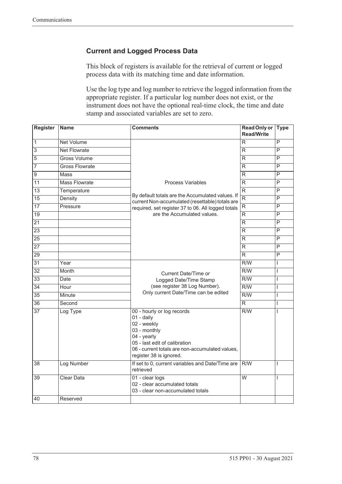#### **Current and Logged Process Data**

This block of registers is available for the retrieval of current or logged process data with its matching time and date information.

Use the log type and log number to retrieve the logged information from the appropriate register. If a particular log number does not exist, or the instrument does not have the optional real-time clock, the time and date stamp and associated variables are set to zero.

| Register         | <b>Name</b>           | <b>Comments</b>                                                                                                                                                                                       | <b>Read Only or</b><br><b>Read/Write</b> | <b>Type</b>             |
|------------------|-----------------------|-------------------------------------------------------------------------------------------------------------------------------------------------------------------------------------------------------|------------------------------------------|-------------------------|
| $\overline{1}$   | <b>Net Volume</b>     |                                                                                                                                                                                                       | R                                        | $\overline{P}$          |
| $\overline{3}$   | <b>Net Flowrate</b>   |                                                                                                                                                                                                       | R                                        | P                       |
| $\overline{5}$   | <b>Gross Volume</b>   |                                                                                                                                                                                                       | R                                        | P                       |
| $\overline{7}$   | <b>Gross Flowrate</b> |                                                                                                                                                                                                       | R                                        | P                       |
| $\boldsymbol{9}$ | Mass                  |                                                                                                                                                                                                       | R                                        | P                       |
| $\overline{11}$  | <b>Mass Flowrate</b>  | <b>Process Variables</b>                                                                                                                                                                              | R                                        | $\overline{P}$          |
| $\overline{13}$  | Temperature           |                                                                                                                                                                                                       | R                                        | $\overline{\mathsf{P}}$ |
| 15               | Density               | By default totals are the Accumulated values. If<br>current Non-accumulated (resettable) totals are                                                                                                   | $\overline{R}$                           | P                       |
| $\overline{17}$  | Pressure              | required, set register 37 to 06. All logged totals                                                                                                                                                    | $\overline{\mathsf{R}}$                  | $\overline{\mathsf{P}}$ |
| 19               |                       | are the Accumulated values.                                                                                                                                                                           | R                                        | P                       |
| $\overline{21}$  |                       |                                                                                                                                                                                                       | R                                        | P                       |
| $\overline{23}$  |                       |                                                                                                                                                                                                       | $\overline{\mathsf{R}}$                  | $\overline{\mathsf{P}}$ |
| $\overline{25}$  |                       |                                                                                                                                                                                                       | R                                        | $\overline{\mathsf{P}}$ |
| $\overline{27}$  |                       |                                                                                                                                                                                                       | $\overline{R}$                           | $\overline{\mathsf{P}}$ |
| $\overline{29}$  |                       |                                                                                                                                                                                                       | R.                                       | P                       |
| $\overline{31}$  | Year                  |                                                                                                                                                                                                       | R/W                                      | L                       |
| $\overline{32}$  | Month                 | Current Date/Time or                                                                                                                                                                                  | $\overline{R/W}$                         | $\mathsf{I}$            |
| $\overline{33}$  | Date                  | Logged Date/Time Stamp                                                                                                                                                                                | $\overline{R/W}$                         | L                       |
| $\overline{34}$  | Hour                  | (see register 38 Log Number).                                                                                                                                                                         | R/W                                      | $\overline{1}$          |
| $\overline{35}$  | Minute                | Only current Date/Time can be edited                                                                                                                                                                  | $\overline{R/W}$                         | $\mathsf{I}$            |
| $\overline{36}$  | Second                |                                                                                                                                                                                                       | $\overline{\mathsf{R}}$                  | $\mathsf{I}$            |
| $\overline{37}$  | Log Type              | 00 - hourly or log records<br>01 - daily<br>02 - weekly<br>03 - monthly<br>04 - yearly<br>05 - last edit of calibration<br>06 - current totals are non-accumulated values,<br>register 38 is ignored. | R/W                                      | T                       |
| 38               | Log Number            | If set to 0, current variables and Date/Time are<br>retrieved                                                                                                                                         | R/W                                      | $\overline{1}$          |
| 39               | <b>Clear Data</b>     | 01 - clear logs<br>02 - clear accumulated totals<br>03 - clear non-accumulated totals                                                                                                                 | $\overline{W}$                           | I                       |
| $\sqrt{40}$      | Reserved              |                                                                                                                                                                                                       |                                          |                         |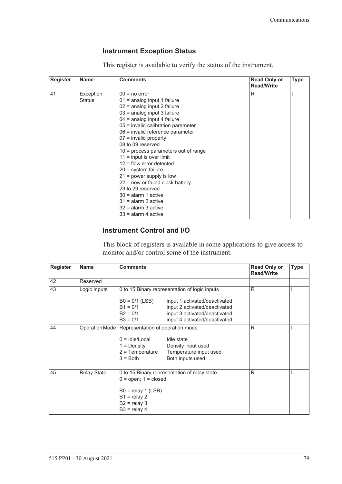#### <span id="page-88-1"></span><span id="page-88-0"></span>**Instrument Exception Status**

This register is available to verify the status of the instrument.

| <b>Register</b> | <b>Name</b> | <b>Comments</b>                        | <b>Read Only or</b><br><b>Read/Write</b> | <b>Type</b> |
|-----------------|-------------|----------------------------------------|------------------------------------------|-------------|
| 41              | Exception   | $00 = no error$                        | R                                        |             |
|                 | Status      | $01$ = analog input 1 failure          |                                          |             |
|                 |             | 02 = analog input 2 failure            |                                          |             |
|                 |             | 03 = analog input 3 failure            |                                          |             |
|                 |             | $04$ = analog input 4 failure          |                                          |             |
|                 |             | 05 = invalid calibration parameter     |                                          |             |
|                 |             | 06 = invalid reference parameter       |                                          |             |
|                 |             | $07$ = invalid property                |                                          |             |
|                 |             | 08 to 09 reserved                      |                                          |             |
|                 |             | $10$ = process parameters out of range |                                          |             |
|                 |             | $11 =$ input is over limit             |                                          |             |
|                 |             | $12$ = flow error detected             |                                          |             |
|                 |             | $20 =$ system failure                  |                                          |             |
|                 |             | $21$ = power supply is low             |                                          |             |
|                 |             | $22$ = new or failed clock battery     |                                          |             |
|                 |             | 23 to 29 reserved                      |                                          |             |
|                 |             | $30 =$ alarm 1 active                  |                                          |             |
|                 |             | $31$ = alarm 2 active                  |                                          |             |
|                 |             | $32$ = alarm 3 active                  |                                          |             |
|                 |             | $33$ = alarm 4 active                  |                                          |             |

#### **Instrument Control and I/O**

This block of registers is available in some applications to give access to monitor and/or control some of the instrument.

| <b>Register</b> | <b>Name</b>        | <b>Comments</b>                                                                                                           |                                                                                                                                  | <b>Read Only or</b><br><b>Read/Write</b> | <b>Type</b> |
|-----------------|--------------------|---------------------------------------------------------------------------------------------------------------------------|----------------------------------------------------------------------------------------------------------------------------------|------------------------------------------|-------------|
| 42              | Reserved           |                                                                                                                           |                                                                                                                                  |                                          |             |
| 43              | Logic Inputs       |                                                                                                                           | 0 to 15 Binary representation of logic inputs                                                                                    | R                                        |             |
|                 |                    | $B0 = 0/1$ (LSB)<br>$B1 = 0/1$<br>$B2 = 0/1$<br>$B3 = 0/1$                                                                | input 1 activated/deactivated<br>input 2 activated/deactivated<br>input 3 activated/deactivated<br>input 4 activated/deactivated |                                          |             |
| 44              |                    | Operation Mode   Representation of operation mode<br>$0 =$ Idle/Local<br>$1 = Density$<br>$2$ = Temperature<br>$3 = Both$ | Idle state<br>Density input used<br>Temperature input used<br>Both inputs used                                                   | R                                        |             |
| 45              | <b>Relay State</b> | $0 =$ open; $1 =$ closed.<br>$B0 =$ relay 1 (LSB)<br>$B1 =$ relay 2<br>$B2 =$ relay 3<br>$B3 =$ relay 4                   | 0 to 15 Binary representation of relay state.                                                                                    | R                                        |             |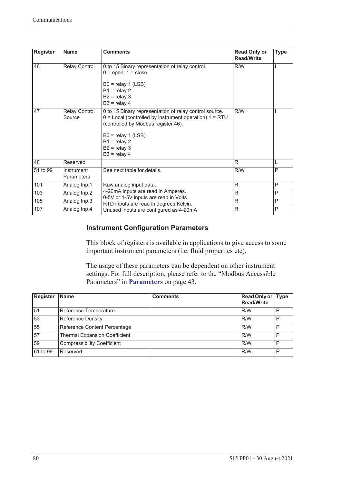| <b>Register</b> | <b>Name</b>              | <b>Comments</b>                                                                                                                                                                                                                           | <b>Read Only or</b><br><b>Read/Write</b> |   |
|-----------------|--------------------------|-------------------------------------------------------------------------------------------------------------------------------------------------------------------------------------------------------------------------------------------|------------------------------------------|---|
| 46              | Relay Control            | 0 to 15 Binary representation of relay control.<br>$0 =$ open; $1 =$ close.<br>$B0 =$ relay 1 (LSB)<br>$B1 =$ relay 2<br>$B2 =$ relay 3<br>$B3 =$ relay 4                                                                                 | R/W                                      |   |
| 47              | Relay Control<br>Source  | 0 to 15 Binary representation of relay control source.<br>$0 =$ Local (controlled by instrument operation) $1 = RTU$<br>(controlled by Modbus register 46).<br>$B0 =$ relay 1 (LSB)<br>$B1 =$ relay 2<br>$B2 =$ relay 3<br>$B3 =$ relay 4 | R/W                                      |   |
| 48              | Reserved                 |                                                                                                                                                                                                                                           | R                                        | L |
| 51 to 99        | Instrument<br>Parameters | See next table for details.                                                                                                                                                                                                               | R/W                                      | P |
| 101             | Analog Inp.1             | Raw analog input data.                                                                                                                                                                                                                    | R                                        | P |
| 103             | Analog Inp.2             | 4-20mA inputs are read in Amperes.<br>0-5V or 1-5V inputs are read in Volts                                                                                                                                                               | R                                        | P |
| 105             | Analog Inp.3             | RTD inputs are read in degrees Kelvin.                                                                                                                                                                                                    | R                                        | P |
| 107             | Analog Inp.4             | Unused inputs are configured as 4-20mA.                                                                                                                                                                                                   | R                                        | P |

#### **Instrument Configuration Parameters**

This block of registers is available in applications to give access to some important instrument parameters (i.e. fluid properties etc).

The usage of these parameters can be dependent on other instrument settings. For full description, please refer to the "Modbus Accessible Parameters" in **[Parameters](#page-52-0)** on page 43.

| <b>Register</b> | <b>Name</b>                          | <b>Comments</b> | Read Only or Type<br><b>Read/Write</b> |   |
|-----------------|--------------------------------------|-----------------|----------------------------------------|---|
| 51              | Reference Temperature                |                 | R/W                                    | P |
| 53              | <b>Reference Density</b>             |                 | R/W                                    | P |
| 55              | Reference Content Percentage         |                 | R/W                                    | P |
| 57              | <b>Thermal Expansion Coefficient</b> |                 | R/W                                    | P |
| 59              | <b>Compressibility Coefficient</b>   |                 | R/W                                    | P |
| 61 to 99        | Reserved                             |                 | R/W                                    | Ρ |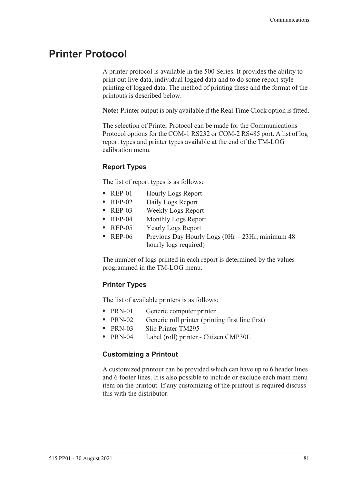### <span id="page-90-0"></span>**Printer Protocol**

<span id="page-90-2"></span>A printer protocol is available in the 500 Series. It provides the ability to print out live data, individual logged data and to do some report-style printing of logged data. The method of printing these and the format of the printouts is described below.

**Note:** Printer output is only available if the Real Time Clock option is fitted.

The selection of Printer Protocol can be made for the Communications Protocol options for the COM-1 RS232 or COM-2 RS485 port. A list of log report types and printer types available at the end of the TM-LOG calibration menu.

#### <span id="page-90-3"></span>**Report Types**

The list of report types is as follows:

- REP-01 Hourly Logs Report
- **•** REP-02 Daily Logs Report
- **•** REP-03 Weekly Logs Report
- **•** REP-04 Monthly Logs Report
- **•** REP-05 Yearly Logs Report
- REP-06 Previous Day Hourly Logs (0Hr 23Hr, minimum 48 hourly logs required)

The number of logs printed in each report is determined by the values programmed in the TM-LOG menu.

#### <span id="page-90-4"></span>**Printer Types**

The list of available printers is as follows:

- PRN-01 Generic computer printer
- PRN-02 Generic roll printer (printing first line first)
- **•** PRN-03 Slip Printer TM295
- **•** PRN-04 Label (roll) printer Citizen CMP30L

#### <span id="page-90-1"></span>**Customizing a Printout**

A customized printout can be provided which can have up to 6 header lines and 6 footer lines. It is also possible to include or exclude each main menu item on the printout. If any customizing of the printout is required discuss this with the distributor.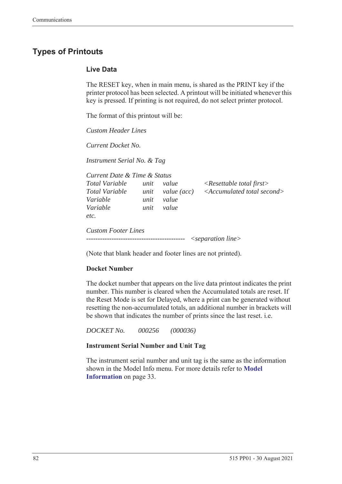### <span id="page-91-1"></span>**Types of Printouts**

#### <span id="page-91-0"></span>**Live Data**

The RESET key, when in main menu, is shared as the PRINT key if the printer protocol has been selected. A printout will be initiated whenever this key is pressed. If printing is not required, do not select printer protocol.

The format of this printout will be:

*Custom Header Lines*

*Current Docket No.* 

*Instrument Serial No. & Tag*

| Current Date & Time & Status                 |                      |                               |                                                                                   |
|----------------------------------------------|----------------------|-------------------------------|-----------------------------------------------------------------------------------|
| Total Variable<br>Total Variable<br>Variable | unit<br>unit<br>unit | value<br>value (acc)<br>value | $\langle$ Resettable total first $\rangle$<br>$\leq$ Accumulated total second $>$ |
| Variable<br>etc.                             | unit                 | value                         |                                                                                   |
| <b>Custom Footer Lines</b>                   |                      |                               | $\leq$ separation line $>$                                                        |

(Note that blank header and footer lines are not printed).

#### **Docket Number**

The docket number that appears on the live data printout indicates the print number. This number is cleared when the Accumulated totals are reset. If the Reset Mode is set for Delayed, where a print can be generated without resetting the non-accumulated totals, an additional number in brackets will be shown that indicates the number of prints since the last reset. i.e.

*DOCKET No. 000256 (000036)*

#### **Instrument Serial Number and Unit Tag**

The instrument serial number and unit tag is the same as the information shown in the Model Info menu. For more details refer to **[Model](#page-42-0)  [Information](#page-42-0)** on page 33.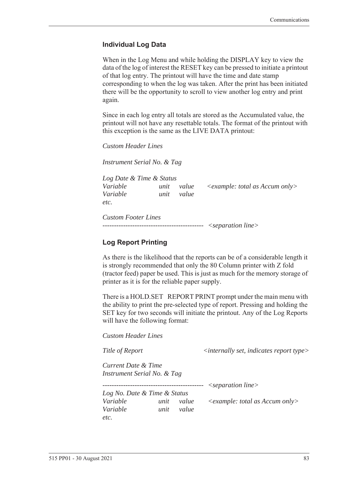#### <span id="page-92-0"></span>**Individual Log Data**

When in the Log Menu and while holding the DISPLAY key to view the data of the log of interest the RESET key can be pressed to initiate a printout of that log entry. The printout will have the time and date stamp corresponding to when the log was taken. After the print has been initiated there will be the opportunity to scroll to view another log entry and print again.

Since in each log entry all totals are stored as the Accumulated value, the printout will not have any resettable totals. The format of the printout with this exception is the same as the LIVE DATA printout:

*Custom Header Lines*

*Instrument Serial No. & Tag*

*Log Date & Time & Status Variable unit value <example: total as Accum only> Variable unit value etc.*

*Custom Footer Lines -------------------------------------------- <separation line>*

#### <span id="page-92-1"></span>**Log Report Printing**

As there is the likelihood that the reports can be of a considerable length it is strongly recommended that only the 80 Column printer with Z fold (tractor feed) paper be used. This is just as much for the memory storage of printer as it is for the reliable paper supply.

There is a HOLD.SET REPORT PRINT prompt under the main menu with the ability to print the pre-selected type of report. Pressing and holding the SET key for two seconds will initiate the printout. Any of the Log Reports will have the following format:

*Custom Header Lines*

*Title of Report*  $\langle$  *internally set, indicates report type>* 

*Current Date & Time Instrument Serial No. & Tag*

*-------------------------------------------- <separation line>*

*Log No. Date & Time & Status Variable unit value <example: total as Accum only> Variable unit value etc.*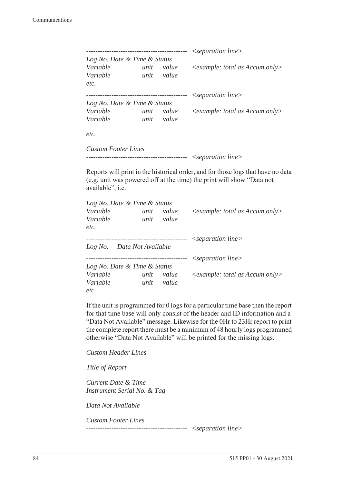|                              |      |       | $\leq$ separation line $>$              |
|------------------------------|------|-------|-----------------------------------------|
| Log No. Date & Time & Status |      |       |                                         |
| Variable                     | unit | value | $\leq$ example: total as Accum only $>$ |
| Variable                     | unit | value |                                         |
| etc.                         |      |       |                                         |
|                              |      |       | $\leq$ separation line $>$              |
| Log No. Date & Time & Status |      |       |                                         |
| Variable                     | unit | value | $\leq$ example: total as Accum only>    |
| Variable                     | unit | value |                                         |
| etc.                         |      |       |                                         |
| <b>Custom Footer Lines</b>   |      |       |                                         |

```
-------------------------------------------- <separation line>
```
Reports will print in the historical order, and for those logs that have no data (e.g. unit was powered off at the time) the print will show "Data not available", i.e.

| Log No. Date & Time & Status |      |           |                                                  |
|------------------------------|------|-----------|--------------------------------------------------|
| Variable                     | unit | value     | $\langle$ example: total as Accum only $\rangle$ |
| Variable                     | unit | value     |                                                  |
| etc.                         |      |           |                                                  |
|                              |      |           | $\leq$ separation line $>$                       |
| Log No. Data Not Available   |      |           |                                                  |
|                              |      | --------- | $\leq$ separation line $>$                       |
| Log No. Date & Time & Status |      |           |                                                  |
| Variable                     | unit | value     | $\leq$ example: total as Accum only $>$          |
| Variable                     | unit | value     |                                                  |
| etc.                         |      |           |                                                  |

If the unit is programmed for 0 logs for a particular time base then the report for that time base will only consist of the header and ID information and a "Data Not Available" message. Likewise for the 0Hr to 23Hr report to print the complete report there must be a minimum of 48 hourly logs programmed otherwise "Data Not Available" will be printed for the missing logs.

*Custom Header Lines*

*Title of Report*

*Current Date & Time Instrument Serial No. & Tag*

*Data Not Available*

*Custom Footer Lines* 

*-------------------------------------------- <separation line>*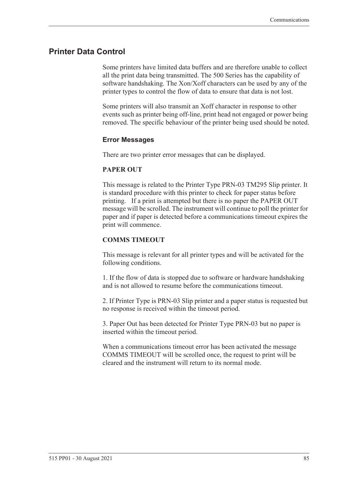#### <span id="page-94-0"></span>**Printer Data Control**

Some printers have limited data buffers and are therefore unable to collect all the print data being transmitted. The 500 Series has the capability of software handshaking. The Xon/Xoff characters can be used by any of the printer types to control the flow of data to ensure that data is not lost.

Some printers will also transmit an Xoff character in response to other events such as printer being off-line, print head not engaged or power being removed. The specific behaviour of the printer being used should be noted.

#### <span id="page-94-1"></span>**Error Messages**

There are two printer error messages that can be displayed.

#### **PAPER OUT**

This message is related to the Printer Type PRN-03 TM295 Slip printer. It is standard procedure with this printer to check for paper status before printing. If a print is attempted but there is no paper the PAPER OUT message will be scrolled. The instrument will continue to poll the printer for paper and if paper is detected before a communications timeout expires the print will commence.

#### **COMMS TIMEOUT**

This message is relevant for all printer types and will be activated for the following conditions.

1. If the flow of data is stopped due to software or hardware handshaking and is not allowed to resume before the communications timeout.

2. If Printer Type is PRN-03 Slip printer and a paper status is requested but no response is received within the timeout period.

3. Paper Out has been detected for Printer Type PRN-03 but no paper is inserted within the timeout period.

When a communications timeout error has been activated the message COMMS TIMEOUT will be scrolled once, the request to print will be cleared and the instrument will return to its normal mode.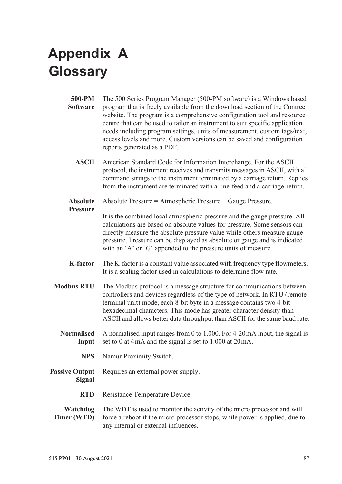# <span id="page-96-1"></span>**Appendix A Glossary**

<span id="page-96-0"></span>

| 500-PM<br><b>Software</b>              | The 500 Series Program Manager (500-PM software) is a Windows based<br>program that is freely available from the download section of the Contrec<br>website. The program is a comprehensive configuration tool and resource<br>centre that can be used to tailor an instrument to suit specific application<br>needs including program settings, units of measurement, custom tags/text,<br>access levels and more. Custom versions can be saved and configuration<br>reports generated as a PDF. |  |  |  |  |
|----------------------------------------|---------------------------------------------------------------------------------------------------------------------------------------------------------------------------------------------------------------------------------------------------------------------------------------------------------------------------------------------------------------------------------------------------------------------------------------------------------------------------------------------------|--|--|--|--|
| <b>ASCII</b>                           | American Standard Code for Information Interchange. For the ASCII<br>protocol, the instrument receives and transmits messages in ASCII, with all<br>command strings to the instrument terminated by a carriage return. Replies<br>from the instrument are terminated with a line-feed and a carriage-return.                                                                                                                                                                                      |  |  |  |  |
| <b>Absolute</b>                        | Absolute Pressure = Atmospheric Pressure + Gauge Pressure.                                                                                                                                                                                                                                                                                                                                                                                                                                        |  |  |  |  |
| <b>Pressure</b>                        | It is the combined local atmospheric pressure and the gauge pressure. All<br>calculations are based on absolute values for pressure. Some sensors can<br>directly measure the absolute pressure value while others measure gauge<br>pressure. Pressure can be displayed as absolute or gauge and is indicated<br>with an 'A' or 'G' appended to the pressure units of measure.                                                                                                                    |  |  |  |  |
| <b>K-factor</b>                        | The K-factor is a constant value associated with frequency type flowmeters.<br>It is a scaling factor used in calculations to determine flow rate.                                                                                                                                                                                                                                                                                                                                                |  |  |  |  |
| <b>Modbus RTU</b>                      | The Modbus protocol is a message structure for communications between<br>controllers and devices regardless of the type of network. In RTU (remote<br>terminal unit) mode, each 8-bit byte in a message contains two 4-bit<br>hexadecimal characters. This mode has greater character density than<br>ASCII and allows better data throughput than ASCII for the same baud rate.                                                                                                                  |  |  |  |  |
| <b>Normalised</b><br>Input             | A normalised input ranges from 0 to 1.000. For 4-20 mA input, the signal is<br>set to 0 at 4mA and the signal is set to 1.000 at 20mA.                                                                                                                                                                                                                                                                                                                                                            |  |  |  |  |
| <b>NPS</b>                             | Namur Proximity Switch.                                                                                                                                                                                                                                                                                                                                                                                                                                                                           |  |  |  |  |
| <b>Passive Output</b><br><b>Signal</b> | Requires an external power supply.                                                                                                                                                                                                                                                                                                                                                                                                                                                                |  |  |  |  |
| <b>RTD</b>                             | <b>Resistance Temperature Device</b>                                                                                                                                                                                                                                                                                                                                                                                                                                                              |  |  |  |  |
| Watchdog<br>Timer (WTD)                | The WDT is used to monitor the activity of the micro processor and will<br>force a reboot if the micro processor stops, while power is applied, due to<br>any internal or external influences.                                                                                                                                                                                                                                                                                                    |  |  |  |  |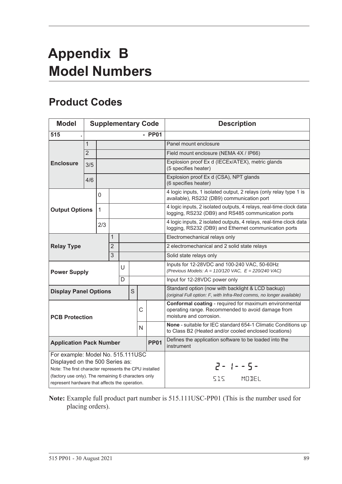# <span id="page-98-1"></span>**Appendix B Model Numbers**

## <span id="page-98-0"></span>**Product Codes**

| <b>Model</b>                                                                                                                                                                                                                            | <b>Supplementary Code</b> |              |                                                                                                                        | <b>Description</b> |                                                                                                                                        |                                              |                            |                                                                                                                             |
|-----------------------------------------------------------------------------------------------------------------------------------------------------------------------------------------------------------------------------------------|---------------------------|--------------|------------------------------------------------------------------------------------------------------------------------|--------------------|----------------------------------------------------------------------------------------------------------------------------------------|----------------------------------------------|----------------------------|-----------------------------------------------------------------------------------------------------------------------------|
| 515                                                                                                                                                                                                                                     |                           |              |                                                                                                                        |                    |                                                                                                                                        |                                              | $-$ PP01                   |                                                                                                                             |
|                                                                                                                                                                                                                                         | $\mathbf{1}$              |              |                                                                                                                        |                    |                                                                                                                                        |                                              |                            | Panel mount enclosure                                                                                                       |
|                                                                                                                                                                                                                                         | $\overline{2}$            |              |                                                                                                                        |                    |                                                                                                                                        |                                              |                            | Field mount enclosure (NEMA 4X / IP66)                                                                                      |
| <b>Enclosure</b>                                                                                                                                                                                                                        | 3/5                       |              |                                                                                                                        |                    |                                                                                                                                        |                                              |                            | Explosion proof Ex d (IECEx/ATEX), metric glands<br>(5 specifies heater)                                                    |
|                                                                                                                                                                                                                                         | 4/6                       |              |                                                                                                                        |                    |                                                                                                                                        |                                              |                            | Explosion proof Ex d (CSA), NPT glands<br>(6 specifies heater)                                                              |
|                                                                                                                                                                                                                                         |                           | 0            |                                                                                                                        |                    |                                                                                                                                        |                                              |                            | 4 logic inputs, 1 isolated output, 2 relays (only relay type 1 is<br>available), RS232 (DB9) communication port             |
| <b>Output Options</b>                                                                                                                                                                                                                   |                           | $\mathbf{1}$ |                                                                                                                        |                    |                                                                                                                                        |                                              |                            | 4 logic inputs, 2 isolated outputs, 4 relays, real-time clock data<br>logging, RS232 (DB9) and RS485 communication ports    |
|                                                                                                                                                                                                                                         |                           | 2/3          |                                                                                                                        |                    |                                                                                                                                        |                                              |                            | 4 logic inputs, 2 isolated outputs, 4 relays, real-time clock data<br>logging, RS232 (DB9) and Ethernet communication ports |
|                                                                                                                                                                                                                                         |                           |              | 1                                                                                                                      |                    |                                                                                                                                        |                                              |                            | Electromechanical relays only                                                                                               |
| <b>Relay Type</b>                                                                                                                                                                                                                       |                           |              | $\overline{2}$                                                                                                         |                    |                                                                                                                                        | 2 electromechanical and 2 solid state relays |                            |                                                                                                                             |
|                                                                                                                                                                                                                                         |                           |              | $\overline{3}$                                                                                                         |                    |                                                                                                                                        |                                              |                            | Solid state relays only                                                                                                     |
| <b>Power Supply</b>                                                                                                                                                                                                                     |                           |              |                                                                                                                        | U                  |                                                                                                                                        |                                              |                            | Inputs for 12-28VDC and 100-240 VAC, 50-60Hz<br>(Previous Models: $A = 110/120$ VAC, $E = 220/240$ VAC)                     |
|                                                                                                                                                                                                                                         |                           |              |                                                                                                                        | D                  |                                                                                                                                        |                                              |                            | Input for 12-28VDC power only                                                                                               |
| <b>Display Panel Options</b>                                                                                                                                                                                                            |                           |              |                                                                                                                        |                    | S                                                                                                                                      |                                              |                            | Standard option (now with backlight & LCD backup)<br>(original Full option: F, with Infra-Red comms, no longer available)   |
| C<br><b>PCB Protection</b>                                                                                                                                                                                                              |                           |              |                                                                                                                        |                    | Conformal coating - required for maximum environmental<br>operating range. Recommended to avoid damage from<br>moisture and corrosion. |                                              |                            |                                                                                                                             |
| N                                                                                                                                                                                                                                       |                           |              | None - suitable for IEC standard 654-1 Climatic Conditions up<br>to Class B2 (Heated and/or cooled enclosed locations) |                    |                                                                                                                                        |                                              |                            |                                                                                                                             |
| <b>PP01</b><br><b>Application Pack Number</b>                                                                                                                                                                                           |                           |              |                                                                                                                        |                    | Defines the application software to be loaded into the<br>instrument                                                                   |                                              |                            |                                                                                                                             |
| For example: Model No. 515.111USC<br>Displayed on the 500 Series as:<br>Note: The first character represents the CPU installed<br>(factory use only). The remaining 6 characters only<br>represent hardware that affects the operation. |                           |              |                                                                                                                        |                    |                                                                                                                                        |                                              | $2 - 1 - 5 -$<br>SIS MODEL |                                                                                                                             |

**Note:** Example full product part number is 515.111USC-PP01 (This is the number used for placing orders).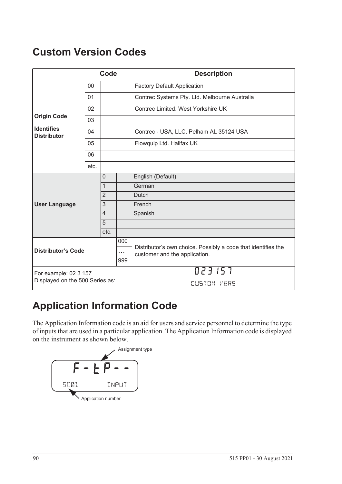## <span id="page-99-1"></span>**Custom Version Codes**

|                                                          | Code |                |  | <b>Description</b>                                                                             |  |
|----------------------------------------------------------|------|----------------|--|------------------------------------------------------------------------------------------------|--|
|                                                          | 00   |                |  | <b>Factory Default Application</b>                                                             |  |
|                                                          | 01   |                |  | Contrec Systems Pty. Ltd. Melbourne Australia                                                  |  |
|                                                          | 02   |                |  | Contrec Limited, West Yorkshire UK                                                             |  |
| <b>Origin Code</b>                                       | 03   |                |  |                                                                                                |  |
| <b>Identifies</b><br><b>Distributor</b>                  | 04   |                |  | Contrec - USA, LLC. Pelham AL 35124 USA                                                        |  |
|                                                          | 05   |                |  | Flowquip Ltd. Halifax UK                                                                       |  |
|                                                          | 06   |                |  |                                                                                                |  |
| etc.                                                     |      |                |  |                                                                                                |  |
|                                                          |      | $\Omega$       |  | English (Default)                                                                              |  |
| <b>User Language</b>                                     |      | $\mathbf{1}$   |  | German                                                                                         |  |
|                                                          |      | $\overline{2}$ |  | <b>Dutch</b>                                                                                   |  |
|                                                          |      | 3              |  | French                                                                                         |  |
|                                                          |      | $\overline{4}$ |  | Spanish                                                                                        |  |
|                                                          |      | 5              |  |                                                                                                |  |
|                                                          |      | etc.           |  |                                                                                                |  |
| 000<br><b>Distributor's Code</b><br>$\cdots$<br>999      |      |                |  | Distributor's own choice. Possibly a code that identifies the<br>customer and the application. |  |
|                                                          |      |                |  |                                                                                                |  |
|                                                          |      |                |  |                                                                                                |  |
| For example: 02 3 157<br>Displayed on the 500 Series as: |      |                |  | 023157                                                                                         |  |
|                                                          |      |                |  | CUSTOM VERS                                                                                    |  |

## **Application Information Code**

The Application Information code is an aid for users and service personnel to determine the type of inputs that are used in a particular application. The Application Information code is displayed on the instrument as shown below.

<span id="page-99-0"></span>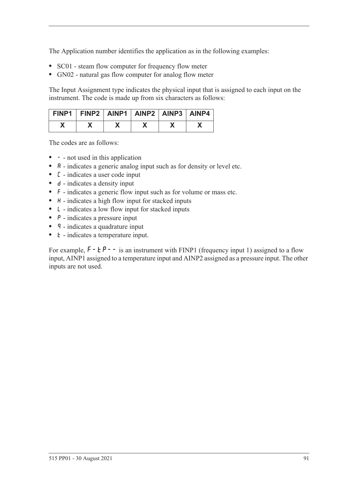The Application number identifies the application as in the following examples:

- **•** SC01 steam flow computer for frequency flow meter
- **•** GN02 natural gas flow computer for analog flow meter

The Input Assignment type indicates the physical input that is assigned to each input on the instrument. The code is made up from six characters as follows:

| FINP1   FINP2   AINP1   AINP2   AINP3   AINP4 |  |  |  |
|-----------------------------------------------|--|--|--|
|                                               |  |  |  |

The codes are as follows:

- - not used in this application
- **A** indicates a generic analog input such as for density or level etc.
- **•** C indicates a user code input
- d indicates a density input
- **•** F indicates a generic flow input such as for volume or mass etc.
- H indicates a high flow input for stacked inputs
- **•** L indicates a low flow input for stacked inputs
- **•** P indicates a pressure input
- **q** indicates a quadrature input
- *k* indicates a temperature input.

For example,  $F - F - i$  is an instrument with FINP1 (frequency input 1) assigned to a flow input, AINP1 assigned to a temperature input and AINP2 assigned as a pressure input. The other inputs are not used.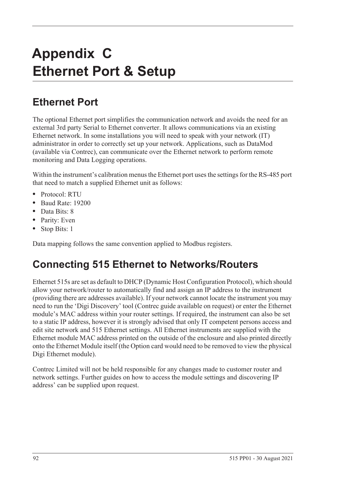# <span id="page-101-0"></span>**Appendix C Ethernet Port & Setup**

# **Ethernet Port**

The optional Ethernet port simplifies the communication network and avoids the need for an external 3rd party Serial to Ethernet converter. It allows communications via an existing Ethernet network. In some installations you will need to speak with your network (IT) administrator in order to correctly set up your network. Applications, such as DataMod (available via Contrec), can communicate over the Ethernet network to perform remote monitoring and Data Logging operations.

Within the instrument's calibration menus the Ethernet port uses the settings for the RS-485 port that need to match a supplied Ethernet unit as follows:

- **•** Protocol: RTU
- **•** Baud Rate: 19200
- **•** Data Bits: 8
- **•** Parity: Even
- **•** Stop Bits: 1

Data mapping follows the same convention applied to Modbus registers.

# **Connecting 515 Ethernet to Networks/Routers**

Ethernet 515s are set as default to DHCP (Dynamic Host Configuration Protocol), which should allow your network/router to automatically find and assign an IP address to the instrument (providing there are addresses available). If your network cannot locate the instrument you may need to run the 'Digi Discovery' tool (Contrec guide available on request) or enter the Ethernet module's MAC address within your router settings. If required, the instrument can also be set to a static IP address, however it is strongly advised that only IT competent persons access and edit site network and 515 Ethernet settings. All Ethernet instruments are supplied with the Ethernet module MAC address printed on the outside of the enclosure and also printed directly onto the Ethernet Module itself (the Option card would need to be removed to view the physical Digi Ethernet module).

Contrec Limited will not be held responsible for any changes made to customer router and network settings. Further guides on how to access the module settings and discovering IP address' can be supplied upon request.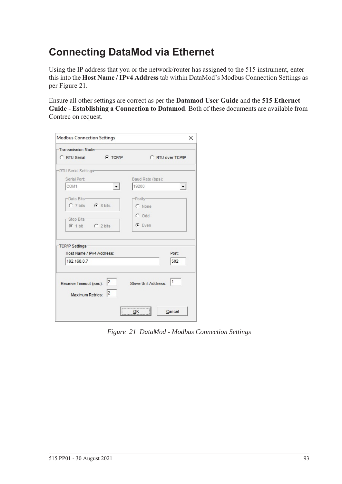# **Connecting DataMod via Ethernet**

Using the IP address that you or the network/router has assigned to the 515 instrument, enter this into the **Host Name / IPv4 Address** tab within DataMod's Modbus Connection Settings as per [Figure 21.](#page-102-0)

Ensure all other settings are correct as per the **Datamod User Guide** and the **515 Ethernet Guide - Establishing a Connection to Datamod**. Both of these documents are available from Contrec on request.

| Transmission Mode-                                            |                      |                     |                      |  |
|---------------------------------------------------------------|----------------------|---------------------|----------------------|--|
| C RTU Serial                                                  | <b>C</b> TCP/IP      | C RTU over TCP/IP   |                      |  |
| -RTU Serial Settings-                                         |                      |                     |                      |  |
| Serial Port:                                                  |                      | Baud Rate (bps):    |                      |  |
| COM1                                                          |                      | 19200               | $\blacktriangledown$ |  |
| -Data Bits-                                                   |                      | -Parity-            |                      |  |
| C 7 bits C 8 bits                                             |                      | C None              |                      |  |
|                                                               |                      | $C$ Odd             |                      |  |
| -Stop Bits-                                                   |                      |                     |                      |  |
| $C$ 1 bit $C$ 2 bits                                          |                      | $G$ Even            |                      |  |
|                                                               |                      |                     |                      |  |
| TCP/IP Settings                                               |                      |                     |                      |  |
| Host Name / IPv4 Address:                                     |                      |                     | Port:                |  |
| 502<br>192.168.0.7                                            |                      |                     |                      |  |
|                                                               |                      |                     |                      |  |
|                                                               |                      |                     | 11                   |  |
| Receive Timeout (sec): $\begin{vmatrix} 2 \\ 1 \end{vmatrix}$ |                      | Slave Unit Address: |                      |  |
| Maximum Retries:                                              | $\vert$ <sub>2</sub> |                     |                      |  |
|                                                               |                      |                     |                      |  |
|                                                               |                      | <br>$\frac{QK}{2}$  | Cancel               |  |

<span id="page-102-0"></span>*Figure 21 DataMod - Modbus Connection Settings*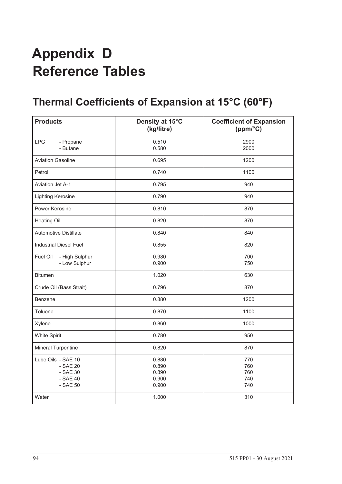# **Appendix D Reference Tables**

# <span id="page-103-0"></span>**Thermal Coefficients of Expansion at 15°C (60°F)**

| <b>Products</b>                                                    | Density at 15°C<br>(kg/litre)             | <b>Coefficient of Expansion</b><br>(ppm/°C) |  |
|--------------------------------------------------------------------|-------------------------------------------|---------------------------------------------|--|
| <b>LPG</b><br>- Propane<br>- Butane                                | 0.510<br>0.580                            | 2900<br>2000                                |  |
| <b>Aviation Gasoline</b>                                           | 0.695                                     | 1200                                        |  |
| Petrol                                                             | 0.740                                     | 1100                                        |  |
| <b>Aviation Jet A-1</b>                                            | 0.795                                     | 940                                         |  |
| <b>Lighting Kerosine</b>                                           | 0.790                                     | 940                                         |  |
| Power Kerosine                                                     | 0.810                                     | 870                                         |  |
| <b>Heating Oil</b>                                                 | 0.820                                     | 870                                         |  |
| Automotive Distillate                                              | 0.840                                     | 840                                         |  |
| <b>Industrial Diesel Fuel</b>                                      | 0.855                                     | 820                                         |  |
| - High Sulphur<br>Fuel Oil<br>- Low Sulphur                        | 0.980<br>0.900                            | 700<br>750                                  |  |
| <b>Bitumen</b>                                                     | 1.020                                     | 630                                         |  |
| Crude Oil (Bass Strait)                                            | 0.796                                     | 870                                         |  |
| <b>Benzene</b>                                                     | 0.880                                     | 1200                                        |  |
| Toluene                                                            | 0.870                                     | 1100                                        |  |
| Xylene                                                             | 0.860                                     | 1000                                        |  |
| <b>White Spirit</b>                                                | 0.780                                     | 950                                         |  |
| <b>Mineral Turpentine</b>                                          | 0.820                                     | 870                                         |  |
| Lube Oils - SAE 10<br>- SAE 20<br>- SAE 30<br>$-SAE40$<br>- SAE 50 | 0.880<br>0.890<br>0.890<br>0.900<br>0.900 | 770<br>760<br>760<br>740<br>740             |  |
| Water                                                              | 1.000                                     | 310                                         |  |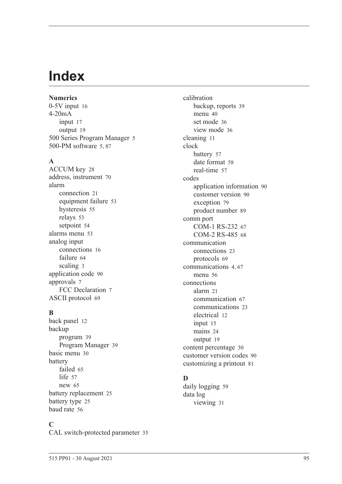# **Index**

**Numerics** 0-5V inpu[t 16](#page-25-0) 4-20mA input [17](#page-26-0) output [19](#page-28-0) 500 Series Program Manage[r 5](#page-14-0) 500-PM software [5,](#page-14-0) [87](#page-96-0)

#### **A**

ACCUM ke[y 28](#page-37-0) address, instrumen[t 70](#page-79-0) alarm connection [21](#page-30-0) equipment failur[e 53](#page-62-0) hysteresi[s 55](#page-64-0) relays [53](#page-62-1) setpoin[t 54](#page-63-0) alarms menu [53](#page-62-2) analog input connection[s 16](#page-25-1) failur[e 64](#page-73-0) scalin[g 3](#page-12-1) application cod[e 90](#page-99-0) approvals [7](#page-16-0) FCC Declaration [7](#page-16-1) ASCII protoco[l 69](#page-78-0)

#### **B**

back panel [12](#page-21-0) backup program [39](#page-48-0) Program Manage[r 39](#page-48-1) basic men[u 30](#page-39-0) battery faile[d 65](#page-74-0) lif[e 57](#page-66-1) ne[w 65](#page-74-0) battery replacemen[t 25](#page-34-0) battery typ[e 25](#page-34-1) baud rat[e 56](#page-65-1)

#### **C**

CAL switch-protected parameter [35](#page-44-0)

calibration backup, reports [39](#page-48-0) menu [40](#page-49-0) set mode [36](#page-45-0) view mode [36](#page-45-1) cleaning [11](#page-20-0) clock batter[y 57](#page-66-1) date format [58](#page-67-0) real-tim[e 57](#page-66-2) codes application information [90](#page-99-0) customer versio[n 90](#page-99-1) exception [79](#page-88-1) product numbe[r 89](#page-98-0) comm port COM-1 RS-232 [67](#page-76-1) COM-2 RS-485 [68](#page-77-1) communication connection[s 23](#page-32-0) protocols [69](#page-78-1) communication[s 4,](#page-13-0) [67](#page-76-2) menu [56](#page-65-2) connections alar[m 21](#page-30-0) communication [67](#page-76-3) communication[s 23](#page-32-0) electrical [12](#page-21-1) input [15](#page-24-0) mains [24](#page-33-0) output [19](#page-28-1) content percentag[e 30](#page-39-1) customer version codes [90](#page-99-1) customizing a printout [81](#page-90-1)

#### **D**

daily logging [59](#page-68-0) data log viewing [31](#page-40-0)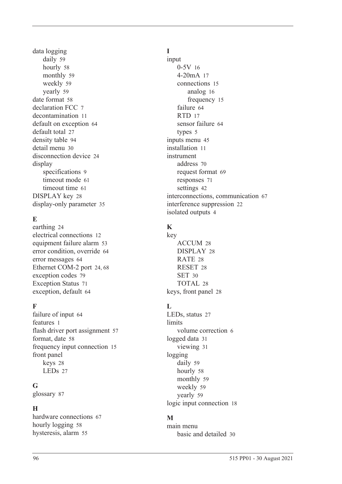data logging daily [59](#page-68-0) hourl[y 58](#page-67-1) monthly [59](#page-68-1) weekl[y 59](#page-68-2) yearly [59](#page-68-3) date format [58](#page-67-0) declaration FCC [7](#page-16-1) decontamination [11](#page-20-0) default on exception [64](#page-73-1) default tota[l 27](#page-36-0) density table [94](#page-103-0) detail men[u 30](#page-39-0) disconnection device [24](#page-33-1) display specifications [9](#page-18-0) timeout mod[e 61](#page-70-0) timeout time [61](#page-70-1) DISPLAY key [28](#page-37-1) display-only parameter [35](#page-44-1)

#### **E**

earthin[g 24](#page-33-2) electrical connections [12](#page-21-1) equipment failure alarm [53](#page-62-0) error condition, overrid[e 64](#page-73-2) error message[s 64](#page-73-3) Ethernet COM-2 por[t 24,](#page-33-3) [68](#page-77-2) exception codes [79](#page-88-1) Exception Status [71](#page-80-0) exception, default [64](#page-73-1)

#### **F**

failure of input [64](#page-73-0) features [1](#page-10-0) flash driver port assignmen[t 57](#page-66-3) format, date [58](#page-67-0) frequency input connection [15](#page-24-1) front panel keys [28](#page-37-2) LEDs [27](#page-36-1)

#### **G**

glossary [87](#page-96-1)

#### **H**

hardware connections [67](#page-76-3) hourly logging [58](#page-67-1) hysteresis, alar[m 55](#page-64-0)

#### **I**

input 0-5[V 16](#page-25-0) 4-20mA [17](#page-26-0) connections [15](#page-24-0) analog [16](#page-25-1) frequency [15](#page-24-1) failure [64](#page-73-0) RTD [17](#page-26-1) sensor failure [64](#page-73-0) types [5](#page-14-1) inputs menu [45](#page-54-0) installation [11](#page-20-1) instrument address [70](#page-79-0) request forma[t 69](#page-78-2) response[s 71](#page-80-1) setting[s 42](#page-51-0) interconnections, communication [67](#page-76-3) interference suppression [22](#page-31-0) isolated output[s 4](#page-13-1)

#### **K**

key ACCUM [28](#page-37-0) DISPLA[Y 28](#page-37-1) RATE [28](#page-37-3) RESE[T 28](#page-37-4) SET [30](#page-39-2) TOTAL [28](#page-37-5) keys, front panel [28](#page-37-2)

#### **L**

LEDs, status [27](#page-36-1) limits volume correctio[n 6](#page-15-0) logged dat[a 31](#page-40-0) viewin[g 31](#page-40-1) logging daily [59](#page-68-0) hourly [58](#page-67-1) monthly [59](#page-68-1) weekl[y 59](#page-68-2) yearly [59](#page-68-3) logic input connection [18](#page-27-0)

#### **M**

main menu basic and detailed [30](#page-39-0)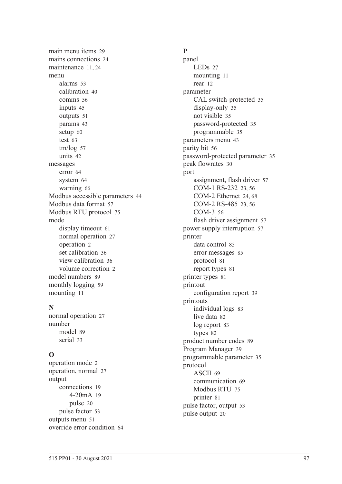main menu items [29](#page-38-0) mains connection[s 24](#page-33-0) maintenance [11,](#page-20-1) [24](#page-33-4) menu alarm[s 53](#page-62-2) calibratio[n 40](#page-49-0) comms [56](#page-65-2) input[s 45](#page-54-0) output[s 51](#page-60-0) params [43](#page-52-1) setu[p 60](#page-69-1) test [63](#page-72-0) tm/lo[g 57](#page-66-4) unit[s 42](#page-51-1) messages erro[r 64](#page-73-3) syste[m 64](#page-73-4) warnin[g 66](#page-75-0) Modbus accessible parameters [44](#page-53-0) Modbus data forma[t 57](#page-66-5) Modbus RTU protoco[l 75](#page-84-0) mode display timeou[t 61](#page-70-0) normal operatio[n 27](#page-36-2) operatio[n 2](#page-11-0) set calibration [36](#page-45-0) view calibration [36](#page-45-1) volume correction [2](#page-11-0) model number[s 89](#page-98-1) monthly logging [59](#page-68-1) mountin[g 11](#page-20-2)

#### **N**

normal operatio[n 27](#page-36-2) number mode[l 89](#page-98-1) seria[l 33](#page-42-1)

### **O**

operation mod[e 2](#page-11-0) operation, norma[l 27](#page-36-2) output connection[s 19](#page-28-1) 4-20m[A 19](#page-28-0) puls[e 20](#page-29-0) pulse facto[r 53](#page-62-3) outputs men[u 51](#page-60-0) override error condition [64](#page-73-2)

#### **P**

panel LEDs [27](#page-36-1) mounting [11](#page-20-2) rear [12](#page-21-0) parameter CAL switch-protected [35](#page-44-0) display-only [35](#page-44-1) not visibl[e 35](#page-44-2) password-protected [35](#page-44-3) programmable [35](#page-44-4) parameters men[u 43](#page-52-1) parity bit [56](#page-65-3) password-protected parameter [35](#page-44-3) peak flowrate[s 30](#page-39-3) port assignment, flash driver [57](#page-66-3) COM-1 RS-232 [23,](#page-32-1) [56](#page-65-4) COM-2 Ethernet [24,](#page-33-3) [68](#page-77-2) COM-2 RS-485 [23,](#page-32-2) [56](#page-65-5) COM-[3 56](#page-65-6) flash driver assignment [57](#page-66-3) power supply interruption [57](#page-66-1) printer data control [85](#page-94-0) error messages [85](#page-94-1) protocol [81](#page-90-2) report types [81](#page-90-3) printer type[s 81](#page-90-4) printout configuration repor[t 39](#page-48-2) printouts individual logs [83](#page-92-0) live data [82](#page-91-0) log report [83](#page-92-1) type[s 82](#page-91-1) product number codes [89](#page-98-0) Program Manager [39](#page-48-1) programmable parameter [35](#page-44-4) protocol ASCI[I 69](#page-78-0) communication [69](#page-78-1) Modbus RT[U 75](#page-84-0) printer [81](#page-90-2) pulse factor, output [53](#page-62-3) pulse output [20](#page-29-0)